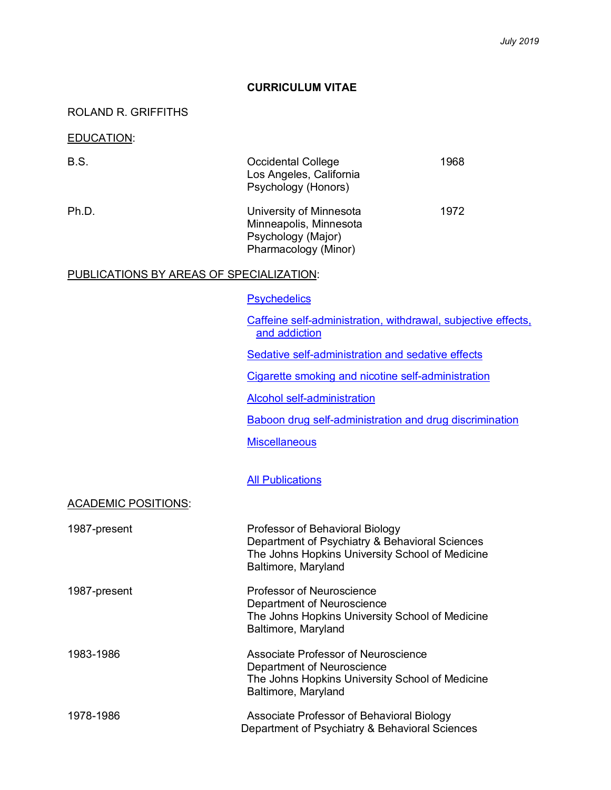### **CURRICULUM VITAE**

## ROLAND R. GRIFFITHS

### EDUCATION:

| B.S.                                     | <b>Occidental College</b><br>Los Angeles, California<br>Psychology (Honors)                     | 1968 |
|------------------------------------------|-------------------------------------------------------------------------------------------------|------|
| Ph.D.                                    | University of Minnesota<br>Minneapolis, Minnesota<br>Psychology (Major)<br>Pharmacology (Minor) | 1972 |
| PUBLICATIONS BY AREAS OF SPECIALIZATION: |                                                                                                 |      |
|                                          | <b>Psychedelics</b>                                                                             |      |
|                                          | Caffeine self-administration, withdrawal, subjective effects,<br>and addiction                  |      |
|                                          | Sedative self-administration and sedative effects                                               |      |

Cigarette smoking and nicotine self-administration

Alcohol self-administration

Baboon drug self-administration and drug discrimination

**Miscellaneous** 

**All Publications** 

ACADEMIC POSITIONS:

| 1987-present | Professor of Behavioral Biology<br>Department of Psychiatry & Behavioral Sciences<br>The Johns Hopkins University School of Medicine<br>Baltimore, Maryland |
|--------------|-------------------------------------------------------------------------------------------------------------------------------------------------------------|
| 1987-present | Professor of Neuroscience<br>Department of Neuroscience<br>The Johns Hopkins University School of Medicine<br>Baltimore, Maryland                           |
| 1983-1986    | Associate Professor of Neuroscience<br>Department of Neuroscience<br>The Johns Hopkins University School of Medicine<br>Baltimore, Maryland                 |
| 1978-1986    | Associate Professor of Behavioral Biology<br>Department of Psychiatry & Behavioral Sciences                                                                 |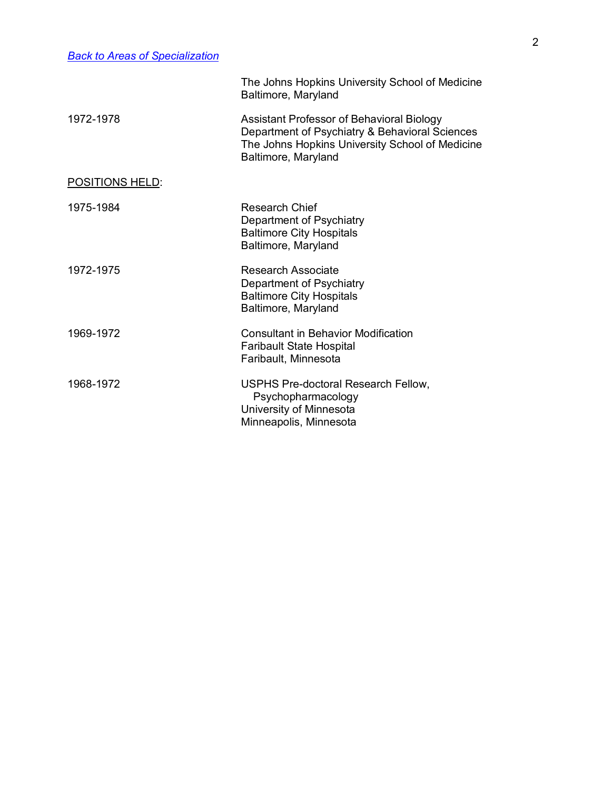|                        | The Johns Hopkins University School of Medicine<br>Baltimore, Maryland                                                                                                |
|------------------------|-----------------------------------------------------------------------------------------------------------------------------------------------------------------------|
| 1972-1978              | Assistant Professor of Behavioral Biology<br>Department of Psychiatry & Behavioral Sciences<br>The Johns Hopkins University School of Medicine<br>Baltimore, Maryland |
| <b>POSITIONS HELD:</b> |                                                                                                                                                                       |
| 1975-1984              | <b>Research Chief</b><br>Department of Psychiatry<br><b>Baltimore City Hospitals</b><br>Baltimore, Maryland                                                           |
| 1972-1975              | Research Associate<br>Department of Psychiatry<br><b>Baltimore City Hospitals</b><br>Baltimore, Maryland                                                              |
| 1969-1972              | <b>Consultant in Behavior Modification</b><br><b>Faribault State Hospital</b><br>Faribault, Minnesota                                                                 |
| 1968-1972              | USPHS Pre-doctoral Research Fellow,<br>Psychopharmacology<br>University of Minnesota<br>Minneapolis, Minnesota                                                        |
|                        |                                                                                                                                                                       |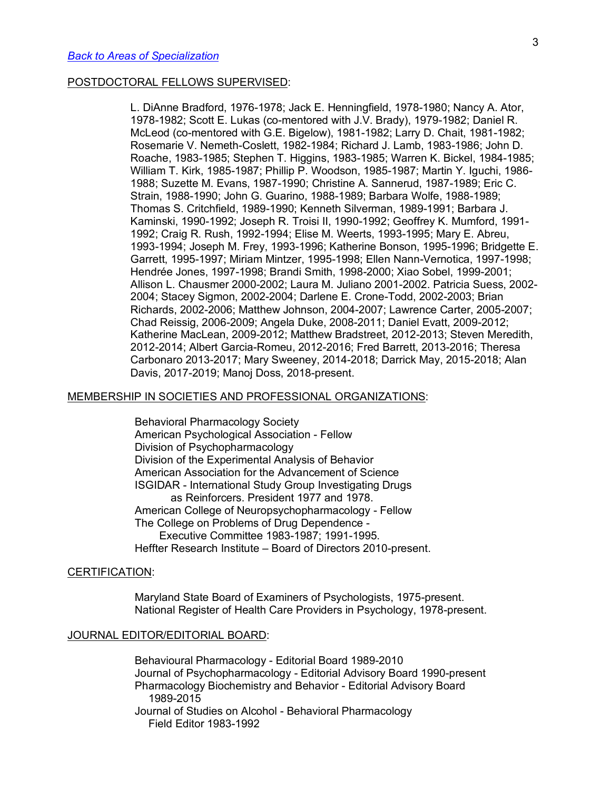### POSTDOCTORAL FELLOWS SUPERVISED:

L. DiAnne Bradford, 1976-1978; Jack E. Henningfield, 1978-1980; Nancy A. Ator, 1978-1982; Scott E. Lukas (co-mentored with J.V. Brady), 1979-1982; Daniel R. McLeod (co-mentored with G.E. Bigelow), 1981-1982; Larry D. Chait, 1981-1982; Rosemarie V. Nemeth-Coslett, 1982-1984; Richard J. Lamb, 1983-1986; John D. Roache, 1983-1985; Stephen T. Higgins, 1983-1985; Warren K. Bickel, 1984-1985; William T. Kirk, 1985-1987; Phillip P. Woodson, 1985-1987; Martin Y. Iguchi, 1986- 1988; Suzette M. Evans, 1987-1990; Christine A. Sannerud, 1987-1989; Eric C. Strain, 1988-1990; John G. Guarino, 1988-1989; Barbara Wolfe, 1988-1989; Thomas S. Critchfield, 1989-1990; Kenneth Silverman, 1989-1991; Barbara J. Kaminski, 1990-1992; Joseph R. Troisi II, 1990-1992; Geoffrey K. Mumford, 1991- 1992; Craig R. Rush, 1992-1994; Elise M. Weerts, 1993-1995; Mary E. Abreu, 1993-1994; Joseph M. Frey, 1993-1996; Katherine Bonson, 1995-1996; Bridgette E. Garrett, 1995-1997; Miriam Mintzer, 1995-1998; Ellen Nann-Vernotica, 1997-1998; Hendrée Jones, 1997-1998; Brandi Smith, 1998-2000; Xiao Sobel, 1999-2001; Allison L. Chausmer 2000-2002; Laura M. Juliano 2001-2002. Patricia Suess, 2002- 2004; Stacey Sigmon, 2002-2004; Darlene E. Crone-Todd, 2002-2003; Brian Richards, 2002-2006; Matthew Johnson, 2004-2007; Lawrence Carter, 2005-2007; Chad Reissig, 2006-2009; Angela Duke, 2008-2011; Daniel Evatt, 2009-2012; Katherine MacLean, 2009-2012; Matthew Bradstreet, 2012-2013; Steven Meredith, 2012-2014; Albert Garcia-Romeu, 2012-2016; Fred Barrett, 2013-2016; Theresa Carbonaro 2013-2017; Mary Sweeney, 2014-2018; Darrick May, 2015-2018; Alan Davis, 2017-2019; Manoj Doss, 2018-present.

### MEMBERSHIP IN SOCIETIES AND PROFESSIONAL ORGANIZATIONS:

 Behavioral Pharmacology Society American Psychological Association - Fellow Division of Psychopharmacology Division of the Experimental Analysis of Behavior American Association for the Advancement of Science ISGIDAR - International Study Group Investigating Drugs as Reinforcers. President 1977 and 1978. American College of Neuropsychopharmacology - Fellow The College on Problems of Drug Dependence - Executive Committee 1983-1987; 1991-1995. Heffter Research Institute – Board of Directors 2010-present.

### CERTIFICATION:

Maryland State Board of Examiners of Psychologists, 1975-present. National Register of Health Care Providers in Psychology, 1978-present.

#### JOURNAL EDITOR/EDITORIAL BOARD:

Behavioural Pharmacology - Editorial Board 1989-2010 Journal of Psychopharmacology - Editorial Advisory Board 1990-present Pharmacology Biochemistry and Behavior - Editorial Advisory Board 1989-2015 Journal of Studies on Alcohol - Behavioral Pharmacology Field Editor 1983-1992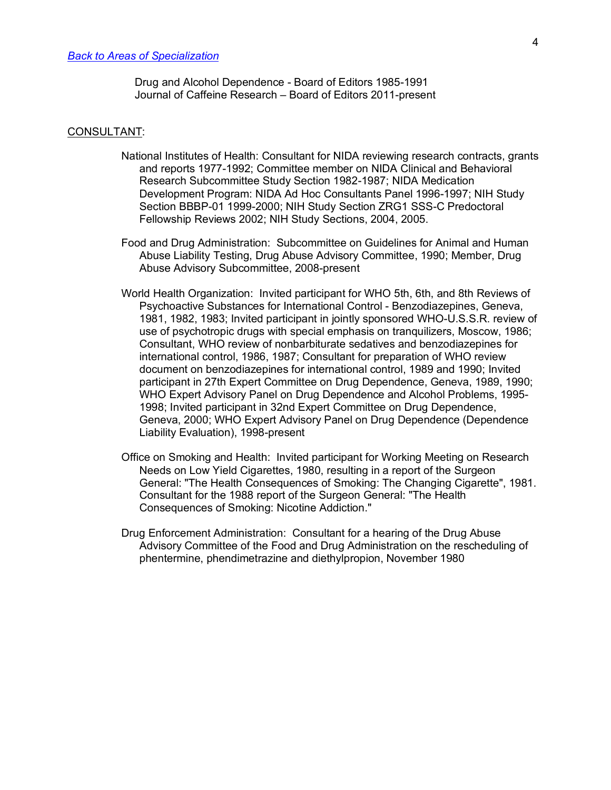Drug and Alcohol Dependence - Board of Editors 1985-1991 Journal of Caffeine Research – Board of Editors 2011-present

#### CONSULTANT:

- National Institutes of Health: Consultant for NIDA reviewing research contracts, grants and reports 1977-1992; Committee member on NIDA Clinical and Behavioral Research Subcommittee Study Section 1982-1987; NIDA Medication Development Program: NIDA Ad Hoc Consultants Panel 1996-1997; NIH Study Section BBBP-01 1999-2000; NIH Study Section ZRG1 SSS-C Predoctoral Fellowship Reviews 2002; NIH Study Sections, 2004, 2005.
- Food and Drug Administration: Subcommittee on Guidelines for Animal and Human Abuse Liability Testing, Drug Abuse Advisory Committee, 1990; Member, Drug Abuse Advisory Subcommittee, 2008-present
- World Health Organization: Invited participant for WHO 5th, 6th, and 8th Reviews of Psychoactive Substances for International Control - Benzodiazepines, Geneva, 1981, 1982, 1983; Invited participant in jointly sponsored WHO-U.S.S.R. review of use of psychotropic drugs with special emphasis on tranquilizers, Moscow, 1986; Consultant, WHO review of nonbarbiturate sedatives and benzodiazepines for international control, 1986, 1987; Consultant for preparation of WHO review document on benzodiazepines for international control, 1989 and 1990; Invited participant in 27th Expert Committee on Drug Dependence, Geneva, 1989, 1990; WHO Expert Advisory Panel on Drug Dependence and Alcohol Problems, 1995- 1998; Invited participant in 32nd Expert Committee on Drug Dependence, Geneva, 2000; WHO Expert Advisory Panel on Drug Dependence (Dependence Liability Evaluation), 1998-present
- Office on Smoking and Health: Invited participant for Working Meeting on Research Needs on Low Yield Cigarettes, 1980, resulting in a report of the Surgeon General: "The Health Consequences of Smoking: The Changing Cigarette", 1981. Consultant for the 1988 report of the Surgeon General: "The Health Consequences of Smoking: Nicotine Addiction."
- Drug Enforcement Administration: Consultant for a hearing of the Drug Abuse Advisory Committee of the Food and Drug Administration on the rescheduling of phentermine, phendimetrazine and diethylpropion, November 1980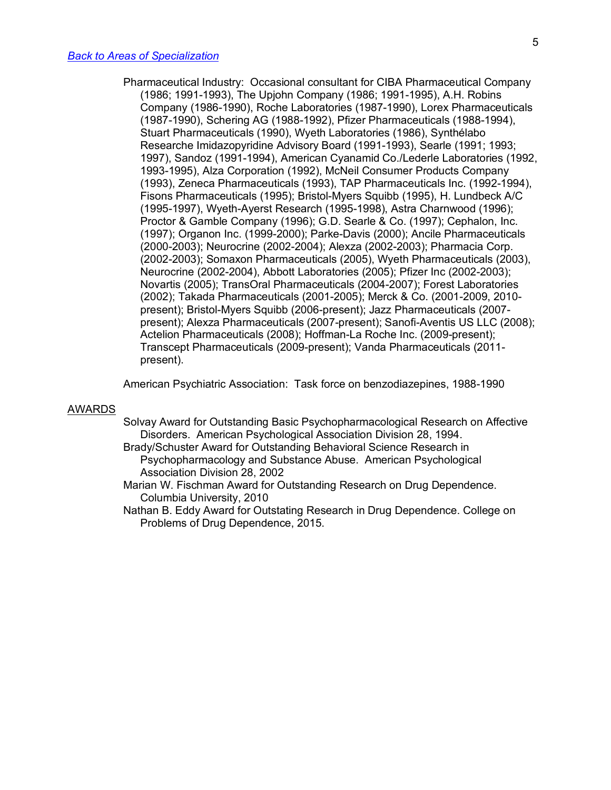Pharmaceutical Industry: Occasional consultant for CIBA Pharmaceutical Company (1986; 1991-1993), The Upjohn Company (1986; 1991-1995), A.H. Robins Company (1986-1990), Roche Laboratories (1987-1990), Lorex Pharmaceuticals (1987-1990), Schering AG (1988-1992), Pfizer Pharmaceuticals (1988-1994), Stuart Pharmaceuticals (1990), Wyeth Laboratories (1986), Synthélabo Researche Imidazopyridine Advisory Board (1991-1993), Searle (1991; 1993; 1997), Sandoz (1991-1994), American Cyanamid Co./Lederle Laboratories (1992, 1993-1995), Alza Corporation (1992), McNeil Consumer Products Company (1993), Zeneca Pharmaceuticals (1993), TAP Pharmaceuticals Inc. (1992-1994), Fisons Pharmaceuticals (1995); Bristol-Myers Squibb (1995), H. Lundbeck A/C (1995-1997), Wyeth-Ayerst Research (1995-1998), Astra Charnwood (1996); Proctor & Gamble Company (1996); G.D. Searle & Co. (1997); Cephalon, Inc. (1997); Organon Inc. (1999-2000); Parke-Davis (2000); Ancile Pharmaceuticals (2000-2003); Neurocrine (2002-2004); Alexza (2002-2003); Pharmacia Corp. (2002-2003); Somaxon Pharmaceuticals (2005), Wyeth Pharmaceuticals (2003), Neurocrine (2002-2004), Abbott Laboratories (2005); Pfizer Inc (2002-2003); Novartis (2005); TransOral Pharmaceuticals (2004-2007); Forest Laboratories (2002); Takada Pharmaceuticals (2001-2005); Merck & Co. (2001-2009, 2010 present); Bristol-Myers Squibb (2006-present); Jazz Pharmaceuticals (2007 present); Alexza Pharmaceuticals (2007-present); Sanofi-Aventis US LLC (2008); Actelion Pharmaceuticals (2008); Hoffman-La Roche Inc. (2009-present); Transcept Pharmaceuticals (2009-present); Vanda Pharmaceuticals (2011 present).

American Psychiatric Association: Task force on benzodiazepines, 1988-1990

#### AWARDS

- Solvay Award for Outstanding Basic Psychopharmacological Research on Affective Disorders. American Psychological Association Division 28, 1994.
- Brady/Schuster Award for Outstanding Behavioral Science Research in Psychopharmacology and Substance Abuse. American Psychological Association Division 28, 2002
- Marian W. Fischman Award for Outstanding Research on Drug Dependence. Columbia University, 2010
- Nathan B. Eddy Award for Outstating Research in Drug Dependence. College on Problems of Drug Dependence, 2015.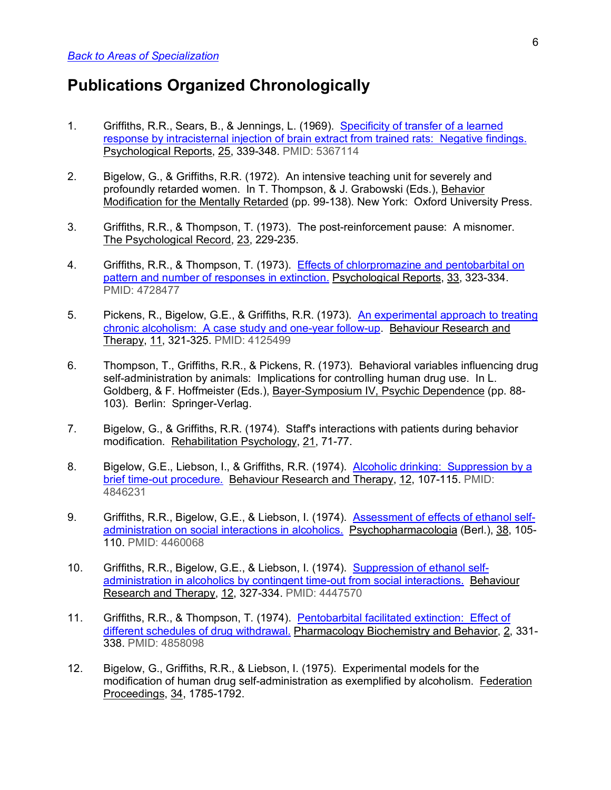# **Publications Organized Chronologically**

- 1. Griffiths, R.R., Sears, B., & Jennings, L. (1969). Specificity of transfer of a learned response by intracisternal injection of brain extract from trained rats: Negative findings. Psychological Reports, 25, 339-348. PMID: 5367114
- 2. Bigelow, G., & Griffiths, R.R. (1972). An intensive teaching unit for severely and profoundly retarded women. In T. Thompson, & J. Grabowski (Eds.), Behavior Modification for the Mentally Retarded (pp. 99-138). New York: Oxford University Press.
- 3. Griffiths, R.R., & Thompson, T. (1973). The post-reinforcement pause: A misnomer. The Psychological Record, 23, 229-235.
- 4. Griffiths, R.R., & Thompson, T. (1973). Effects of chlorpromazine and pentobarbital on pattern and number of responses in extinction. Psychological Reports, 33, 323-334. PMID: 4728477
- 5. Pickens, R., Bigelow, G.E., & Griffiths, R.R. (1973). An experimental approach to treating chronic alcoholism: A case study and one-year follow-up. Behaviour Research and Therapy, 11, 321-325. PMID: 4125499
- 6. Thompson, T., Griffiths, R.R., & Pickens, R. (1973). Behavioral variables influencing drug self-administration by animals: Implications for controlling human drug use. In L. Goldberg, & F. Hoffmeister (Eds.), Bayer-Symposium IV, Psychic Dependence (pp. 88- 103). Berlin: Springer-Verlag.
- 7. Bigelow, G., & Griffiths, R.R. (1974). Staff's interactions with patients during behavior modification. Rehabilitation Psychology, 21, 71-77.
- 8. Bigelow, G.E., Liebson, I., & Griffiths, R.R. (1974). Alcoholic drinking: Suppression by a brief time-out procedure. Behaviour Research and Therapy, 12, 107-115. PMID: 4846231
- 9. Griffiths, R.R., Bigelow, G.E., & Liebson, I. (1974). Assessment of effects of ethanol selfadministration on social interactions in alcoholics. Psychopharmacologia (Berl.), 38, 105- 110. PMID: 4460068
- 10. Griffiths, R.R., Bigelow, G.E., & Liebson, I. (1974). Suppression of ethanol selfadministration in alcoholics by contingent time-out from social interactions. Behaviour Research and Therapy, 12, 327-334. PMID: 4447570
- 11. Griffiths, R.R., & Thompson, T. (1974). Pentobarbital facilitated extinction: Effect of different schedules of drug withdrawal. Pharmacology Biochemistry and Behavior, 2, 331- 338. PMID: 4858098
- 12. Bigelow, G., Griffiths, R.R., & Liebson, I. (1975). Experimental models for the modification of human drug self-administration as exemplified by alcoholism. Federation Proceedings, 34, 1785-1792.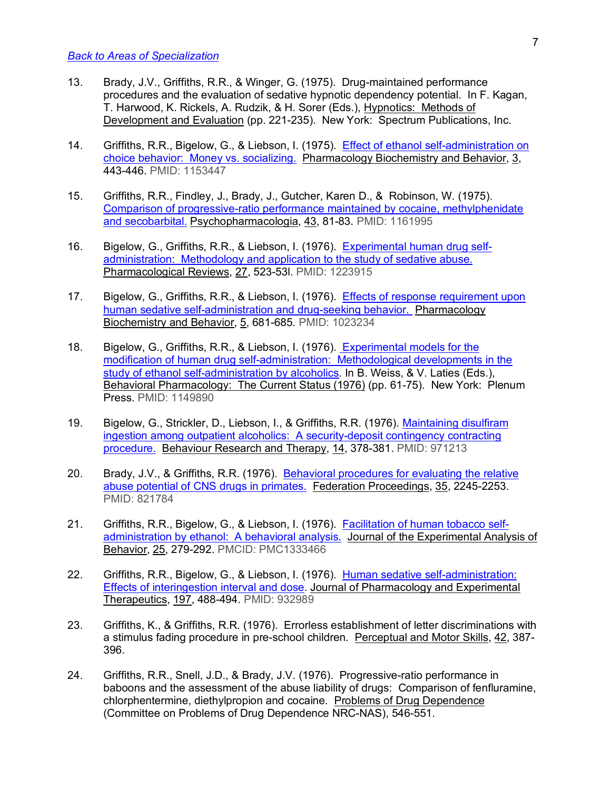- 13. Brady, J.V., Griffiths, R.R., & Winger, G. (1975). Drug-maintained performance procedures and the evaluation of sedative hypnotic dependency potential. In F. Kagan, T. Harwood, K. Rickels, A. Rudzik, & H. Sorer (Eds.), Hypnotics: Methods of Development and Evaluation (pp. 221-235). New York: Spectrum Publications, Inc.
- 14. Griffiths, R.R., Bigelow, G., & Liebson, I. (1975). Effect of ethanol self-administration on choice behavior: Money vs. socializing. Pharmacology Biochemistry and Behavior, 3, 443-446. PMID: 1153447
- 15. Griffiths, R.R., Findley, J., Brady, J., Gutcher, Karen D., & Robinson, W. (1975). Comparison of progressive-ratio performance maintained by cocaine, methylphenidate and secobarbital. Psychopharmacologia, 43, 81-83. PMID: 1161995
- 16. Bigelow, G., Griffiths, R.R., & Liebson, I. (1976). Experimental human drug selfadministration: Methodology and application to the study of sedative abuse. Pharmacological Reviews, 27, 523-53l. PMID: 1223915
- 17. Bigelow, G., Griffiths, R.R., & Liebson, I. (1976). Effects of response requirement upon human sedative self-administration and drug-seeking behavior. Pharmacology Biochemistry and Behavior, 5, 681-685. PMID: 1023234
- 18. Bigelow, G., Griffiths, R.R., & Liebson, I. (1976). Experimental models for the modification of human drug self-administration: Methodological developments in the study of ethanol self-administration by alcoholics. In B. Weiss, & V. Laties (Eds.), Behavioral Pharmacology: The Current Status (1976) (pp. 61-75). New York: Plenum Press. PMID: 1149890
- 19. Bigelow, G., Strickler, D., Liebson, I., & Griffiths, R.R. (1976). Maintaining disulfiram ingestion among outpatient alcoholics: A security-deposit contingency contracting procedure. Behaviour Research and Therapy, 14, 378-381. PMID: 971213
- 20. Brady, J.V., & Griffiths, R.R. (1976). Behavioral procedures for evaluating the relative abuse potential of CNS drugs in primates. Federation Proceedings, 35, 2245-2253. PMID: 821784
- 21. Griffiths, R.R., Bigelow, G., & Liebson, I. (1976). Facilitation of human tobacco selfadministration by ethanol: A behavioral analysis. Journal of the Experimental Analysis of Behavior, 25, 279-292. PMCID: PMC1333466
- 22. Griffiths, R.R., Bigelow, G., & Liebson, I. (1976). Human sedative self-administration: Effects of interingestion interval and dose. Journal of Pharmacology and Experimental Therapeutics, 197, 488-494. PMID: 932989
- 23. Griffiths, K., & Griffiths, R.R. (1976). Errorless establishment of letter discriminations with a stimulus fading procedure in pre-school children. Perceptual and Motor Skills, 42, 387-396.
- 24. Griffiths, R.R., Snell, J.D., & Brady, J.V. (1976). Progressive-ratio performance in baboons and the assessment of the abuse liability of drugs: Comparison of fenfluramine, chlorphentermine, diethylpropion and cocaine. Problems of Drug Dependence (Committee on Problems of Drug Dependence NRC-NAS), 546-551.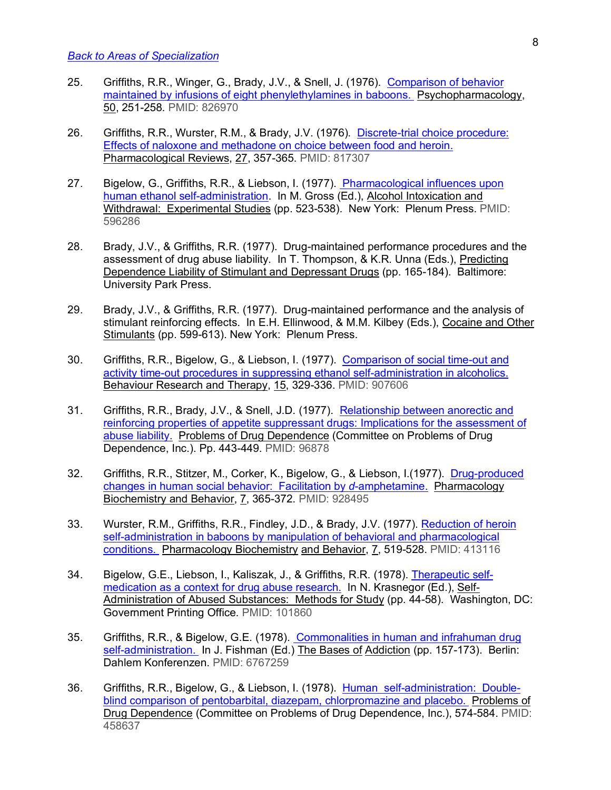- 25. Griffiths, R.R., Winger, G., Brady, J.V., & Snell, J. (1976). Comparison of behavior maintained by infusions of eight phenylethylamines in baboons. Psychopharmacology, 50, 251-258. PMID: 826970
- 26. Griffiths, R.R., Wurster, R.M., & Brady, J.V. (1976). Discrete-trial choice procedure: Effects of naloxone and methadone on choice between food and heroin. Pharmacological Reviews, 27, 357-365. PMID: 817307
- 27. Bigelow, G., Griffiths, R.R., & Liebson, I. (1977). Pharmacological influences upon human ethanol self-administration. In M. Gross (Ed.), Alcohol Intoxication and Withdrawal: Experimental Studies (pp. 523-538). New York: Plenum Press. PMID: 596286
- 28. Brady, J.V., & Griffiths, R.R. (1977). Drug-maintained performance procedures and the assessment of drug abuse liability. In T. Thompson, & K.R. Unna (Eds.), Predicting Dependence Liability of Stimulant and Depressant Drugs (pp. 165-184). Baltimore: University Park Press.
- 29. Brady, J.V., & Griffiths, R.R. (1977). Drug-maintained performance and the analysis of stimulant reinforcing effects. In E.H. Ellinwood, & M.M. Kilbey (Eds.), Cocaine and Other Stimulants (pp. 599-613). New York: Plenum Press.
- 30. Griffiths, R.R., Bigelow, G., & Liebson, I. (1977). Comparison of social time-out and activity time-out procedures in suppressing ethanol self-administration in alcoholics. Behaviour Research and Therapy, 15, 329-336. PMID: 907606
- 31. Griffiths, R.R., Brady, J.V., & Snell, J.D. (1977). Relationship between anorectic and reinforcing properties of appetite suppressant drugs: Implications for the assessment of abuse liability. Problems of Drug Dependence (Committee on Problems of Drug Dependence, Inc.). Pp. 443-449. PMID: 96878
- 32. Griffiths, R.R., Stitzer, M., Corker, K., Bigelow, G., & Liebson, I.(1977). Drug-produced changes in human social behavior: Facilitation by *d*-amphetamine. Pharmacology Biochemistry and Behavior, 7, 365-372. PMID: 928495
- 33. Wurster, R.M., Griffiths, R.R., Findley, J.D., & Brady, J.V. (1977). Reduction of heroin self-administration in baboons by manipulation of behavioral and pharmacological conditions. Pharmacology Biochemistry and Behavior, 7, 519-528. PMID: 413116
- 34. Bigelow, G.E., Liebson, I., Kaliszak, J., & Griffiths, R.R. (1978). Therapeutic selfmedication as a context for drug abuse research. In N. Krasnegor (Ed.), Self-Administration of Abused Substances: Methods for Study (pp. 44-58). Washington, DC: Government Printing Office. PMID: 101860
- 35. Griffiths, R.R., & Bigelow, G.E. (1978). Commonalities in human and infrahuman drug self-administration. In J. Fishman (Ed.) The Bases of Addiction (pp. 157-173). Berlin: Dahlem Konferenzen. PMID: 6767259
- 36. Griffiths, R.R., Bigelow, G., & Liebson, I. (1978). Human self-administration: Doubleblind comparison of pentobarbital, diazepam, chlorpromazine and placebo. Problems of Drug Dependence (Committee on Problems of Drug Dependence, Inc.), 574-584. PMID: 458637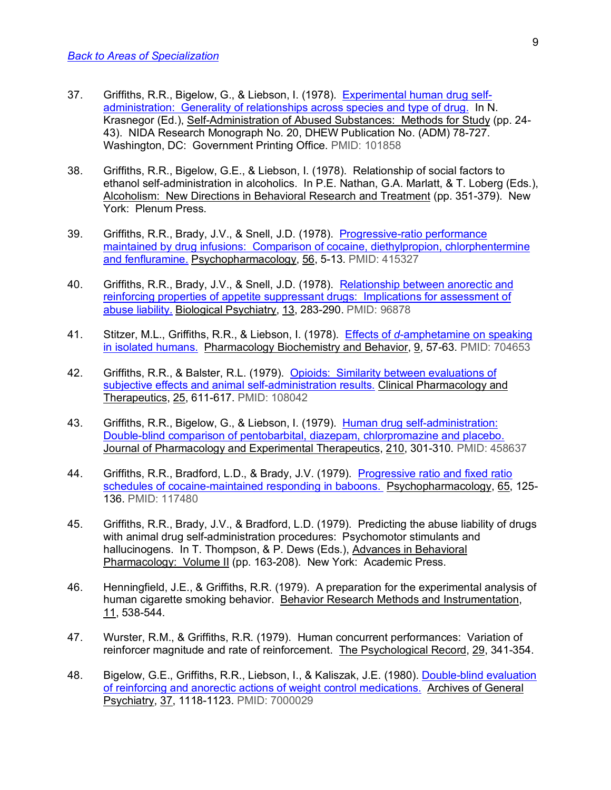- 37. Griffiths, R.R., Bigelow, G., & Liebson, I. (1978). Experimental human drug selfadministration: Generality of relationships across species and type of drug. In N. Krasnegor (Ed.), Self-Administration of Abused Substances: Methods for Study (pp. 24- 43). NIDA Research Monograph No. 20, DHEW Publication No. (ADM) 78-727. Washington, DC: Government Printing Office. PMID: 101858
- 38. Griffiths, R.R., Bigelow, G.E., & Liebson, I. (1978). Relationship of social factors to ethanol self-administration in alcoholics. In P.E. Nathan, G.A. Marlatt, & T. Loberg (Eds.), Alcoholism: New Directions in Behavioral Research and Treatment (pp. 351-379). New York: Plenum Press.
- 39. Griffiths, R.R., Brady, J.V., & Snell, J.D. (1978). Progressive-ratio performance maintained by drug infusions: Comparison of cocaine, diethylpropion, chlorphentermine and fenfluramine. Psychopharmacology, 56, 5-13. PMID: 415327
- 40. Griffiths, R.R., Brady, J.V., & Snell, J.D. (1978). Relationship between anorectic and reinforcing properties of appetite suppressant drugs: Implications for assessment of abuse liability. Biological Psychiatry, 13, 283-290. PMID: 96878
- 41. Stitzer, M.L., Griffiths, R.R., & Liebson, I. (1978). Effects of *d*-amphetamine on speaking in isolated humans. Pharmacology Biochemistry and Behavior, 9, 57-63. PMID: 704653
- 42. Griffiths, R.R., & Balster, R.L. (1979). Opioids: Similarity between evaluations of subjective effects and animal self-administration results. Clinical Pharmacology and Therapeutics, 25, 611-617. PMID: 108042
- 43. Griffiths, R.R., Bigelow, G., & Liebson, I. (1979). Human drug self-administration: Double-blind comparison of pentobarbital, diazepam, chlorpromazine and placebo. Journal of Pharmacology and Experimental Therapeutics, 210, 301-310. PMID: 458637
- 44. Griffiths, R.R., Bradford, L.D., & Brady, J.V. (1979). Progressive ratio and fixed ratio schedules of cocaine-maintained responding in baboons. Psychopharmacology, 65, 125- 136. PMID: 117480
- 45. Griffiths, R.R., Brady, J.V., & Bradford, L.D. (1979). Predicting the abuse liability of drugs with animal drug self-administration procedures: Psychomotor stimulants and hallucinogens. In T. Thompson, & P. Dews (Eds.), Advances in Behavioral Pharmacology: Volume II (pp. 163-208). New York: Academic Press.
- 46. Henningfield, J.E., & Griffiths, R.R. (1979). A preparation for the experimental analysis of human cigarette smoking behavior. Behavior Research Methods and Instrumentation, 11, 538-544.
- 47. Wurster, R.M., & Griffiths, R.R. (1979). Human concurrent performances: Variation of reinforcer magnitude and rate of reinforcement. The Psychological Record, 29, 341-354.
- 48. Bigelow, G.E., Griffiths, R.R., Liebson, I., & Kaliszak, J.E. (1980). Double-blind evaluation of reinforcing and anorectic actions of weight control medications. Archives of General Psychiatry, 37, 1118-1123. PMID: 7000029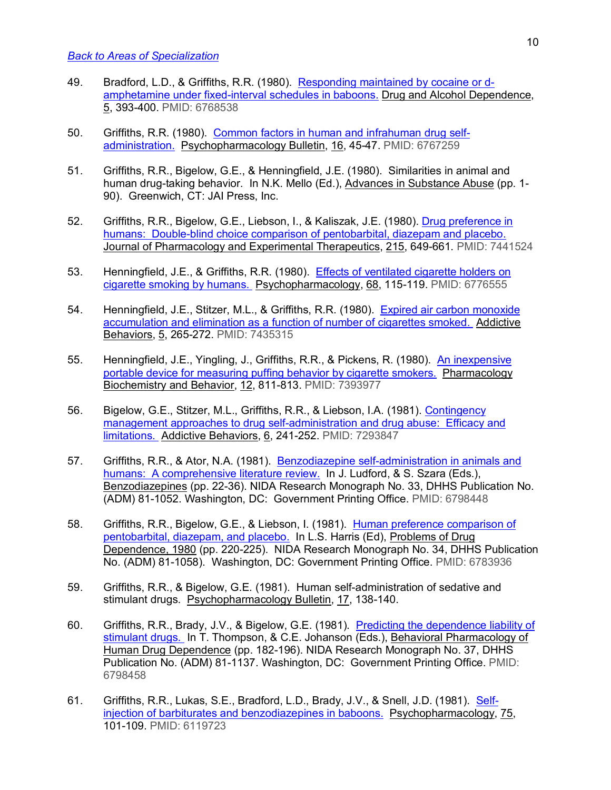- 49. Bradford, L.D., & Griffiths, R.R. (1980). Responding maintained by cocaine or damphetamine under fixed-interval schedules in baboons. Drug and Alcohol Dependence, 5, 393-400. PMID: 6768538
- 50. Griffiths, R.R. (1980). Common factors in human and infrahuman drug selfadministration. Psychopharmacology Bulletin, 16, 45-47. PMID: 6767259
- 51. Griffiths, R.R., Bigelow, G.E., & Henningfield, J.E. (1980). Similarities in animal and human drug-taking behavior. In N.K. Mello (Ed.), Advances in Substance Abuse (pp. 1- 90). Greenwich, CT: JAI Press, Inc.
- 52. Griffiths, R.R., Bigelow, G.E., Liebson, I., & Kaliszak, J.E. (1980). Drug preference in humans: Double-blind choice comparison of pentobarbital, diazepam and placebo. Journal of Pharmacology and Experimental Therapeutics, 215, 649-661. PMID: 7441524
- 53. Henningfield, J.E., & Griffiths, R.R. (1980). Effects of ventilated cigarette holders on cigarette smoking by humans. Psychopharmacology, 68, 115-119. PMID: 6776555
- 54. Henningfield, J.E., Stitzer, M.L., & Griffiths, R.R. (1980). Expired air carbon monoxide accumulation and elimination as a function of number of cigarettes smoked. Addictive Behaviors, 5, 265-272. PMID: 7435315
- 55. Henningfield, J.E., Yingling, J., Griffiths, R.R., & Pickens, R. (1980). An inexpensive portable device for measuring puffing behavior by cigarette smokers. Pharmacology Biochemistry and Behavior, 12, 811-813. PMID: 7393977
- 56. Bigelow, G.E., Stitzer, M.L., Griffiths, R.R., & Liebson, I.A. (1981). Contingency management approaches to drug self-administration and drug abuse: Efficacy and limitations. Addictive Behaviors, 6, 241-252. PMID: 7293847
- 57. Griffiths, R.R., & Ator, N.A. (1981). Benzodiazepine self-administration in animals and humans: A comprehensive literature review. In J. Ludford, & S. Szara (Eds.), Benzodiazepines (pp. 22-36). NIDA Research Monograph No. 33, DHHS Publication No. (ADM) 81-1052. Washington, DC: Government Printing Office. PMID: 6798448
- 58. Griffiths, R.R., Bigelow, G.E., & Liebson, I. (1981). Human preference comparison of pentobarbital, diazepam, and placebo. In L.S. Harris (Ed), Problems of Drug Dependence, 1980 (pp. 220-225). NIDA Research Monograph No. 34, DHHS Publication No. (ADM) 81-1058). Washington, DC: Government Printing Office. PMID: 6783936
- 59. Griffiths, R.R., & Bigelow, G.E. (1981). Human self-administration of sedative and stimulant drugs. Psychopharmacology Bulletin, 17, 138-140.
- 60. Griffiths, R.R., Brady, J.V., & Bigelow, G.E. (1981). Predicting the dependence liability of stimulant drugs. In T. Thompson, & C.E. Johanson (Eds.), Behavioral Pharmacology of Human Drug Dependence (pp. 182-196). NIDA Research Monograph No. 37, DHHS Publication No. (ADM) 81-1137. Washington, DC: Government Printing Office. PMID: 6798458
- 61. Griffiths, R.R., Lukas, S.E., Bradford, L.D., Brady, J.V., & Snell, J.D. (1981). Selfinjection of barbiturates and benzodiazepines in baboons. Psychopharmacology, 75, 101-109. PMID: 6119723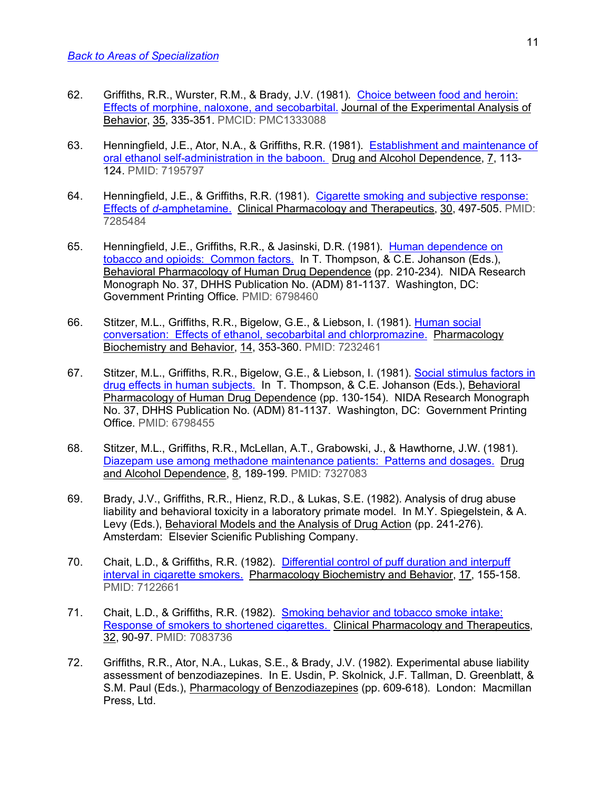- 62. Griffiths, R.R., Wurster, R.M., & Brady, J.V. (1981). Choice between food and heroin: Effects of morphine, naloxone, and secobarbital. Journal of the Experimental Analysis of Behavior, 35, 335-351. PMCID: PMC1333088
- 63. Henningfield, J.E., Ator, N.A., & Griffiths, R.R. (1981). Establishment and maintenance of oral ethanol self-administration in the baboon. Drug and Alcohol Dependence, 7, 113-124. PMID: 7195797
- 64. Henningfield, J.E., & Griffiths, R.R. (1981). Cigarette smoking and subjective response: Effects of *d*-amphetamine. Clinical Pharmacology and Therapeutics, 30, 497-505. PMID: 7285484
- 65. Henningfield, J.E., Griffiths, R.R., & Jasinski, D.R. (1981). Human dependence on tobacco and opioids: Common factors. In T. Thompson, & C.E. Johanson (Eds.), Behavioral Pharmacology of Human Drug Dependence (pp. 210-234). NIDA Research Monograph No. 37, DHHS Publication No. (ADM) 81-1137. Washington, DC: Government Printing Office. PMID: 6798460
- 66. Stitzer, M.L., Griffiths, R.R., Bigelow, G.E., & Liebson, I. (1981). Human social conversation: Effects of ethanol, secobarbital and chlorpromazine. Pharmacology Biochemistry and Behavior, 14, 353-360. PMID: 7232461
- 67. Stitzer, M.L., Griffiths, R.R., Bigelow, G.E., & Liebson, I. (1981). Social stimulus factors in drug effects in human subjects. In T. Thompson, & C.E. Johanson (Eds.), Behavioral Pharmacology of Human Drug Dependence (pp. 130-154). NIDA Research Monograph No. 37, DHHS Publication No. (ADM) 81-1137. Washington, DC: Government Printing Office. PMID: 6798455
- 68. Stitzer, M.L., Griffiths, R.R., McLellan, A.T., Grabowski, J., & Hawthorne, J.W. (1981). Diazepam use among methadone maintenance patients: Patterns and dosages. Drug and Alcohol Dependence, 8, 189-199. PMID: 7327083
- 69. Brady, J.V., Griffiths, R.R., Hienz, R.D., & Lukas, S.E. (1982). Analysis of drug abuse liability and behavioral toxicity in a laboratory primate model. In M.Y. Spiegelstein, & A. Levy (Eds.), Behavioral Models and the Analysis of Drug Action (pp. 241-276). Amsterdam: Elsevier Scienific Publishing Company.
- 70. Chait, L.D., & Griffiths, R.R. (1982). Differential control of puff duration and interpuff interval in cigarette smokers. Pharmacology Biochemistry and Behavior, 17, 155-158. PMID: 7122661
- 71. Chait, L.D., & Griffiths, R.R. (1982). Smoking behavior and tobacco smoke intake: Response of smokers to shortened cigarettes. Clinical Pharmacology and Therapeutics, 32, 90-97. PMID: 7083736
- 72. Griffiths, R.R., Ator, N.A., Lukas, S.E., & Brady, J.V. (1982). Experimental abuse liability assessment of benzodiazepines. In E. Usdin, P. Skolnick, J.F. Tallman, D. Greenblatt, & S.M. Paul (Eds.), Pharmacology of Benzodiazepines (pp. 609-618). London: Macmillan Press, Ltd.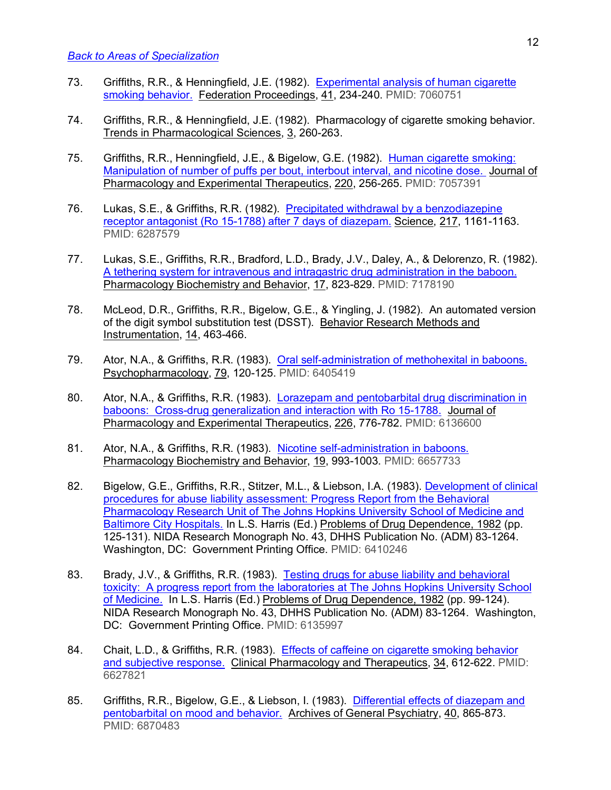- 73. Griffiths, R.R., & Henningfield, J.E. (1982). Experimental analysis of human cigarette smoking behavior. Federation Proceedings, 41, 234-240. PMID: 7060751
- 74. Griffiths, R.R., & Henningfield, J.E. (1982). Pharmacology of cigarette smoking behavior. Trends in Pharmacological Sciences, 3, 260-263.
- 75. Griffiths, R.R., Henningfield, J.E., & Bigelow, G.E. (1982). Human cigarette smoking: Manipulation of number of puffs per bout, interbout interval, and nicotine dose. Journal of Pharmacology and Experimental Therapeutics, 220, 256-265. PMID: 7057391
- 76. Lukas, S.E., & Griffiths, R.R. (1982). Precipitated withdrawal by a benzodiazepine receptor antagonist (Ro 15-1788) after 7 days of diazepam. Science, 217, 1161-1163. PMID: 6287579
- 77. Lukas, S.E., Griffiths, R.R., Bradford, L.D., Brady, J.V., Daley, A., & Delorenzo, R. (1982). A tethering system for intravenous and intragastric drug administration in the baboon. Pharmacology Biochemistry and Behavior, 17, 823-829. PMID: 7178190
- 78. McLeod, D.R., Griffiths, R.R., Bigelow, G.E., & Yingling, J. (1982). An automated version of the digit symbol substitution test (DSST). Behavior Research Methods and Instrumentation, 14, 463-466.
- 79. Ator, N.A., & Griffiths, R.R. (1983). Oral self-administration of methohexital in baboons. Psychopharmacology, 79, 120-125. PMID: 6405419
- 80. Ator, N.A., & Griffiths, R.R. (1983). Lorazepam and pentobarbital drug discrimination in baboons: Cross-drug generalization and interaction with Ro 15-1788. Journal of Pharmacology and Experimental Therapeutics, 226, 776-782. PMID: 6136600
- 81. Ator, N.A., & Griffiths, R.R. (1983). Nicotine self-administration in baboons. Pharmacology Biochemistry and Behavior, 19, 993-1003. PMID: 6657733
- 82. Bigelow, G.E., Griffiths, R.R., Stitzer, M.L., & Liebson, I.A. (1983). Development of clinical procedures for abuse liability assessment: Progress Report from the Behavioral Pharmacology Research Unit of The Johns Hopkins University School of Medicine and Baltimore City Hospitals. In L.S. Harris (Ed.) Problems of Drug Dependence, 1982 (pp. 125-131). NIDA Research Monograph No. 43, DHHS Publication No. (ADM) 83-1264. Washington, DC: Government Printing Office. PMID: 6410246
- 83. Brady, J.V., & Griffiths, R.R. (1983). Testing drugs for abuse liability and behavioral toxicity: A progress report from the laboratories at The Johns Hopkins University School of Medicine. In L.S. Harris (Ed.) Problems of Drug Dependence, 1982 (pp. 99-124). NIDA Research Monograph No. 43, DHHS Publication No. (ADM) 83-1264. Washington, DC: Government Printing Office. PMID: 6135997
- 84. Chait, L.D., & Griffiths, R.R. (1983). Effects of caffeine on cigarette smoking behavior and subjective response. Clinical Pharmacology and Therapeutics, 34, 612-622. PMID: 6627821
- 85. Griffiths, R.R., Bigelow, G.E., & Liebson, I. (1983). Differential effects of diazepam and pentobarbital on mood and behavior. Archives of General Psychiatry, 40, 865-873. PMID: 6870483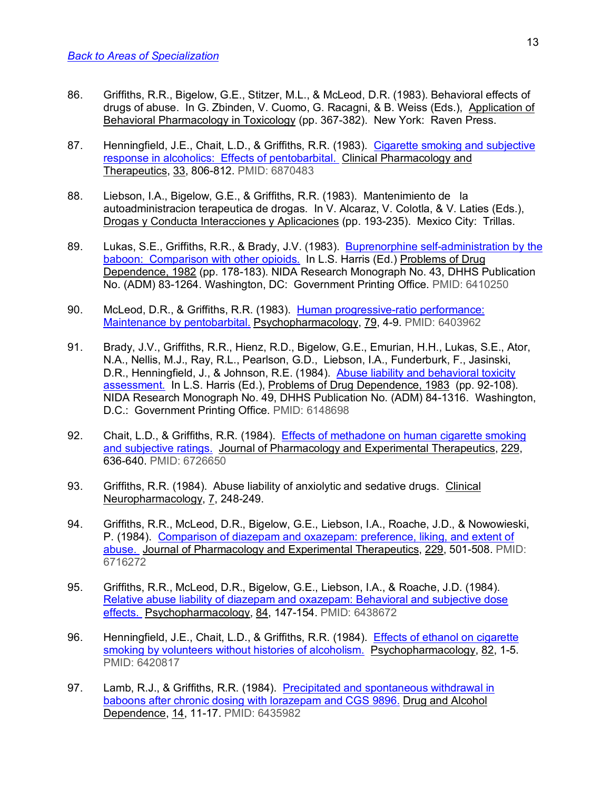- 86. Griffiths, R.R., Bigelow, G.E., Stitzer, M.L., & McLeod, D.R. (1983). Behavioral effects of drugs of abuse. In G. Zbinden, V. Cuomo, G. Racagni, & B. Weiss (Eds.), Application of Behavioral Pharmacology in Toxicology (pp. 367-382). New York: Raven Press.
- 87. Henningfield, J.E., Chait, L.D., & Griffiths, R.R. (1983). Cigarette smoking and subjective response in alcoholics: Effects of pentobarbital. Clinical Pharmacology and Therapeutics, 33, 806-812. PMID: 6870483
- 88. Liebson, I.A., Bigelow, G.E., & Griffiths, R.R. (1983). Mantenimiento de la autoadministracion terapeutica de drogas. In V. Alcaraz, V. Colotla, & V. Laties (Eds.), Drogas y Conducta Interacciones y Aplicaciones (pp. 193-235). Mexico City: Trillas.
- 89. Lukas, S.E., Griffiths, R.R., & Brady, J.V. (1983). Buprenorphine self-administration by the baboon: Comparison with other opioids. In L.S. Harris (Ed.) Problems of Drug Dependence, 1982 (pp. 178-183). NIDA Research Monograph No. 43, DHHS Publication No. (ADM) 83-1264. Washington, DC: Government Printing Office. PMID: 6410250
- 90. McLeod, D.R., & Griffiths, R.R. (1983). Human progressive-ratio performance: Maintenance by pentobarbital. Psychopharmacology, 79, 4-9. PMID: 6403962
- 91. Brady, J.V., Griffiths, R.R., Hienz, R.D., Bigelow, G.E., Emurian, H.H., Lukas, S.E., Ator, N.A., Nellis, M.J., Ray, R.L., Pearlson, G.D., Liebson, I.A., Funderburk, F., Jasinski, D.R., Henningfield, J., & Johnson, R.E. (1984). Abuse liability and behavioral toxicity assessment. In L.S. Harris (Ed.), Problems of Drug Dependence, 1983 (pp. 92-108). NIDA Research Monograph No. 49, DHHS Publication No. (ADM) 84-1316. Washington, D.C.: Government Printing Office. PMID: 6148698
- 92. Chait, L.D., & Griffiths, R.R. (1984). Effects of methadone on human cigarette smoking and subjective ratings. Journal of Pharmacology and Experimental Therapeutics, 229, 636-640. PMID: 6726650
- 93. Griffiths, R.R. (1984). Abuse liability of anxiolytic and sedative drugs. Clinical Neuropharmacology, 7, 248-249.
- 94. Griffiths, R.R., McLeod, D.R., Bigelow, G.E., Liebson, I.A., Roache, J.D., & Nowowieski, P. (1984). Comparison of diazepam and oxazepam: preference, liking, and extent of abuse. Journal of Pharmacology and Experimental Therapeutics, 229, 501-508. PMID: 6716272
- 95. Griffiths, R.R., McLeod, D.R., Bigelow, G.E., Liebson, I.A., & Roache, J.D. (1984). Relative abuse liability of diazepam and oxazepam: Behavioral and subjective dose effects. Psychopharmacology, 84, 147-154. PMID: 6438672
- 96. Henningfield, J.E., Chait, L.D., & Griffiths, R.R. (1984). Effects of ethanol on cigarette smoking by volunteers without histories of alcoholism. Psychopharmacology, 82, 1-5. PMID: 6420817
- 97. Lamb, R.J., & Griffiths, R.R. (1984). Precipitated and spontaneous withdrawal in baboons after chronic dosing with lorazepam and CGS 9896. Drug and Alcohol Dependence, 14, 11-17. PMID: 6435982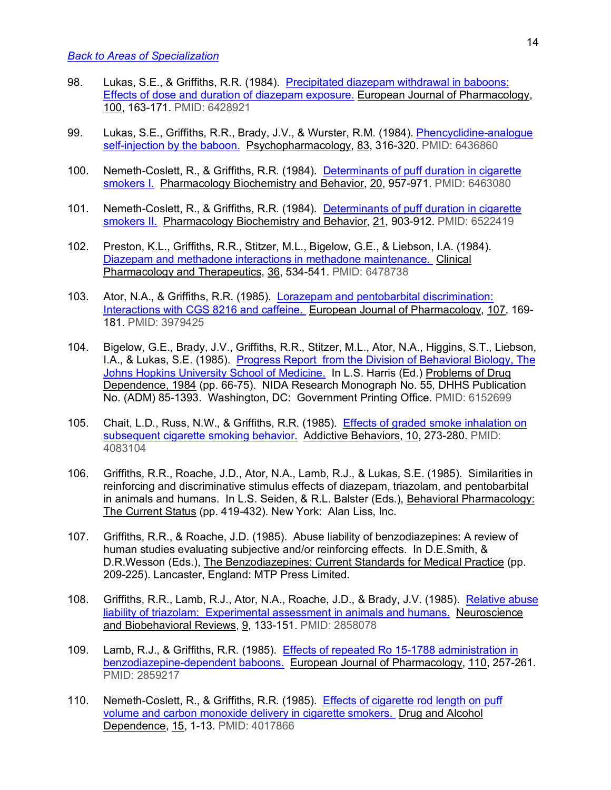- 98. Lukas, S.E., & Griffiths, R.R. (1984). Precipitated diazepam withdrawal in baboons: Effects of dose and duration of diazepam exposure. European Journal of Pharmacology, 100, 163-171. PMID: 6428921
- 99. Lukas, S.E., Griffiths, R.R., Brady, J.V., & Wurster, R.M. (1984). Phencyclidine-analogue self-injection by the baboon. Psychopharmacology, 83, 316-320. PMID: 6436860
- 100. Nemeth-Coslett, R., & Griffiths, R.R. (1984). Determinants of puff duration in cigarette smokers I. Pharmacology Biochemistry and Behavior, 20, 957-971. PMID: 6463080
- 101. Nemeth-Coslett, R., & Griffiths, R.R. (1984). Determinants of puff duration in cigarette smokers II. Pharmacology Biochemistry and Behavior, 21, 903-912. PMID: 6522419
- 102. Preston, K.L., Griffiths, R.R., Stitzer, M.L., Bigelow, G.E., & Liebson, I.A. (1984). Diazepam and methadone interactions in methadone maintenance. Clinical Pharmacology and Therapeutics, 36, 534-541. PMID: 6478738
- 103. Ator, N.A., & Griffiths, R.R. (1985). Lorazepam and pentobarbital discrimination: Interactions with CGS 8216 and caffeine. European Journal of Pharmacology, 107, 169- 181. PMID: 3979425
- 104. Bigelow, G.E., Brady, J.V., Griffiths, R.R., Stitzer, M.L., Ator, N.A., Higgins, S.T., Liebson, I.A., & Lukas, S.E. (1985). Progress Report from the Division of Behavioral Biology, The Johns Hopkins University School of Medicine. In L.S. Harris (Ed.) Problems of Drug Dependence, 1984 (pp. 66-75). NIDA Research Monograph No. 55, DHHS Publication No. (ADM) 85-1393. Washington, DC: Government Printing Office. PMID: 6152699
- 105. Chait, L.D., Russ, N.W., & Griffiths, R.R. (1985). Effects of graded smoke inhalation on subsequent cigarette smoking behavior. Addictive Behaviors, 10, 273-280. PMID: 4083104
- 106. Griffiths, R.R., Roache, J.D., Ator, N.A., Lamb, R.J., & Lukas, S.E. (1985). Similarities in reinforcing and discriminative stimulus effects of diazepam, triazolam, and pentobarbital in animals and humans. In L.S. Seiden, & R.L. Balster (Eds.), Behavioral Pharmacology: The Current Status (pp. 419-432). New York: Alan Liss, Inc.
- 107. Griffiths, R.R., & Roache, J.D. (1985). Abuse liability of benzodiazepines: A review of human studies evaluating subjective and/or reinforcing effects. In D.E.Smith, & D.R.Wesson (Eds.), The Benzodiazepines: Current Standards for Medical Practice (pp. 209-225). Lancaster, England: MTP Press Limited.
- 108. Griffiths, R.R., Lamb, R.J., Ator, N.A., Roache, J.D., & Brady, J.V. (1985). Relative abuse liability of triazolam: Experimental assessment in animals and humans. Neuroscience and Biobehavioral Reviews, 9, 133-151. PMID: 2858078
- 109. Lamb, R.J., & Griffiths, R.R. (1985). Effects of repeated Ro 15-1788 administration in benzodiazepine-dependent baboons. European Journal of Pharmacology, 110, 257-261. PMID: 2859217
- 110. Nemeth-Coslett, R., & Griffiths, R.R. (1985). Effects of cigarette rod length on puff volume and carbon monoxide delivery in cigarette smokers. Drug and Alcohol Dependence, 15, 1-13. PMID: 4017866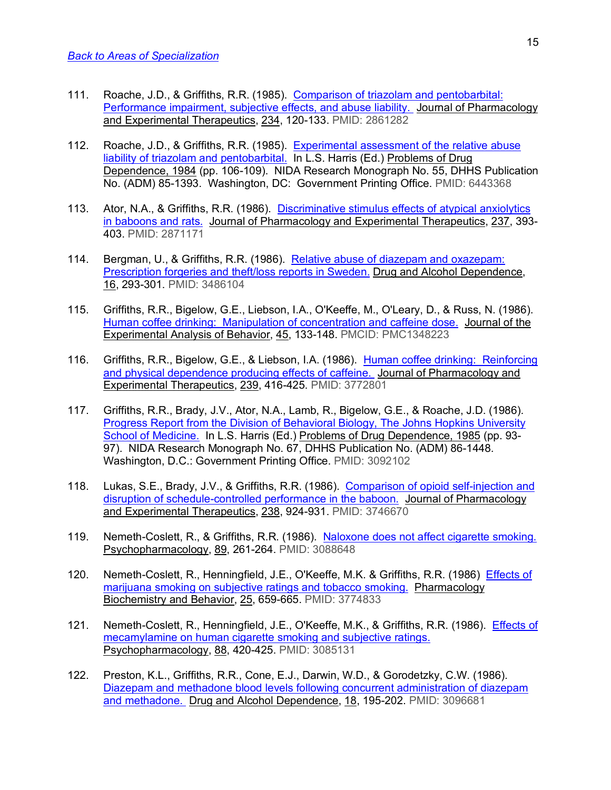- 111. Roache, J.D., & Griffiths, R.R. (1985). Comparison of triazolam and pentobarbital: Performance impairment, subjective effects, and abuse liability. Journal of Pharmacology and Experimental Therapeutics, 234, 120-133. PMID: 2861282
- 112. Roache, J.D., & Griffiths, R.R. (1985). Experimental assessment of the relative abuse liability of triazolam and pentobarbital. In L.S. Harris (Ed.) Problems of Drug Dependence, 1984 (pp. 106-109). NIDA Research Monograph No. 55, DHHS Publication No. (ADM) 85-1393. Washington, DC: Government Printing Office. PMID: 6443368
- 113. Ator, N.A., & Griffiths, R.R. (1986). Discriminative stimulus effects of atypical anxiolytics in baboons and rats. Journal of Pharmacology and Experimental Therapeutics, 237, 393-403. PMID: 2871171
- 114. Bergman, U., & Griffiths, R.R. (1986). Relative abuse of diazepam and oxazepam: Prescription forgeries and theft/loss reports in Sweden. Drug and Alcohol Dependence, 16, 293-301. PMID: 3486104
- 115. Griffiths, R.R., Bigelow, G.E., Liebson, I.A., O'Keeffe, M., O'Leary, D., & Russ, N. (1986). Human coffee drinking: Manipulation of concentration and caffeine dose. Journal of the Experimental Analysis of Behavior, 45, 133-148. PMCID: PMC1348223
- 116. Griffiths, R.R., Bigelow, G.E., & Liebson, I.A. (1986). Human coffee drinking: Reinforcing and physical dependence producing effects of caffeine. Journal of Pharmacology and Experimental Therapeutics, 239, 416-425. PMID: 3772801
- 117. Griffiths, R.R., Brady, J.V., Ator, N.A., Lamb, R., Bigelow, G.E., & Roache, J.D. (1986). Progress Report from the Division of Behavioral Biology, The Johns Hopkins University School of Medicine. In L.S. Harris (Ed.) Problems of Drug Dependence, 1985 (pp. 93- 97). NIDA Research Monograph No. 67, DHHS Publication No. (ADM) 86-1448. Washington, D.C.: Government Printing Office. PMID: 3092102
- 118. Lukas, S.E., Brady, J.V., & Griffiths, R.R. (1986). Comparison of opioid self-injection and disruption of schedule-controlled performance in the baboon. Journal of Pharmacology and Experimental Therapeutics, 238, 924-931. PMID: 3746670
- 119. Nemeth-Coslett, R., & Griffiths, R.R. (1986). Naloxone does not affect cigarette smoking. Psychopharmacology, 89, 261-264. PMID: 3088648
- 120. Nemeth-Coslett, R., Henningfield, J.E., O'Keeffe, M.K. & Griffiths, R.R. (1986) Effects of marijuana smoking on subjective ratings and tobacco smoking. Pharmacology Biochemistry and Behavior, 25, 659-665. PMID: 3774833
- 121. Nemeth-Coslett, R., Henningfield, J.E., O'Keeffe, M.K., & Griffiths, R.R. (1986). Effects of mecamylamine on human cigarette smoking and subjective ratings. Psychopharmacology, 88, 420-425. PMID: 3085131
- 122. Preston, K.L., Griffiths, R.R., Cone, E.J., Darwin, W.D., & Gorodetzky, C.W. (1986). Diazepam and methadone blood levels following concurrent administration of diazepam and methadone. Drug and Alcohol Dependence, 18, 195-202. PMID: 3096681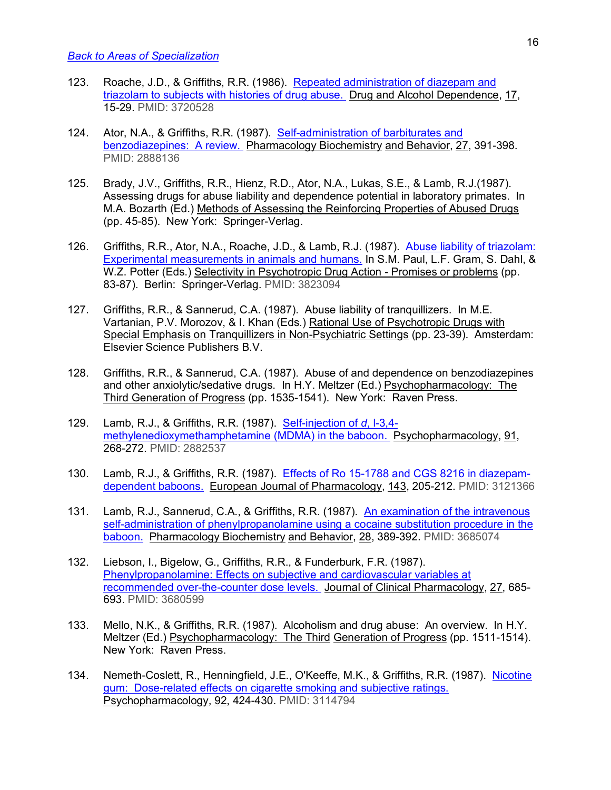- 123. Roache, J.D., & Griffiths, R.R. (1986). Repeated administration of diazepam and triazolam to subjects with histories of drug abuse. Drug and Alcohol Dependence, 17, 15-29. PMID: 3720528
- 124. Ator, N.A., & Griffiths, R.R. (1987). Self-administration of barbiturates and benzodiazepines: A review. Pharmacology Biochemistry and Behavior, 27, 391-398. PMID: 2888136
- 125. Brady, J.V., Griffiths, R.R., Hienz, R.D., Ator, N.A., Lukas, S.E., & Lamb, R.J.(1987). Assessing drugs for abuse liability and dependence potential in laboratory primates. In M.A. Bozarth (Ed.) Methods of Assessing the Reinforcing Properties of Abused Drugs (pp. 45-85). New York: Springer-Verlag.
- 126. Griffiths, R.R., Ator, N.A., Roache, J.D., & Lamb, R.J. (1987). Abuse liability of triazolam: Experimental measurements in animals and humans. In S.M. Paul, L.F. Gram, S. Dahl, & W.Z. Potter (Eds.) Selectivity in Psychotropic Drug Action - Promises or problems (pp. 83-87). Berlin: Springer-Verlag. PMID: 3823094
- 127. Griffiths, R.R., & Sannerud, C.A. (1987). Abuse liability of tranquillizers. In M.E. Vartanian, P.V. Morozov, & I. Khan (Eds.) Rational Use of Psychotropic Drugs with Special Emphasis on Tranquillizers in Non-Psychiatric Settings (pp. 23-39). Amsterdam: Elsevier Science Publishers B.V.
- 128. Griffiths, R.R., & Sannerud, C.A. (1987). Abuse of and dependence on benzodiazepines and other anxiolytic/sedative drugs. In H.Y. Meltzer (Ed.) Psychopharmacology: The Third Generation of Progress (pp. 1535-1541). New York: Raven Press.
- 129. Lamb, R.J., & Griffiths, R.R. (1987). Self-injection of *d*, l-3,4 methylenedioxymethamphetamine (MDMA) in the baboon. Psychopharmacology, 91, 268-272. PMID: 2882537
- 130. Lamb, R.J., & Griffiths, R.R. (1987). Effects of Ro 15-1788 and CGS 8216 in diazepamdependent baboons. European Journal of Pharmacology, 143, 205-212. PMID: 3121366
- 131. Lamb, R.J., Sannerud, C.A., & Griffiths, R.R. (1987). An examination of the intravenous self-administration of phenylpropanolamine using a cocaine substitution procedure in the baboon. Pharmacology Biochemistry and Behavior, 28, 389-392. PMID: 3685074
- 132. Liebson, I., Bigelow, G., Griffiths, R.R., & Funderburk, F.R. (1987). Phenylpropanolamine: Effects on subjective and cardiovascular variables at recommended over-the-counter dose levels. Journal of Clinical Pharmacology, 27, 685- 693. PMID: 3680599
- 133. Mello, N.K., & Griffiths, R.R. (1987). Alcoholism and drug abuse: An overview. In H.Y. Meltzer (Ed.) Psychopharmacology: The Third Generation of Progress (pp. 1511-1514). New York: Raven Press.
- 134. Nemeth-Coslett, R., Henningfield, J.E., O'Keeffe, M.K., & Griffiths, R.R. (1987). Nicotine gum: Dose-related effects on cigarette smoking and subjective ratings. Psychopharmacology, 92, 424-430. PMID: 3114794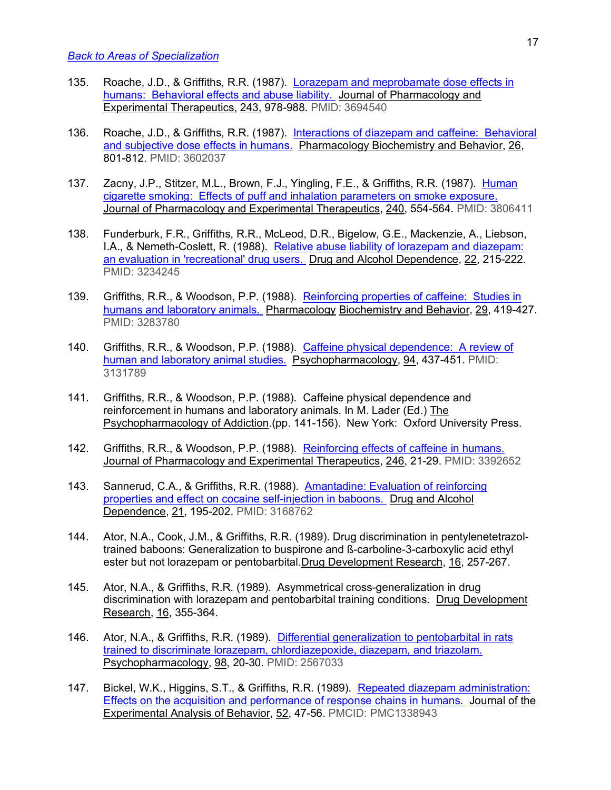- 135. Roache, J.D., & Griffiths, R.R. (1987). Lorazepam and meprobamate dose effects in humans: Behavioral effects and abuse liability. Journal of Pharmacology and Experimental Therapeutics, 243, 978-988. PMID: 3694540
- 136. Roache, J.D., & Griffiths, R.R. (1987). Interactions of diazepam and caffeine: Behavioral and subjective dose effects in humans. Pharmacology Biochemistry and Behavior, 26, 801-812. PMID: 3602037
- 137. Zacny, J.P., Stitzer, M.L., Brown, F.J., Yingling, F.E., & Griffiths, R.R. (1987). Human cigarette smoking: Effects of puff and inhalation parameters on smoke exposure. Journal of Pharmacology and Experimental Therapeutics, 240, 554-564. PMID: 3806411
- 138. Funderburk, F.R., Griffiths, R.R., McLeod, D.R., Bigelow, G.E., Mackenzie, A., Liebson, I.A., & Nemeth-Coslett, R. (1988). Relative abuse liability of lorazepam and diazepam: an evaluation in 'recreational' drug users. Drug and Alcohol Dependence, 22, 215-222. PMID: 3234245
- 139. Griffiths, R.R., & Woodson, P.P. (1988). Reinforcing properties of caffeine: Studies in humans and laboratory animals. Pharmacology Biochemistry and Behavior, 29, 419-427. PMID: 3283780
- 140. Griffiths, R.R., & Woodson, P.P. (1988). Caffeine physical dependence: A review of human and laboratory animal studies. Psychopharmacology, 94, 437-451. PMID: 3131789
- 141. Griffiths, R.R., & Woodson, P.P. (1988). Caffeine physical dependence and reinforcement in humans and laboratory animals. In M. Lader (Ed.) The Psychopharmacology of Addiction.(pp. 141-156). New York: Oxford University Press.
- 142. Griffiths, R.R., & Woodson, P.P. (1988). Reinforcing effects of caffeine in humans. Journal of Pharmacology and Experimental Therapeutics, 246, 21-29. PMID: 3392652
- 143. Sannerud, C.A., & Griffiths, R.R. (1988). Amantadine: Evaluation of reinforcing properties and effect on cocaine self-injection in baboons. Drug and Alcohol Dependence, 21, 195-202. PMID: 3168762
- 144. Ator, N.A., Cook, J.M., & Griffiths, R.R. (1989). Drug discrimination in pentylenetetrazoltrained baboons: Generalization to buspirone and ß-carboline-3-carboxylic acid ethyl ester but not lorazepam or pentobarbital.Drug Development Research, 16, 257-267.
- 145. Ator, N.A., & Griffiths, R.R. (1989). Asymmetrical cross-generalization in drug discrimination with lorazepam and pentobarbital training conditions. Drug Development Research, 16, 355-364.
- 146. Ator, N.A., & Griffiths, R.R. (1989). Differential generalization to pentobarbital in rats trained to discriminate lorazepam, chlordiazepoxide, diazepam, and triazolam. Psychopharmacology, 98, 20-30. PMID: 2567033
- 147. Bickel, W.K., Higgins, S.T., & Griffiths, R.R. (1989). Repeated diazepam administration: Effects on the acquisition and performance of response chains in humans. Journal of the Experimental Analysis of Behavior, 52, 47-56. PMCID: PMC1338943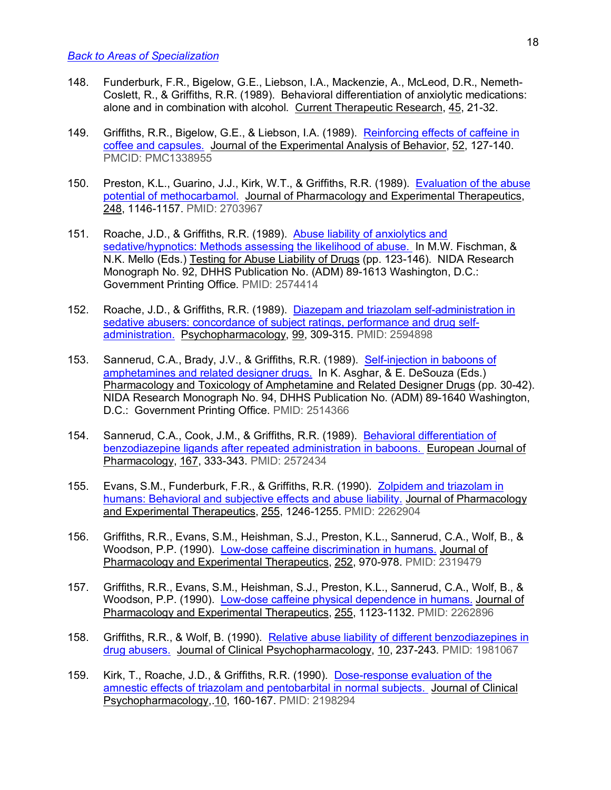- 148. Funderburk, F.R., Bigelow, G.E., Liebson, I.A., Mackenzie, A., McLeod, D.R., Nemeth-Coslett, R., & Griffiths, R.R. (1989). Behavioral differentiation of anxiolytic medications: alone and in combination with alcohol. Current Therapeutic Research, 45, 21-32.
- 149. Griffiths, R.R., Bigelow, G.E., & Liebson, I.A. (1989). Reinforcing effects of caffeine in coffee and capsules. Journal of the Experimental Analysis of Behavior, 52, 127-140. PMCID: PMC1338955
- 150. Preston, K.L., Guarino, J.J., Kirk, W.T., & Griffiths, R.R. (1989). Evaluation of the abuse potential of methocarbamol. Journal of Pharmacology and Experimental Therapeutics, 248, 1146-1157. PMID: 2703967
- 151. Roache, J.D., & Griffiths, R.R. (1989). Abuse liability of anxiolytics and sedative/hypnotics: Methods assessing the likelihood of abuse. In M.W. Fischman, & N.K. Mello (Eds.) Testing for Abuse Liability of Drugs (pp. 123-146). NIDA Research Monograph No. 92, DHHS Publication No. (ADM) 89-1613 Washington, D.C.: Government Printing Office. PMID: 2574414
- 152. Roache, J.D., & Griffiths, R.R. (1989). Diazepam and triazolam self-administration in sedative abusers: concordance of subject ratings, performance and drug selfadministration. Psychopharmacology, 99, 309-315. PMID: 2594898
- 153. Sannerud, C.A., Brady, J.V., & Griffiths, R.R. (1989). Self-injection in baboons of amphetamines and related designer drugs. In K. Asghar, & E. DeSouza (Eds.) Pharmacology and Toxicology of Amphetamine and Related Designer Drugs (pp. 30-42). NIDA Research Monograph No. 94, DHHS Publication No. (ADM) 89-1640 Washington, D.C.: Government Printing Office. PMID: 2514366
- 154. Sannerud, C.A., Cook, J.M., & Griffiths, R.R. (1989). Behavioral differentiation of benzodiazepine ligands after repeated administration in baboons. European Journal of Pharmacology, 167, 333-343. PMID: 2572434
- 155. Evans, S.M., Funderburk, F.R., & Griffiths, R.R. (1990). Zolpidem and triazolam in humans: Behavioral and subjective effects and abuse liability. Journal of Pharmacology and Experimental Therapeutics, 255, 1246-1255. PMID: 2262904
- 156. Griffiths, R.R., Evans, S.M., Heishman, S.J., Preston, K.L., Sannerud, C.A., Wolf, B., & Woodson, P.P. (1990). Low-dose caffeine discrimination in humans. Journal of Pharmacology and Experimental Therapeutics, 252, 970-978. PMID: 2319479
- 157. Griffiths, R.R., Evans, S.M., Heishman, S.J., Preston, K.L., Sannerud, C.A., Wolf, B., & Woodson, P.P. (1990). Low-dose caffeine physical dependence in humans. Journal of Pharmacology and Experimental Therapeutics, 255, 1123-1132. PMID: 2262896
- 158. Griffiths, R.R., & Wolf, B. (1990). Relative abuse liability of different benzodiazepines in drug abusers. Journal of Clinical Psychopharmacology, 10, 237-243. PMID: 1981067
- 159. Kirk, T., Roache, J.D., & Griffiths, R.R. (1990). Dose-response evaluation of the amnestic effects of triazolam and pentobarbital in normal subjects. Journal of Clinical Psychopharmacology,.10, 160-167. PMID: 2198294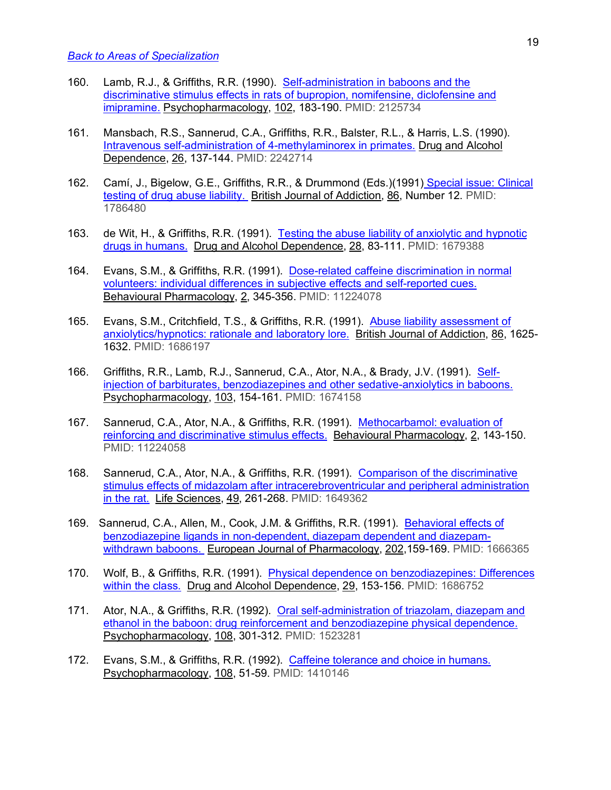- 160. Lamb, R.J., & Griffiths, R.R. (1990). Self-administration in baboons and the discriminative stimulus effects in rats of bupropion, nomifensine, diclofensine and imipramine. Psychopharmacology, 102, 183-190. PMID: 2125734
- 161. Mansbach, R.S., Sannerud, C.A., Griffiths, R.R., Balster, R.L., & Harris, L.S. (1990). Intravenous self-administration of 4-methylaminorex in primates. Drug and Alcohol Dependence, 26, 137-144. PMID: 2242714
- 162. Camí, J., Bigelow, G.E., Griffiths, R.R., & Drummond (Eds.)(1991) Special issue: Clinical testing of drug abuse liability. British Journal of Addiction, 86, Number 12. PMID: 1786480
- 163. de Wit, H., & Griffiths, R.R. (1991). Testing the abuse liability of anxiolytic and hypnotic drugs in humans. Drug and Alcohol Dependence, 28, 83-111. PMID: 1679388
- 164. Evans, S.M., & Griffiths, R.R. (1991). Dose-related caffeine discrimination in normal volunteers: individual differences in subjective effects and self-reported cues. Behavioural Pharmacology, 2, 345-356. PMID: 11224078
- 165. Evans, S.M., Critchfield, T.S., & Griffiths, R.R. (1991). Abuse liability assessment of anxiolytics/hypnotics: rationale and laboratory lore. British Journal of Addiction, 86, 1625- 1632. PMID: 1686197
- 166. Griffiths, R.R., Lamb, R.J., Sannerud, C.A., Ator, N.A., & Brady, J.V. (1991). Selfinjection of barbiturates, benzodiazepines and other sedative-anxiolytics in baboons. Psychopharmacology, 103, 154-161. PMID: 1674158
- 167. Sannerud, C.A., Ator, N.A., & Griffiths, R.R. (1991). Methocarbamol: evaluation of reinforcing and discriminative stimulus effects. Behavioural Pharmacology, 2, 143-150. PMID: 11224058
- 168. Sannerud, C.A., Ator, N.A., & Griffiths, R.R. (1991). Comparison of the discriminative stimulus effects of midazolam after intracerebroventricular and peripheral administration in the rat. Life Sciences, 49, 261-268. PMID: 1649362
- 169. Sannerud, C.A., Allen, M., Cook, J.M. & Griffiths, R.R. (1991). Behavioral effects of benzodiazepine ligands in non-dependent, diazepam dependent and diazepamwithdrawn baboons. European Journal of Pharmacology, 202,159-169. PMID: 1666365
- 170. Wolf, B., & Griffiths, R.R. (1991). Physical dependence on benzodiazepines: Differences within the class. Drug and Alcohol Dependence, 29, 153-156. PMID: 1686752
- 171. Ator, N.A., & Griffiths, R.R. (1992). Oral self-administration of triazolam, diazepam and ethanol in the baboon: drug reinforcement and benzodiazepine physical dependence. Psychopharmacology, 108, 301-312. PMID: 1523281
- 172. Evans, S.M., & Griffiths, R.R. (1992). Caffeine tolerance and choice in humans. Psychopharmacology, 108, 51-59. PMID: 1410146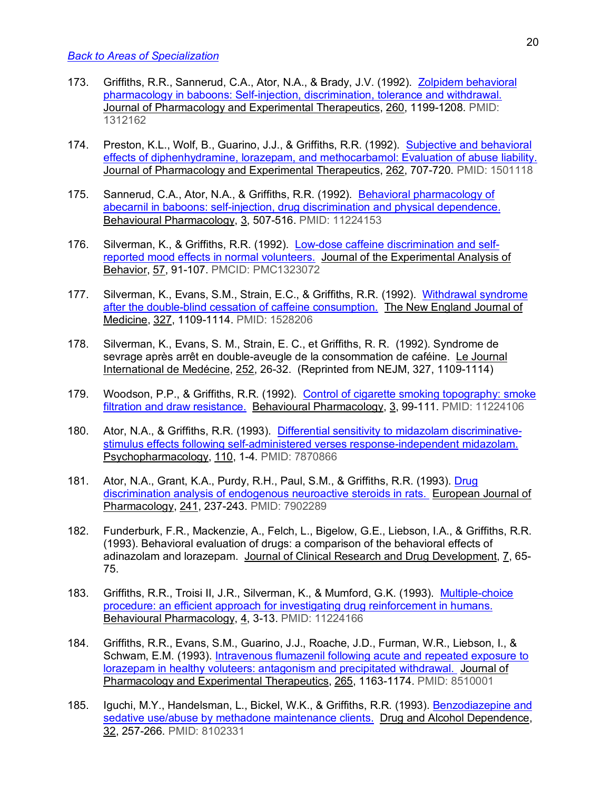- 173. Griffiths, R.R., Sannerud, C.A., Ator, N.A., & Brady, J.V. (1992). Zolpidem behavioral pharmacology in baboons: Self-injection, discrimination, tolerance and withdrawal. Journal of Pharmacology and Experimental Therapeutics, 260, 1199-1208. PMID: 1312162
- 174. Preston, K.L., Wolf, B., Guarino, J.J., & Griffiths, R.R. (1992). Subjective and behavioral effects of diphenhydramine, lorazepam, and methocarbamol: Evaluation of abuse liability. Journal of Pharmacology and Experimental Therapeutics, 262, 707-720. PMID: 1501118
- 175. Sannerud, C.A., Ator, N.A., & Griffiths, R.R. (1992). Behavioral pharmacology of abecarnil in baboons: self-injection, drug discrimination and physical dependence. Behavioural Pharmacology, 3, 507-516. PMID: 11224153
- 176. Silverman, K., & Griffiths, R.R. (1992). Low-dose caffeine discrimination and selfreported mood effects in normal volunteers. Journal of the Experimental Analysis of Behavior, 57, 91-107. PMCID: PMC1323072
- 177. Silverman, K., Evans, S.M., Strain, E.C., & Griffiths, R.R. (1992). Withdrawal syndrome after the double-blind cessation of caffeine consumption. The New England Journal of Medicine, 327, 1109-1114. PMID: 1528206
- 178. Silverman, K., Evans, S. M., Strain, E. C., et Griffiths, R. R. (1992). Syndrome de sevrage après arrêt en double-aveugle de la consommation de caféine. Le Journal International de Medécine, 252, 26-32. (Reprinted from NEJM, 327, 1109-1114)
- 179. Woodson, P.P., & Griffiths, R.R. (1992). Control of cigarette smoking topography: smoke filtration and draw resistance. Behavioural Pharmacology, 3, 99-111. PMID: 11224106
- 180. Ator, N.A., & Griffiths, R.R. (1993). Differential sensitivity to midazolam discriminativestimulus effects following self-administered verses response-independent midazolam. Psychopharmacology, 110, 1-4. PMID: 7870866
- 181. Ator, N.A., Grant, K.A., Purdy, R.H., Paul, S.M., & Griffiths, R.R. (1993). Drug discrimination analysis of endogenous neuroactive steroids in rats. European Journal of Pharmacology, 241, 237-243. PMID: 7902289
- 182. Funderburk, F.R., Mackenzie, A., Felch, L., Bigelow, G.E., Liebson, I.A., & Griffiths, R.R. (1993). Behavioral evaluation of drugs: a comparison of the behavioral effects of adinazolam and lorazepam. Journal of Clinical Research and Drug Development, 7, 65- 75.
- 183. Griffiths, R.R., Troisi II, J.R., Silverman, K., & Mumford, G.K. (1993). Multiple-choice procedure: an efficient approach for investigating drug reinforcement in humans. Behavioural Pharmacology, 4, 3-13. PMID: 11224166
- 184. Griffiths, R.R., Evans, S.M., Guarino, J.J., Roache, J.D., Furman, W.R., Liebson, I., & Schwam, E.M. (1993). Intravenous flumazenil following acute and repeated exposure to lorazepam in healthy voluteers: antagonism and precipitated withdrawal. Journal of Pharmacology and Experimental Therapeutics, 265, 1163-1174. PMID: 8510001
- 185. Iguchi, M.Y., Handelsman, L., Bickel, W.K., & Griffiths, R.R. (1993). Benzodiazepine and sedative use/abuse by methadone maintenance clients. Drug and Alcohol Dependence, 32, 257-266. PMID: 8102331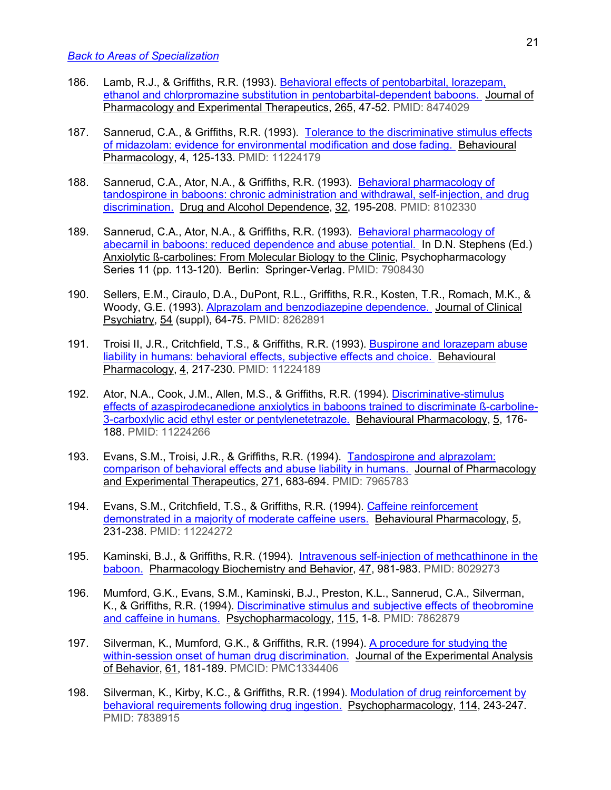- 186. Lamb, R.J., & Griffiths, R.R. (1993). Behavioral effects of pentobarbital, lorazepam, ethanol and chlorpromazine substitution in pentobarbital-dependent baboons. Journal of Pharmacology and Experimental Therapeutics, 265, 47-52. PMID: 8474029
- 187. Sannerud, C.A., & Griffiths, R.R. (1993). Tolerance to the discriminative stimulus effects of midazolam: evidence for environmental modification and dose fading. Behavioural Pharmacology, 4, 125-133. PMID: 11224179
- 188. Sannerud, C.A., Ator, N.A., & Griffiths, R.R. (1993). Behavioral pharmacology of tandospirone in baboons: chronic administration and withdrawal, self-injection, and drug discrimination. Drug and Alcohol Dependence, 32, 195-208. PMID: 8102330
- 189. Sannerud, C.A., Ator, N.A., & Griffiths, R.R. (1993). Behavioral pharmacology of abecarnil in baboons: reduced dependence and abuse potential. In D.N. Stephens (Ed.) Anxiolytic ß-carbolines: From Molecular Biology to the Clinic, Psychopharmacology Series 11 (pp. 113-120). Berlin: Springer-Verlag. PMID: 7908430
- 190. Sellers, E.M., Ciraulo, D.A., DuPont, R.L., Griffiths, R.R., Kosten, T.R., Romach, M.K., & Woody, G.E. (1993). Alprazolam and benzodiazepine dependence. Journal of Clinical Psychiatry, 54 (suppl), 64-75. PMID: 8262891
- 191. Troisi II, J.R., Critchfield, T.S., & Griffiths, R.R. (1993). Buspirone and lorazepam abuse liability in humans: behavioral effects, subjective effects and choice. Behavioural Pharmacology, 4, 217-230. PMID: 11224189
- 192. Ator, N.A., Cook, J.M., Allen, M.S., & Griffiths, R.R. (1994). Discriminative-stimulus effects of azaspirodecanedione anxiolytics in baboons trained to discriminate ß-carboline-3-carboxlylic acid ethyl ester or pentylenetetrazole. Behavioural Pharmacology, 5, 176-188. PMID: 11224266
- 193. Evans, S.M., Troisi, J.R., & Griffiths, R.R. (1994). Tandospirone and alprazolam: comparison of behavioral effects and abuse liability in humans. Journal of Pharmacology and Experimental Therapeutics, 271, 683-694. PMID: 7965783
- 194. Evans, S.M., Critchfield, T.S., & Griffiths, R.R. (1994). Caffeine reinforcement demonstrated in a majority of moderate caffeine users. Behavioural Pharmacology, 5, 231-238. PMID: 11224272
- 195. Kaminski, B.J., & Griffiths, R.R. (1994). Intravenous self-injection of methcathinone in the baboon. Pharmacology Biochemistry and Behavior, 47, 981-983. PMID: 8029273
- 196. Mumford, G.K., Evans, S.M., Kaminski, B.J., Preston, K.L., Sannerud, C.A., Silverman, K., & Griffiths, R.R. (1994). Discriminative stimulus and subjective effects of theobromine and caffeine in humans. Psychopharmacology, 115, 1-8. PMID: 7862879
- 197. Silverman, K., Mumford, G.K., & Griffiths, R.R. (1994). A procedure for studying the within-session onset of human drug discrimination. Journal of the Experimental Analysis of Behavior, 61, 181-189. PMCID: PMC1334406
- 198. Silverman, K., Kirby, K.C., & Griffiths, R.R. (1994). Modulation of drug reinforcement by behavioral requirements following drug ingestion. Psychopharmacology, 114, 243-247. PMID: 7838915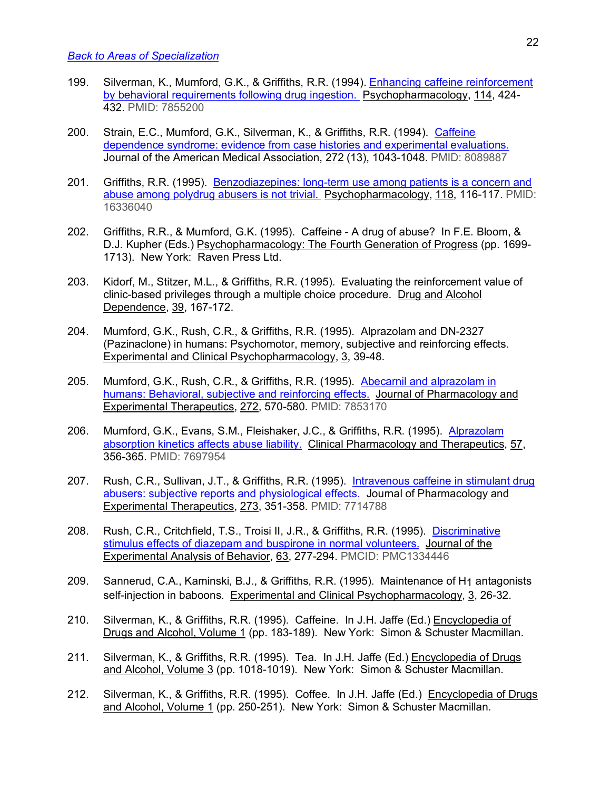- 199. Silverman, K., Mumford, G.K., & Griffiths, R.R. (1994). Enhancing caffeine reinforcement by behavioral requirements following drug ingestion. Psychopharmacology, 114, 424- 432. PMID: 7855200
- 200. Strain, E.C., Mumford, G.K., Silverman, K., & Griffiths, R.R. (1994). Caffeine dependence syndrome: evidence from case histories and experimental evaluations. Journal of the American Medical Association, 272 (13), 1043-1048. PMID: 8089887
- 201. Griffiths, R.R. (1995). Benzodiazepines: long-term use among patients is a concern and abuse among polydrug abusers is not trivial. Psychopharmacology, 118, 116-117. PMID: 16336040
- 202. Griffiths, R.R., & Mumford, G.K. (1995). Caffeine A drug of abuse? In F.E. Bloom, & D.J. Kupher (Eds.) Psychopharmacology: The Fourth Generation of Progress (pp. 1699- 1713). New York: Raven Press Ltd.
- 203. Kidorf, M., Stitzer, M.L., & Griffiths, R.R. (1995). Evaluating the reinforcement value of clinic-based privileges through a multiple choice procedure. Drug and Alcohol Dependence, 39, 167-172.
- 204. Mumford, G.K., Rush, C.R., & Griffiths, R.R. (1995). Alprazolam and DN-2327 (Pazinaclone) in humans: Psychomotor, memory, subjective and reinforcing effects. Experimental and Clinical Psychopharmacology, 3, 39-48.
- 205. Mumford, G.K., Rush, C.R., & Griffiths, R.R. (1995). Abecarnil and alprazolam in humans: Behavioral, subjective and reinforcing effects. Journal of Pharmacology and Experimental Therapeutics, 272, 570-580. PMID: 7853170
- 206. Mumford, G.K., Evans, S.M., Fleishaker, J.C., & Griffiths, R.R. (1995). Alprazolam absorption kinetics affects abuse liability. Clinical Pharmacology and Therapeutics, 57, 356-365. PMID: 7697954
- 207. Rush, C.R., Sullivan, J.T., & Griffiths, R.R. (1995). Intravenous caffeine in stimulant drug abusers: subjective reports and physiological effects. Journal of Pharmacology and Experimental Therapeutics, 273, 351-358. PMID: 7714788
- 208. Rush, C.R., Critchfield, T.S., Troisi II, J.R., & Griffiths, R.R. (1995). Discriminative stimulus effects of diazepam and buspirone in normal volunteers. Journal of the Experimental Analysis of Behavior, 63, 277-294. PMCID: PMC1334446
- 209. Sannerud, C.A., Kaminski, B.J., & Griffiths, R.R. (1995). Maintenance of H1 antagonists self-injection in baboons. Experimental and Clinical Psychopharmacology, 3, 26-32.
- 210. Silverman, K., & Griffiths, R.R. (1995). Caffeine. In J.H. Jaffe (Ed.) Encyclopedia of Drugs and Alcohol, Volume 1 (pp. 183-189). New York: Simon & Schuster Macmillan.
- 211. Silverman, K., & Griffiths, R.R. (1995). Tea. In J.H. Jaffe (Ed.) Encyclopedia of Drugs and Alcohol, Volume 3 (pp. 1018-1019). New York: Simon & Schuster Macmillan.
- 212. Silverman, K., & Griffiths, R.R. (1995). Coffee. In J.H. Jaffe (Ed.) Encyclopedia of Drugs and Alcohol, Volume 1 (pp. 250-251). New York: Simon & Schuster Macmillan.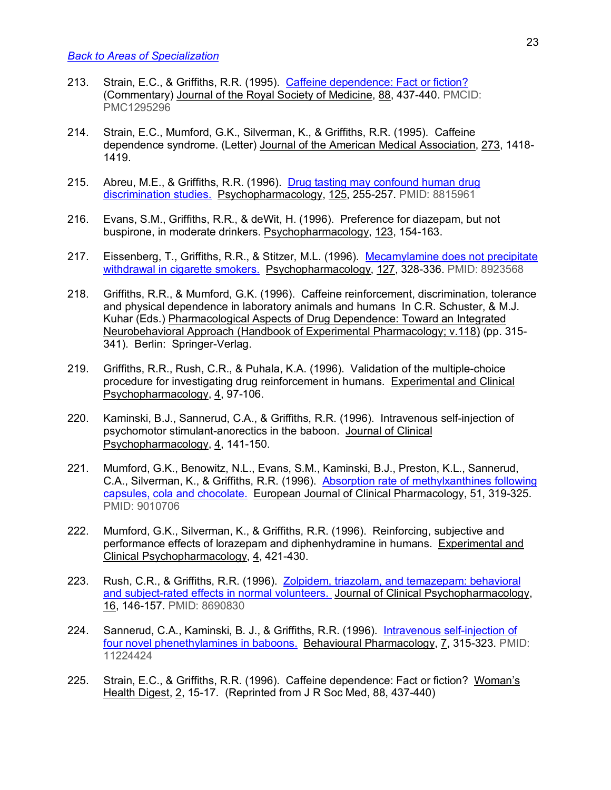- 213. Strain, E.C., & Griffiths, R.R. (1995). Caffeine dependence: Fact or fiction? (Commentary) Journal of the Royal Society of Medicine, 88, 437-440. PMCID: PMC1295296
- 214. Strain, E.C., Mumford, G.K., Silverman, K., & Griffiths, R.R. (1995). Caffeine dependence syndrome. (Letter) Journal of the American Medical Association, 273, 1418- 1419.
- 215. Abreu, M.E., & Griffiths, R.R. (1996). Drug tasting may confound human drug discrimination studies. Psychopharmacology, 125, 255-257. PMID: 8815961
- 216. Evans, S.M., Griffiths, R.R., & deWit, H. (1996). Preference for diazepam, but not buspirone, in moderate drinkers. Psychopharmacology, 123, 154-163.
- 217. Eissenberg, T., Griffiths, R.R., & Stitzer, M.L. (1996). Mecamylamine does not precipitate withdrawal in cigarette smokers. Psychopharmacology, 127, 328-336. PMID: 8923568
- 218. Griffiths, R.R., & Mumford, G.K. (1996). Caffeine reinforcement, discrimination, tolerance and physical dependence in laboratory animals and humans In C.R. Schuster, & M.J. Kuhar (Eds.) Pharmacological Aspects of Drug Dependence: Toward an Integrated Neurobehavioral Approach (Handbook of Experimental Pharmacology; v.118) (pp. 315- 341). Berlin: Springer-Verlag.
- 219. Griffiths, R.R., Rush, C.R., & Puhala, K.A. (1996). Validation of the multiple-choice procedure for investigating drug reinforcement in humans. Experimental and Clinical Psychopharmacology, 4, 97-106.
- 220. Kaminski, B.J., Sannerud, C.A., & Griffiths, R.R. (1996). Intravenous self-injection of psychomotor stimulant-anorectics in the baboon. Journal of Clinical Psychopharmacology, 4, 141-150.
- 221. Mumford, G.K., Benowitz, N.L., Evans, S.M., Kaminski, B.J., Preston, K.L., Sannerud, C.A., Silverman, K., & Griffiths, R.R. (1996). Absorption rate of methylxanthines following capsules, cola and chocolate. European Journal of Clinical Pharmacology, 51, 319-325. PMID: 9010706
- 222. Mumford, G.K., Silverman, K., & Griffiths, R.R. (1996). Reinforcing, subjective and performance effects of lorazepam and diphenhydramine in humans. Experimental and Clinical Psychopharmacology, 4, 421-430.
- 223. Rush, C.R., & Griffiths, R.R. (1996). Zolpidem, triazolam, and temazepam: behavioral and subject-rated effects in normal volunteers. Journal of Clinical Psychopharmacology, 16, 146-157. PMID: 8690830
- 224. Sannerud, C.A., Kaminski, B. J., & Griffiths, R.R. (1996). Intravenous self-injection of four novel phenethylamines in baboons. Behavioural Pharmacology, 7, 315-323. PMID: 11224424
- 225. Strain, E.C., & Griffiths, R.R. (1996). Caffeine dependence: Fact or fiction? Woman's Health Digest, 2, 15-17. (Reprinted from J R Soc Med, 88, 437-440)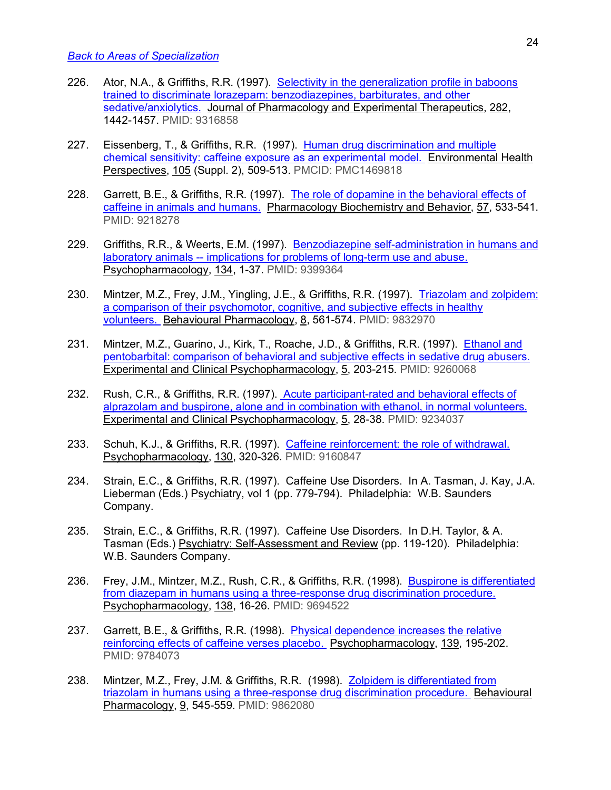- 226. Ator, N.A., & Griffiths, R.R. (1997). Selectivity in the generalization profile in baboons trained to discriminate lorazepam: benzodiazepines, barbiturates, and other sedative/anxiolytics. Journal of Pharmacology and Experimental Therapeutics, 282, 1442-1457. PMID: 9316858
- 227. Eissenberg, T., & Griffiths, R.R. (1997). Human drug discrimination and multiple chemical sensitivity: caffeine exposure as an experimental model. Environmental Health Perspectives, 105 (Suppl. 2), 509-513. PMCID: PMC1469818
- 228. Garrett, B.E., & Griffiths, R.R. (1997). The role of dopamine in the behavioral effects of caffeine in animals and humans. Pharmacology Biochemistry and Behavior, 57, 533-541. PMID: 9218278
- 229. Griffiths, R.R., & Weerts, E.M. (1997). Benzodiazepine self-administration in humans and laboratory animals -- implications for problems of long-term use and abuse. Psychopharmacology, 134, 1-37. PMID: 9399364
- 230. Mintzer, M.Z., Frey, J.M., Yingling, J.E., & Griffiths, R.R. (1997). Triazolam and zolpidem: a comparison of their psychomotor, cognitive, and subjective effects in healthy volunteers. Behavioural Pharmacology, 8, 561-574. PMID: 9832970
- 231. Mintzer, M.Z., Guarino, J., Kirk, T., Roache, J.D., & Griffiths, R.R. (1997). Ethanol and pentobarbital: comparison of behavioral and subjective effects in sedative drug abusers. Experimental and Clinical Psychopharmacology, 5, 203-215. PMID: 9260068
- 232. Rush, C.R., & Griffiths, R.R. (1997). Acute participant-rated and behavioral effects of alprazolam and buspirone, alone and in combination with ethanol, in normal volunteers. Experimental and Clinical Psychopharmacology, 5, 28-38. PMID: 9234037
- 233. Schuh, K.J., & Griffiths, R.R. (1997). Caffeine reinforcement: the role of withdrawal. Psychopharmacology, 130, 320-326. PMID: 9160847
- 234. Strain, E.C., & Griffiths, R.R. (1997). Caffeine Use Disorders. In A. Tasman, J. Kay, J.A. Lieberman (Eds.) Psychiatry, vol 1 (pp. 779-794). Philadelphia: W.B. Saunders Company.
- 235. Strain, E.C., & Griffiths, R.R. (1997). Caffeine Use Disorders. In D.H. Taylor, & A. Tasman (Eds.) Psychiatry: Self-Assessment and Review (pp. 119-120). Philadelphia: W.B. Saunders Company.
- 236. Frey, J.M., Mintzer, M.Z., Rush, C.R., & Griffiths, R.R. (1998). Buspirone is differentiated from diazepam in humans using a three-response drug discrimination procedure. Psychopharmacology, 138, 16-26. PMID: 9694522
- 237. Garrett, B.E., & Griffiths, R.R. (1998). Physical dependence increases the relative reinforcing effects of caffeine verses placebo. Psychopharmacology, 139, 195-202. PMID: 9784073
- 238. Mintzer, M.Z., Frey, J.M. & Griffiths, R.R. (1998). Zolpidem is differentiated from triazolam in humans using a three-response drug discrimination procedure. Behavioural Pharmacology, 9, 545-559. PMID: 9862080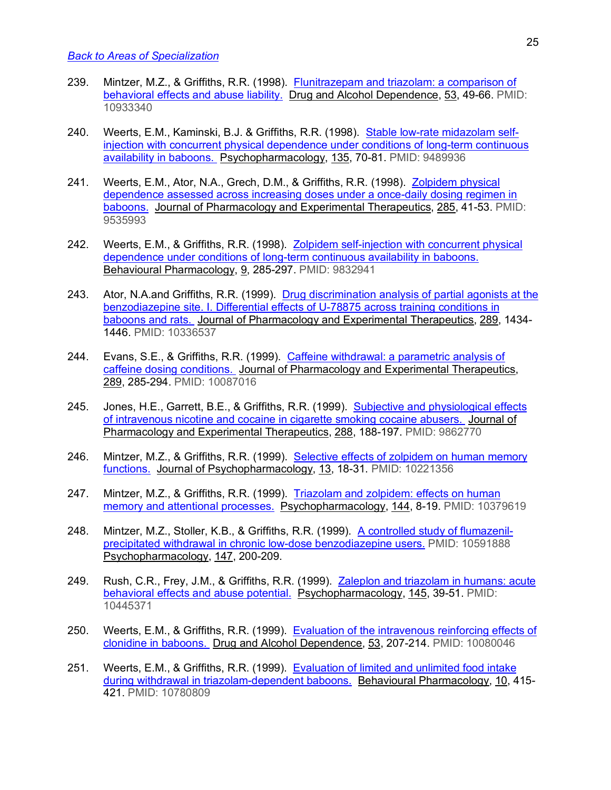- 239. Mintzer, M.Z., & Griffiths, R.R. (1998). Flunitrazepam and triazolam: a comparison of behavioral effects and abuse liability. Drug and Alcohol Dependence, 53, 49-66. PMID: 10933340
- 240. Weerts, E.M., Kaminski, B.J. & Griffiths, R.R. (1998). Stable low-rate midazolam selfinjection with concurrent physical dependence under conditions of long-term continuous availability in baboons. Psychopharmacology, 135, 70-81. PMID: 9489936
- 241. Weerts, E.M., Ator, N.A., Grech, D.M., & Griffiths, R.R. (1998). Zolpidem physical dependence assessed across increasing doses under a once-daily dosing regimen in baboons. Journal of Pharmacology and Experimental Therapeutics, 285, 41-53. PMID: 9535993
- 242. Weerts, E.M., & Griffiths, R.R. (1998). Zolpidem self-injection with concurrent physical dependence under conditions of long-term continuous availability in baboons. Behavioural Pharmacology, 9, 285-297. PMID: 9832941
- 243. Ator, N.A.and Griffiths, R.R. (1999). Drug discrimination analysis of partial agonists at the benzodiazepine site. I. Differential effects of U-78875 across training conditions in baboons and rats. Journal of Pharmacology and Experimental Therapeutics, 289, 1434- 1446. PMID: 10336537
- 244. Evans, S.E., & Griffiths, R.R. (1999). Caffeine withdrawal: a parametric analysis of caffeine dosing conditions. Journal of Pharmacology and Experimental Therapeutics, 289, 285-294. PMID: 10087016
- 245. Jones, H.E., Garrett, B.E., & Griffiths, R.R. (1999). Subjective and physiological effects of intravenous nicotine and cocaine in cigarette smoking cocaine abusers. Journal of Pharmacology and Experimental Therapeutics, 288, 188-197. PMID: 9862770
- 246. Mintzer, M.Z., & Griffiths, R.R. (1999). Selective effects of zolpidem on human memory functions. Journal of Psychopharmacology, 13, 18-31. PMID: 10221356
- 247. Mintzer, M.Z., & Griffiths, R.R. (1999). Triazolam and zolpidem: effects on human memory and attentional processes. Psychopharmacology, 144, 8-19. PMID: 10379619
- 248. Mintzer, M.Z., Stoller, K.B., & Griffiths, R.R. (1999). A controlled study of flumazenilprecipitated withdrawal in chronic low-dose benzodiazepine users. PMID: 10591888 Psychopharmacology, 147, 200-209.
- 249. Rush, C.R., Frey, J.M., & Griffiths, R.R. (1999). Zaleplon and triazolam in humans: acute behavioral effects and abuse potential. Psychopharmacology, 145, 39-51. PMID: 10445371
- 250. Weerts, E.M., & Griffiths, R.R. (1999). Evaluation of the intravenous reinforcing effects of clonidine in baboons. Drug and Alcohol Dependence, 53, 207-214. PMID: 10080046
- 251. Weerts, E.M., & Griffiths, R.R. (1999). Evaluation of limited and unlimited food intake during withdrawal in triazolam-dependent baboons. Behavioural Pharmacology, 10, 415- 421. PMID: 10780809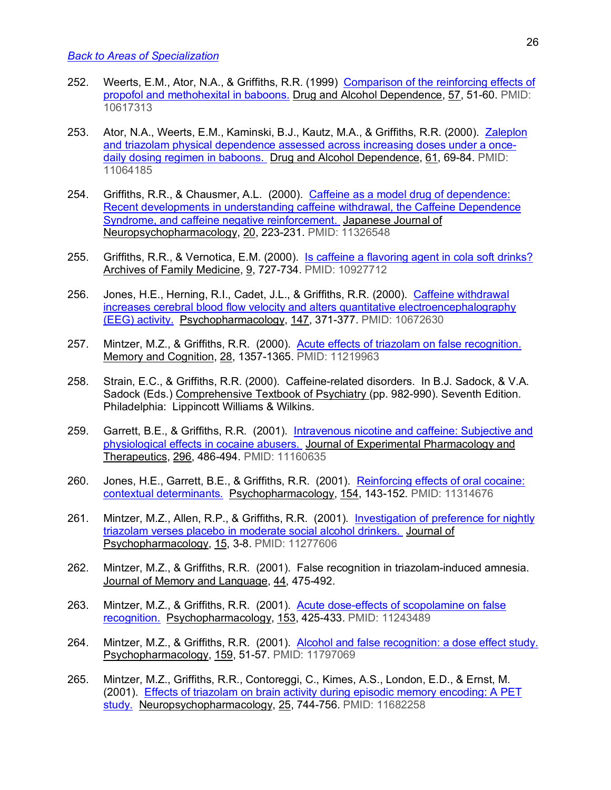- 252. Weerts, E.M., Ator, N.A., & Griffiths, R.R. (1999) Comparison of the reinforcing effects of propofol and methohexital in baboons. Drug and Alcohol Dependence, 57, 51-60. PMID: 10617313
- 253. Ator, N.A., Weerts, E.M., Kaminski, B.J., Kautz, M.A., & Griffiths, R.R. (2000). Zaleplon and triazolam physical dependence assessed across increasing doses under a oncedaily dosing regimen in baboons. Drug and Alcohol Dependence, 61, 69-84. PMID: 11064185
- 254. Griffiths, R.R., & Chausmer, A.L. (2000). Caffeine as a model drug of dependence: Recent developments in understanding caffeine withdrawal, the Caffeine Dependence Syndrome, and caffeine negative reinforcement. Japanese Journal of Neuropsychopharmacology, 20, 223-231. PMID: 11326548
- 255. Griffiths, R.R., & Vernotica, E.M. (2000). Is caffeine a flavoring agent in cola soft drinks? Archives of Family Medicine, 9, 727-734. PMID: 10927712
- 256. Jones, H.E., Herning, R.I., Cadet, J.L., & Griffiths, R.R. (2000). Caffeine withdrawal increases cerebral blood flow velocity and alters quantitative electroencephalography (EEG) activity. Psychopharmacology, 147, 371-377. PMID: 10672630
- 257. Mintzer, M.Z., & Griffiths, R.R. (2000). Acute effects of triazolam on false recognition. Memory and Cognition, 28, 1357-1365. PMID: 11219963
- 258. Strain, E.C., & Griffiths, R.R. (2000). Caffeine-related disorders. In B.J. Sadock, & V.A. Sadock (Eds.) Comprehensive Textbook of Psychiatry (pp. 982-990). Seventh Edition. Philadelphia: Lippincott Williams & Wilkins.
- 259. Garrett, B.E., & Griffiths, R.R. (2001). Intravenous nicotine and caffeine: Subjective and physiological effects in cocaine abusers. Journal of Experimental Pharmacology and Therapeutics, 296, 486-494. PMID: 11160635
- 260. Jones, H.E., Garrett, B.E., & Griffiths, R.R. (2001). Reinforcing effects of oral cocaine: contextual determinants. Psychopharmacology, 154, 143-152. PMID: 11314676
- 261. Mintzer, M.Z., Allen, R.P., & Griffiths, R.R. (2001). Investigation of preference for nightly triazolam verses placebo in moderate social alcohol drinkers. Journal of Psychopharmacology, 15, 3-8. PMID: 11277606
- 262. Mintzer, M.Z., & Griffiths, R.R. (2001). False recognition in triazolam-induced amnesia. Journal of Memory and Language, 44, 475-492.
- 263. Mintzer, M.Z., & Griffiths, R.R. (2001). Acute dose-effects of scopolamine on false recognition. Psychopharmacology, 153, 425-433. PMID: 11243489
- 264. Mintzer, M.Z., & Griffiths, R.R. (2001). Alcohol and false recognition: a dose effect study. Psychopharmacology, 159, 51-57. PMID: 11797069
- 265. Mintzer, M.Z., Griffiths, R.R., Contoreggi, C., Kimes, A.S., London, E.D., & Ernst, M. (2001). Effects of triazolam on brain activity during episodic memory encoding: A PET study. Neuropsychopharmacology, 25, 744-756. PMID: 11682258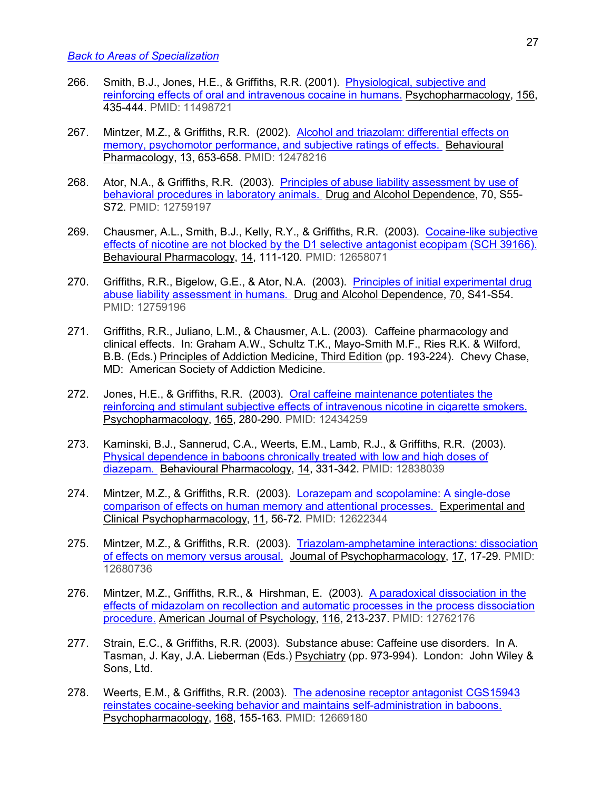- 266. Smith, B.J., Jones, H.E., & Griffiths, R.R. (2001). Physiological, subjective and reinforcing effects of oral and intravenous cocaine in humans. Psychopharmacology, 156, 435-444. PMID: 11498721
- 267. Mintzer, M.Z., & Griffiths, R.R. (2002). Alcohol and triazolam: differential effects on memory, psychomotor performance, and subjective ratings of effects. Behavioural Pharmacology, 13, 653-658. PMID: 12478216
- 268. Ator, N.A., & Griffiths, R.R. (2003). Principles of abuse liability assessment by use of behavioral procedures in laboratory animals. Drug and Alcohol Dependence, 70, S55-S72. PMID: 12759197
- 269. Chausmer, A.L., Smith, B.J., Kelly, R.Y., & Griffiths, R.R. (2003). Cocaine-like subjective effects of nicotine are not blocked by the D1 selective antagonist ecopipam (SCH 39166). Behavioural Pharmacology, 14, 111-120. PMID: 12658071
- 270. Griffiths, R.R., Bigelow, G.E., & Ator, N.A. (2003). Principles of initial experimental drug abuse liability assessment in humans. Drug and Alcohol Dependence, 70, S41-S54. PMID: 12759196
- 271. Griffiths, R.R., Juliano, L.M., & Chausmer, A.L. (2003). Caffeine pharmacology and clinical effects. In: Graham A.W., Schultz T.K., Mayo-Smith M.F., Ries R.K. & Wilford, B.B. (Eds.) Principles of Addiction Medicine, Third Edition (pp. 193-224). Chevy Chase, MD: American Society of Addiction Medicine.
- 272. Jones, H.E., & Griffiths, R.R. (2003). Oral caffeine maintenance potentiates the reinforcing and stimulant subjective effects of intravenous nicotine in cigarette smokers. Psychopharmacology, 165, 280-290. PMID: 12434259
- 273. Kaminski, B.J., Sannerud, C.A., Weerts, E.M., Lamb, R.J., & Griffiths, R.R. (2003). Physical dependence in baboons chronically treated with low and high doses of diazepam. Behavioural Pharmacology, 14, 331-342. PMID: 12838039
- 274. Mintzer, M.Z., & Griffiths, R.R. (2003). Lorazepam and scopolamine: A single-dose comparison of effects on human memory and attentional processes. Experimental and Clinical Psychopharmacology, 11, 56-72. PMID: 12622344
- 275. Mintzer, M.Z., & Griffiths, R.R. (2003). Triazolam-amphetamine interactions: dissociation of effects on memory versus arousal. Journal of Psychopharmacology, 17, 17-29. PMID: 12680736
- 276. Mintzer, M.Z., Griffiths, R.R., & Hirshman, E. (2003). A paradoxical dissociation in the effects of midazolam on recollection and automatic processes in the process dissociation procedure. American Journal of Psychology, 116, 213-237. PMID: 12762176
- 277. Strain, E.C., & Griffiths, R.R. (2003). Substance abuse: Caffeine use disorders. In A. Tasman, J. Kay, J.A. Lieberman (Eds.) Psychiatry (pp. 973-994). London: John Wiley & Sons, Ltd.
- 278. Weerts, E.M., & Griffiths, R.R. (2003). The adenosine receptor antagonist CGS15943 reinstates cocaine-seeking behavior and maintains self-administration in baboons. Psychopharmacology, 168, 155-163. PMID: 12669180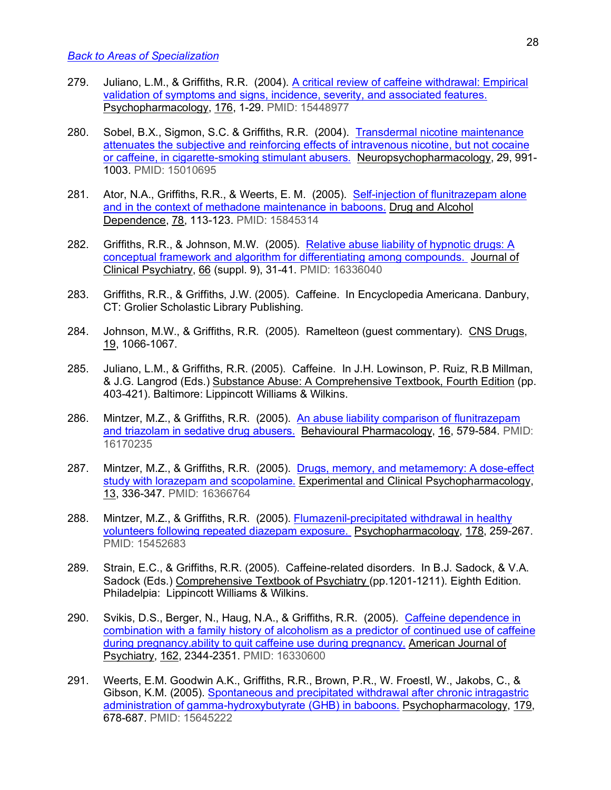- 279. Juliano, L.M., & Griffiths, R.R. (2004). A critical review of caffeine withdrawal: Empirical validation of symptoms and signs, incidence, severity, and associated features. Psychopharmacology, 176, 1-29. PMID: 15448977
- 280. Sobel, B.X., Sigmon, S.C. & Griffiths, R.R. (2004). Transdermal nicotine maintenance attenuates the subjective and reinforcing effects of intravenous nicotine, but not cocaine or caffeine, in cigarette-smoking stimulant abusers. Neuropsychopharmacology, 29, 991- 1003. PMID: 15010695
- 281. Ator, N.A., Griffiths, R.R., & Weerts, E. M. (2005). Self-injection of flunitrazepam alone and in the context of methadone maintenance in baboons. Drug and Alcohol Dependence, 78, 113-123. PMID: 15845314
- 282. Griffiths, R.R., & Johnson, M.W. (2005). Relative abuse liability of hypnotic drugs: A conceptual framework and algorithm for differentiating among compounds. Journal of Clinical Psychiatry, 66 (suppl. 9), 31-41. PMID: 16336040
- 283. Griffiths, R.R., & Griffiths, J.W. (2005). Caffeine. In Encyclopedia Americana. Danbury, CT: Grolier Scholastic Library Publishing.
- 284. Johnson, M.W., & Griffiths, R.R. (2005). Ramelteon (guest commentary). CNS Drugs, 19, 1066-1067.
- 285. Juliano, L.M., & Griffiths, R.R. (2005). Caffeine. In J.H. Lowinson, P. Ruiz, R.B Millman, & J.G. Langrod (Eds.) Substance Abuse: A Comprehensive Textbook, Fourth Edition (pp. 403-421). Baltimore: Lippincott Williams & Wilkins.
- 286. Mintzer, M.Z., & Griffiths, R.R. (2005). An abuse liability comparison of flunitrazepam and triazolam in sedative drug abusers. Behavioural Pharmacology, 16, 579-584. PMID: 16170235
- 287. Mintzer, M.Z., & Griffiths, R.R. (2005). Drugs, memory, and metamemory: A dose-effect study with lorazepam and scopolamine. Experimental and Clinical Psychopharmacology, 13, 336-347. PMID: 16366764
- 288. Mintzer, M.Z., & Griffiths, R.R. (2005). Flumazenil-precipitated withdrawal in healthy volunteers following repeated diazepam exposure. Psychopharmacology, 178, 259-267. PMID: 15452683
- 289. Strain, E.C., & Griffiths, R.R. (2005). Caffeine-related disorders. In B.J. Sadock, & V.A. Sadock (Eds.) Comprehensive Textbook of Psychiatry (pp.1201-1211). Eighth Edition. Philadelpia: Lippincott Williams & Wilkins.
- 290. Svikis, D.S., Berger, N., Haug, N.A., & Griffiths, R.R. (2005). Caffeine dependence in combination with a family history of alcoholism as a predictor of continued use of caffeine during pregnancy.ability to quit caffeine use during pregnancy. American Journal of Psychiatry, 162, 2344-2351. PMID: 16330600
- 291. Weerts, E.M. Goodwin A.K., Griffiths, R.R., Brown, P.R., W. Froestl, W., Jakobs, C., & Gibson, K.M. (2005). Spontaneous and precipitated withdrawal after chronic intragastric administration of gamma-hydroxybutyrate (GHB) in baboons. Psychopharmacology, 179, 678-687. PMID: 15645222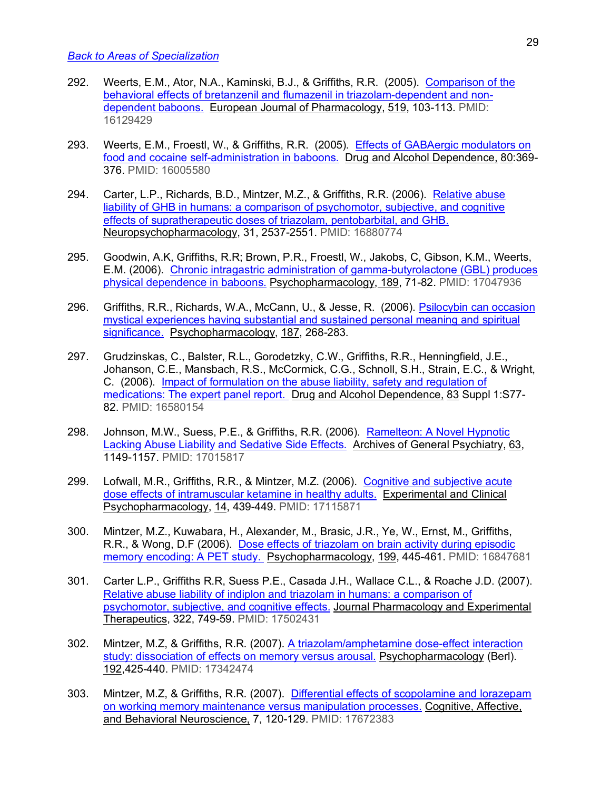- 292. Weerts, E.M., Ator, N.A., Kaminski, B.J., & Griffiths, R.R. (2005). Comparison of the behavioral effects of bretanzenil and flumazenil in triazolam-dependent and nondependent baboons. European Journal of Pharmacology, 519, 103-113. PMID: 16129429
- 293. Weerts, E.M., Froestl, W., & Griffiths, R.R. (2005). Effects of GABAergic modulators on food and cocaine self-administration in baboons. Drug and Alcohol Dependence, 80:369- 376. PMID: 16005580
- 294. Carter, L.P., Richards, B.D., Mintzer, M.Z., & Griffiths, R.R. (2006). Relative abuse liability of GHB in humans: a comparison of psychomotor, subjective, and cognitive effects of supratherapeutic doses of triazolam, pentobarbital, and GHB. Neuropsychopharmacology, 31, 2537-2551. PMID: 16880774
- 295. Goodwin, A.K, Griffiths, R.R; Brown, P.R., Froestl, W., Jakobs, C, Gibson, K.M., Weerts, E.M. (2006). Chronic intragastric administration of gamma-butyrolactone (GBL) produces physical dependence in baboons. Psychopharmacology, 189, 71-82. PMID: 17047936
- 296. Griffiths, R.R., Richards, W.A., McCann, U., & Jesse, R. (2006). Psilocybin can occasion mystical experiences having substantial and sustained personal meaning and spiritual significance. Psychopharmacology, 187, 268-283.
- 297. Grudzinskas, C., Balster, R.L., Gorodetzky, C.W., Griffiths, R.R., Henningfield, J.E., Johanson, C.E., Mansbach, R.S., McCormick, C.G., Schnoll, S.H., Strain, E.C., & Wright, C. (2006). Impact of formulation on the abuse liability, safety and regulation of medications: The expert panel report. Drug and Alcohol Dependence, 83 Suppl 1:S77- 82. PMID: 16580154
- 298. Johnson, M.W., Suess, P.E., & Griffiths, R.R. (2006). Ramelteon: A Novel Hypnotic Lacking Abuse Liability and Sedative Side Effects. Archives of General Psychiatry, 63, 1149-1157. PMID: 17015817
- 299. Lofwall, M.R., Griffiths, R.R., & Mintzer, M.Z. (2006). Cognitive and subjective acute dose effects of intramuscular ketamine in healthy adults. Experimental and Clinical Psychopharmacology, 14, 439-449. PMID: 17115871
- 300. Mintzer, M.Z., Kuwabara, H., Alexander, M., Brasic, J.R., Ye, W., Ernst, M., Griffiths, R.R., & Wong, D.F (2006). Dose effects of triazolam on brain activity during episodic memory encoding: A PET study. Psychopharmacology, 199, 445-461. PMID: 16847681
- 301. Carter L.P., Griffiths R.R, Suess P.E., Casada J.H., Wallace C.L., & Roache J.D. (2007). Relative abuse liability of indiplon and triazolam in humans: a comparison of psychomotor, subjective, and cognitive effects. Journal Pharmacology and Experimental Therapeutics, 322, 749-59. PMID: 17502431
- 302. Mintzer, M.Z, & Griffiths, R.R. (2007). A triazolam/amphetamine dose-effect interaction study: dissociation of effects on memory versus arousal. Psychopharmacology (Berl). 192,425-440. PMID: 17342474
- 303. Mintzer, M.Z, & Griffiths, R.R. (2007). Differential effects of scopolamine and lorazepam on working memory maintenance versus manipulation processes. Cognitive, Affective, and Behavioral Neuroscience, 7, 120-129. PMID: 17672383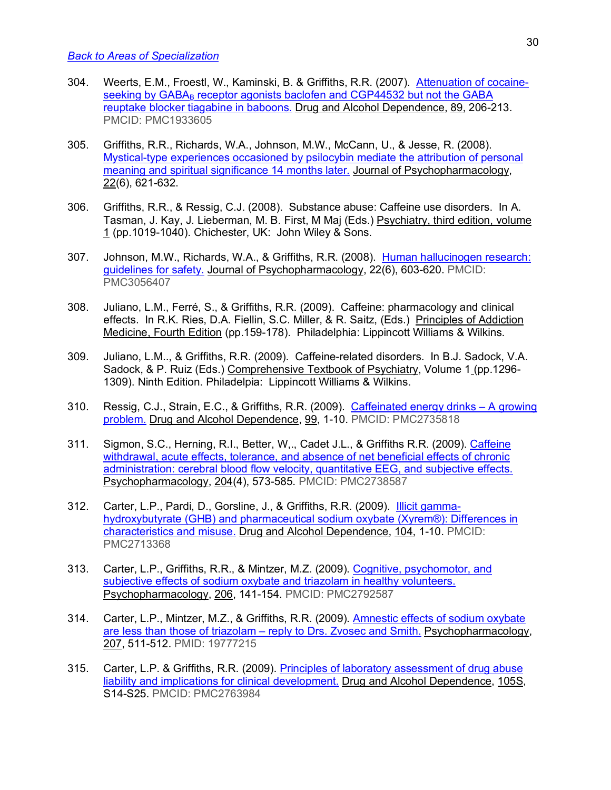- 304. Weerts, E.M., Froestl, W., Kaminski, B. & Griffiths, R.R. (2007). Attenuation of cocaineseeking by  $GABA_B$  receptor agonists baclofen and  $CGP44532$  but not the  $GABA$ reuptake blocker tiagabine in baboons. Drug and Alcohol Dependence, 89, 206-213. PMCID: PMC1933605
- 305. Griffiths, R.R., Richards, W.A., Johnson, M.W., McCann, U., & Jesse, R. (2008). Mystical-type experiences occasioned by psilocybin mediate the attribution of personal meaning and spiritual significance 14 months later. Journal of Psychopharmacology, 22(6), 621-632.
- 306. Griffiths, R.R., & Ressig, C.J. (2008). Substance abuse: Caffeine use disorders. In A. Tasman, J. Kay, J. Lieberman, M. B. First, M Maj (Eds.) Psychiatry, third edition, volume 1 (pp.1019-1040). Chichester, UK: John Wiley & Sons.
- 307. Johnson, M.W., Richards, W.A., & Griffiths, R.R. (2008). Human hallucinogen research: guidelines for safety. Journal of Psychopharmacology, 22(6), 603-620. PMCID: PMC3056407
- 308. Juliano, L.M., Ferré, S., & Griffiths, R.R. (2009). Caffeine: pharmacology and clinical effects. In R.K. Ries, D.A. Fiellin, S.C. Miller, & R. Saitz, (Eds.) Principles of Addiction Medicine, Fourth Edition (pp.159-178). Philadelphia: Lippincott Williams & Wilkins.
- 309. Juliano, L.M.., & Griffiths, R.R. (2009). Caffeine-related disorders. In B.J. Sadock, V.A. Sadock, & P. Ruiz (Eds.) Comprehensive Textbook of Psychiatry, Volume 1 (pp.1296- 1309). Ninth Edition. Philadelpia: Lippincott Williams & Wilkins.
- 310. Ressig, C.J., Strain, E.C., & Griffiths, R.R. (2009). Caffeinated energy drinks A growing problem. Drug and Alcohol Dependence, 99, 1-10. PMCID: PMC2735818
- 311. Sigmon, S.C., Herning, R.I., Better, W,., Cadet J.L., & Griffiths R.R. (2009). Caffeine withdrawal, acute effects, tolerance, and absence of net beneficial effects of chronic administration: cerebral blood flow velocity, quantitative EEG, and subjective effects. Psychopharmacology, 204(4), 573-585. PMCID: PMC2738587
- 312. Carter, L.P., Pardi, D., Gorsline, J., & Griffiths, R.R. (2009). Illicit gammahydroxybutyrate (GHB) and pharmaceutical sodium oxybate (Xyrem®): Differences in characteristics and misuse. Drug and Alcohol Dependence, 104, 1-10. PMCID: PMC2713368
- 313. Carter, L.P., Griffiths, R.R., & Mintzer, M.Z. (2009). Cognitive, psychomotor, and subjective effects of sodium oxybate and triazolam in healthy volunteers. Psychopharmacology, 206, 141-154. PMCID: PMC2792587
- 314. Carter, L.P., Mintzer, M.Z., & Griffiths, R.R. (2009). Amnestic effects of sodium oxybate are less than those of triazolam - reply to Drs. Zvosec and Smith. Psychopharmacology, 207, 511-512. PMID: 19777215
- 315. Carter, L.P. & Griffiths, R.R. (2009). Principles of laboratory assessment of drug abuse liability and implications for clinical development. Drug and Alcohol Dependence, 105S, S14-S25. PMCID: PMC2763984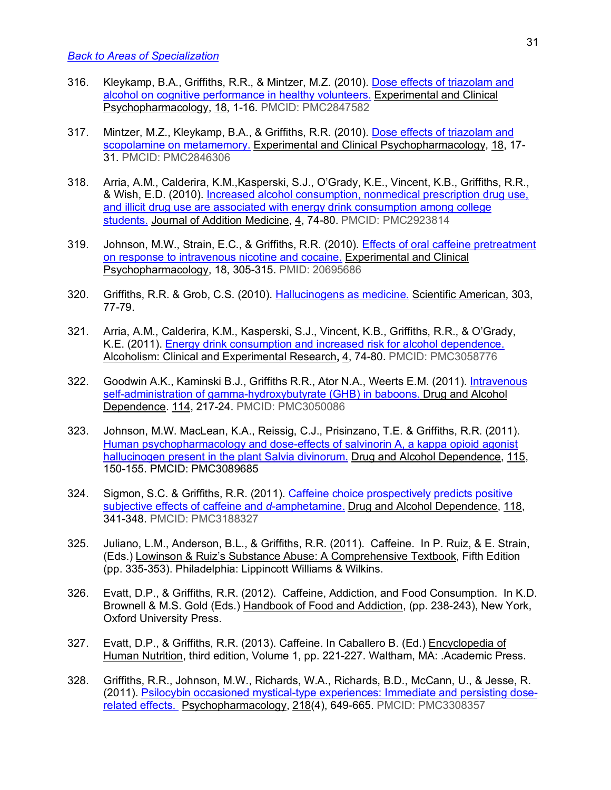- 316. Kleykamp, B.A., Griffiths, R.R., & Mintzer, M.Z. (2010). Dose effects of triazolam and alcohol on cognitive performance in healthy volunteers. Experimental and Clinical Psychopharmacology, 18, 1-16. PMCID: PMC2847582
- 317. Mintzer, M.Z., Kleykamp, B.A., & Griffiths, R.R. (2010). Dose effects of triazolam and scopolamine on metamemory. Experimental and Clinical Psychopharmacology, 18, 17- 31. PMCID: PMC2846306
- 318. Arria, A.M., Calderira, K.M.,Kasperski, S.J., O'Grady, K.E., Vincent, K.B., Griffiths, R.R., & Wish, E.D. (2010). Increased alcohol consumption, nonmedical prescription drug use, and illicit drug use are associated with energy drink consumption among college students. Journal of Addition Medicine, 4, 74-80. PMCID: PMC2923814
- 319. Johnson, M.W., Strain, E.C., & Griffiths, R.R. (2010). Effects of oral caffeine pretreatment on response to intravenous nicotine and cocaine. Experimental and Clinical Psychopharmacology, 18, 305-315. PMID: 20695686
- 320. Griffiths, R.R. & Grob, C.S. (2010). Hallucinogens as medicine. Scientific American, 303, 77-79.
- 321. Arria, A.M., Calderira, K.M., Kasperski, S.J., Vincent, K.B., Griffiths, R.R., & O'Grady, K.E. (2011). Energy drink consumption and increased risk for alcohol dependence. Alcoholism: Clinical and Experimental Research**,** 4, 74-80. PMCID: PMC3058776
- 322. Goodwin A.K., Kaminski B.J., Griffiths R.R., Ator N.A., Weerts E.M. (2011). Intravenous self-administration of gamma-hydroxybutyrate (GHB) in baboons. Drug and Alcohol Dependence. 114, 217-24. PMCID: PMC3050086
- 323. Johnson, M.W. MacLean, K.A., Reissig, C.J., Prisinzano, T.E. & Griffiths, R.R. (2011). Human psychopharmacology and dose-effects of salvinorin A, a kappa opioid agonist hallucinogen present in the plant Salvia divinorum. Drug and Alcohol Dependence, 115, 150-155. PMCID: PMC3089685
- 324. Sigmon, S.C. & Griffiths, R.R. (2011). Caffeine choice prospectively predicts positive subjective effects of caffeine and *d*-amphetamine. Drug and Alcohol Dependence, 118, 341-348. PMCID: PMC3188327
- 325. Juliano, L.M., Anderson, B.L., & Griffiths, R.R. (2011). Caffeine. In P. Ruiz, & E. Strain, (Eds.) Lowinson & Ruiz's Substance Abuse: A Comprehensive Textbook, Fifth Edition (pp. 335-353). Philadelphia: Lippincott Williams & Wilkins.
- 326. Evatt, D.P., & Griffiths, R.R. (2012). Caffeine, Addiction, and Food Consumption. In K.D. Brownell & M.S. Gold (Eds.) Handbook of Food and Addiction, (pp. 238-243), New York, Oxford University Press.
- 327. Evatt, D.P., & Griffiths, R.R. (2013). Caffeine. In Caballero B. (Ed.) Encyclopedia of Human Nutrition, third edition, Volume 1, pp. 221-227. Waltham, MA: .Academic Press.
- 328. Griffiths, R.R., Johnson, M.W., Richards, W.A., Richards, B.D., McCann, U., & Jesse, R. (2011). Psilocybin occasioned mystical-type experiences: Immediate and persisting doserelated effects. Psychopharmacology, 218(4), 649-665. PMCID: PMC3308357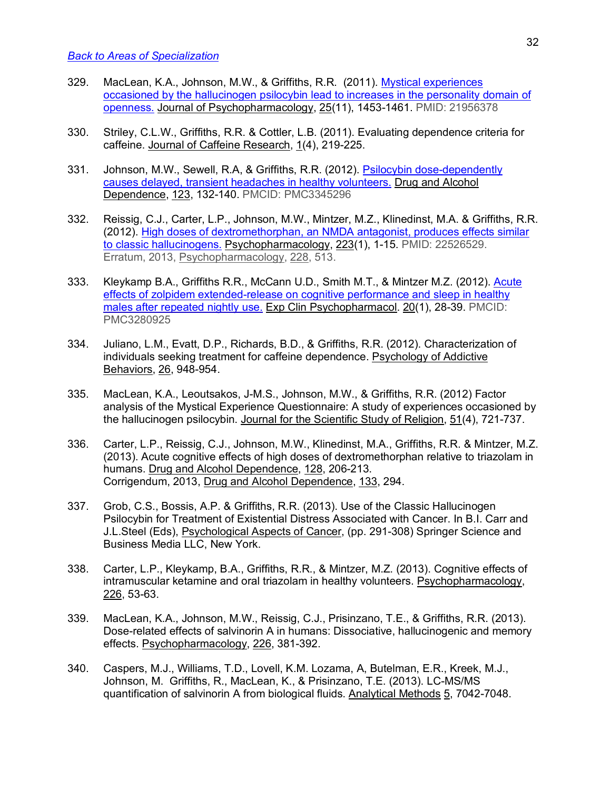- 329. MacLean, K.A., Johnson, M.W., & Griffiths, R.R. (2011). Mystical experiences occasioned by the hallucinogen psilocybin lead to increases in the personality domain of openness. Journal of Psychopharmacology, 25(11), 1453-1461. PMID: 21956378
- 330. Striley, C.L.W., Griffiths, R.R. & Cottler, L.B. (2011). Evaluating dependence criteria for caffeine. Journal of Caffeine Research, 1(4), 219-225.
- 331. Johnson, M.W., Sewell, R.A, & Griffiths, R.R. (2012). Psilocybin dose-dependently causes delayed, transient headaches in healthy volunteers. Drug and Alcohol Dependence, 123, 132-140. PMCID: PMC3345296
- 332. Reissig, C.J., Carter, L.P., Johnson, M.W., Mintzer, M.Z., Klinedinst, M.A. & Griffiths, R.R. (2012). High doses of dextromethorphan, an NMDA antagonist, produces effects similar to classic hallucinogens. Psychopharmacology, 223(1), 1-15. PMID: 22526529. Erratum, 2013, Psychopharmacology, 228, 513.
- 333. Kleykamp B.A., Griffiths R.R., McCann U.D., Smith M.T., & Mintzer M.Z. (2012). Acute effects of zolpidem extended-release on cognitive performance and sleep in healthy males after repeated nightly use. Exp Clin Psychopharmacol. 20(1), 28-39. PMCID: PMC3280925
- 334. Juliano, L.M., Evatt, D.P., Richards, B.D., & Griffiths, R.R. (2012). Characterization of individuals seeking treatment for caffeine dependence. Psychology of Addictive Behaviors, 26, 948-954.
- 335. MacLean, K.A., Leoutsakos, J-M.S., Johnson, M.W., & Griffiths, R.R. (2012) Factor analysis of the Mystical Experience Questionnaire: A study of experiences occasioned by the hallucinogen psilocybin. Journal for the Scientific Study of Religion, 51(4), 721-737.
- 336. Carter, L.P., Reissig, C.J., Johnson, M.W., Klinedinst, M.A., Griffiths, R.R. & Mintzer, M.Z. (2013). Acute cognitive effects of high doses of dextromethorphan relative to triazolam in humans. Drug and Alcohol Dependence, 128, 206-213. Corrigendum, 2013, Drug and Alcohol Dependence, 133, 294.
- 337. Grob, C.S., Bossis, A.P. & Griffiths, R.R. (2013). Use of the Classic Hallucinogen Psilocybin for Treatment of Existential Distress Associated with Cancer. In B.I. Carr and J.L.Steel (Eds), Psychological Aspects of Cancer, (pp. 291-308) Springer Science and Business Media LLC, New York.
- 338. Carter, L.P., Kleykamp, B.A., Griffiths, R.R., & Mintzer, M.Z. (2013). Cognitive effects of intramuscular ketamine and oral triazolam in healthy volunteers. Psychopharmacology, 226, 53-63.
- 339. MacLean, K.A., Johnson, M.W., Reissig, C.J., Prisinzano, T.E., & Griffiths, R.R. (2013). Dose-related effects of salvinorin A in humans: Dissociative, hallucinogenic and memory effects. Psychopharmacology, 226, 381-392.
- 340. Caspers, M.J., Williams, T.D., Lovell, K.M. Lozama, A, Butelman, E.R., Kreek, M.J., Johnson, M. Griffiths, R., MacLean, K., & Prisinzano, T.E. (2013). LC-MS/MS quantification of salvinorin A from biological fluids. Analytical Methods 5, 7042-7048.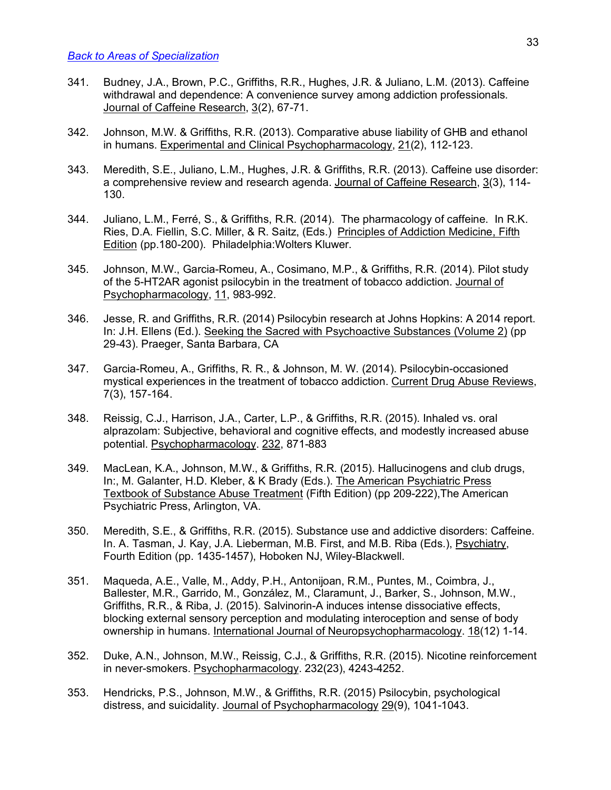- 341. Budney, J.A., Brown, P.C., Griffiths, R.R., Hughes, J.R. & Juliano, L.M. (2013). Caffeine withdrawal and dependence: A convenience survey among addiction professionals. Journal of Caffeine Research, 3(2), 67-71.
- 342. Johnson, M.W. & Griffiths, R.R. (2013). Comparative abuse liability of GHB and ethanol in humans. Experimental and Clinical Psychopharmacology, 21(2), 112-123.
- 343. Meredith, S.E., Juliano, L.M., Hughes, J.R. & Griffiths, R.R. (2013). Caffeine use disorder: a comprehensive review and research agenda. Journal of Caffeine Research, 3(3), 114- 130.
- 344. Juliano, L.M., Ferré, S., & Griffiths, R.R. (2014). The pharmacology of caffeine. In R.K. Ries, D.A. Fiellin, S.C. Miller, & R. Saitz, (Eds.) Principles of Addiction Medicine, Fifth Edition (pp.180-200). Philadelphia:Wolters Kluwer.
- 345. Johnson, M.W., Garcia-Romeu, A., Cosimano, M.P., & Griffiths, R.R. (2014). Pilot study of the 5-HT2AR agonist psilocybin in the treatment of tobacco addiction. Journal of Psychopharmacology, 11, 983-992.
- 346. Jesse, R. and Griffiths, R.R. (2014) Psilocybin research at Johns Hopkins: A 2014 report. In: J.H. Ellens (Ed.). Seeking the Sacred with Psychoactive Substances (Volume 2) (pp 29-43). Praeger, Santa Barbara, CA
- 347. Garcia-Romeu, A., Griffiths, R. R., & Johnson, M. W. (2014). Psilocybin-occasioned mystical experiences in the treatment of tobacco addiction. Current Drug Abuse Reviews, 7(3), 157-164.
- 348. Reissig, C.J., Harrison, J.A., Carter, L.P., & Griffiths, R.R. (2015). Inhaled vs. oral alprazolam: Subjective, behavioral and cognitive effects, and modestly increased abuse potential. Psychopharmacology. 232, 871-883
- 349. MacLean, K.A., Johnson, M.W., & Griffiths, R.R. (2015). Hallucinogens and club drugs, In:, M. Galanter, H.D. Kleber, & K Brady (Eds.). The American Psychiatric Press Textbook of Substance Abuse Treatment (Fifth Edition) (pp 209-222),The American Psychiatric Press, Arlington, VA.
- 350. Meredith, S.E., & Griffiths, R.R. (2015). Substance use and addictive disorders: Caffeine. In. A. Tasman, J. Kay, J.A. Lieberman, M.B. First, and M.B. Riba (Eds.), Psychiatry, Fourth Edition (pp. 1435-1457), Hoboken NJ, Wiley-Blackwell.
- 351. Maqueda, A.E., Valle, M., Addy, P.H., Antonijoan, R.M., Puntes, M., Coimbra, J., Ballester, M.R., Garrido, M., González, M., Claramunt, J., Barker, S., Johnson, M.W., Griffiths, R.R., & Riba, J. (2015). Salvinorin-A induces intense dissociative effects, blocking external sensory perception and modulating interoception and sense of body ownership in humans. International Journal of Neuropsychopharmacology. 18(12) 1-14.
- 352. Duke, A.N., Johnson, M.W., Reissig, C.J., & Griffiths, R.R. (2015). Nicotine reinforcement in never-smokers. Psychopharmacology. 232(23), 4243-4252.
- 353. Hendricks, P.S., Johnson, M.W., & Griffiths, R.R. (2015) Psilocybin, psychological distress, and suicidality. Journal of Psychopharmacology 29(9), 1041-1043.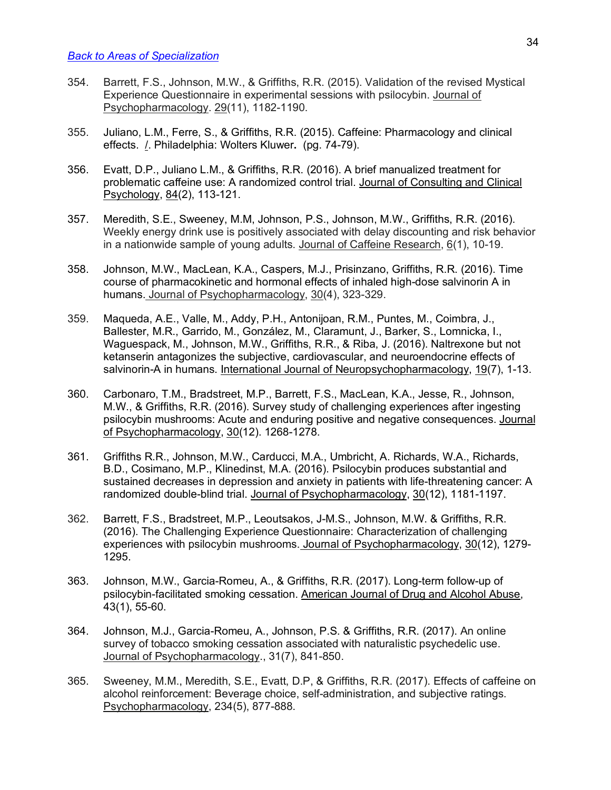- 354. Barrett, F.S., Johnson, M.W., & Griffiths, R.R. (2015). Validation of the revised Mystical Experience Questionnaire in experimental sessions with psilocybin. Journal of Psychopharmacology. 29(11), 1182-1190.
- 355. Juliano, L.M., Ferre, S., & Griffiths, R.R. (2015). Caffeine: Pharmacology and clinical effects. /. Philadelphia: Wolters Kluwer**.** (pg. 74-79).
- 356. Evatt, D.P., Juliano L.M., & Griffiths, R.R. (2016). A brief manualized treatment for problematic caffeine use: A randomized control trial. Journal of Consulting and Clinical Psychology, 84(2), 113-121.
- 357. Meredith, S.E., Sweeney, M.M, Johnson, P.S., Johnson, M.W., Griffiths, R.R. (2016). Weekly energy drink use is positively associated with delay discounting and risk behavior in a nationwide sample of young adults. Journal of Caffeine Research, 6(1), 10-19.
- 358. Johnson, M.W., MacLean, K.A., Caspers, M.J., Prisinzano, Griffiths, R.R. (2016). Time course of pharmacokinetic and hormonal effects of inhaled high-dose salvinorin A in humans. Journal of Psychopharmacology, 30(4), 323-329.
- 359. Maqueda, A.E., Valle, M., Addy, P.H., Antonijoan, R.M., Puntes, M., Coimbra, J., Ballester, M.R., Garrido, M., González, M., Claramunt, J., Barker, S., Lomnicka, I., Waguespack, M., Johnson, M.W., Griffiths, R.R., & Riba, J. (2016). Naltrexone but not ketanserin antagonizes the subjective, cardiovascular, and neuroendocrine effects of salvinorin-A in humans. International Journal of Neuropsychopharmacology, 19(7), 1-13.
- 360. Carbonaro, T.M., Bradstreet, M.P., Barrett, F.S., MacLean, K.A., Jesse, R., Johnson, M.W., & Griffiths, R.R. (2016). Survey study of challenging experiences after ingesting psilocybin mushrooms: Acute and enduring positive and negative consequences. Journal of Psychopharmacology,  $30(12)$ . 1268-1278.
- 361. Griffiths R.R., Johnson, M.W., Carducci, M.A., Umbricht, A. Richards, W.A., Richards, B.D., Cosimano, M.P., Klinedinst, M.A. (2016). Psilocybin produces substantial and sustained decreases in depression and anxiety in patients with life-threatening cancer: A randomized double-blind trial. Journal of Psychopharmacology, 30(12), 1181-1197.
- 362. Barrett, F.S., Bradstreet, M.P., Leoutsakos, J-M.S., Johnson, M.W. & Griffiths, R.R. (2016). The Challenging Experience Questionnaire: Characterization of challenging experiences with psilocybin mushrooms. Journal of Psychopharmacology, 30(12), 1279- 1295.
- 363. Johnson, M.W., Garcia-Romeu, A., & Griffiths, R.R. (2017). Long-term follow-up of psilocybin-facilitated smoking cessation. American Journal of Drug and Alcohol Abuse, 43(1), 55-60.
- 364. Johnson, M.J., Garcia-Romeu, A., Johnson, P.S. & Griffiths, R.R. (2017). An online survey of tobacco smoking cessation associated with naturalistic psychedelic use. Journal of Psychopharmacology., 31(7), 841-850.
- 365. Sweeney, M.M., Meredith, S.E., Evatt, D.P, & Griffiths, R.R. (2017). Effects of caffeine on alcohol reinforcement: Beverage choice, self-administration, and subjective ratings. Psychopharmacology, 234(5), 877-888.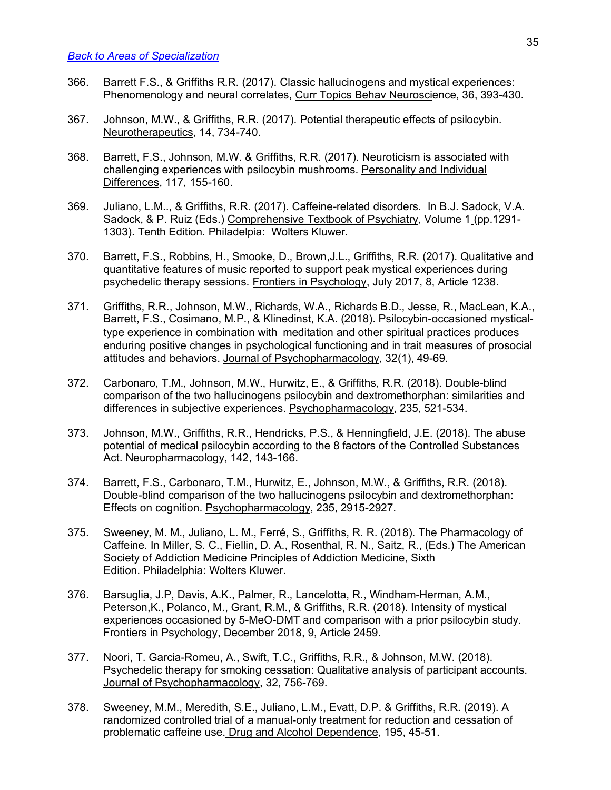- 366. Barrett F.S., & Griffiths R.R. (2017). Classic hallucinogens and mystical experiences: Phenomenology and neural correlates, Curr Topics Behav Neuroscience, 36, 393-430.
- 367. Johnson, M.W., & Griffiths, R.R. (2017). Potential therapeutic effects of psilocybin. Neurotherapeutics, 14, 734-740.
- 368. Barrett, F.S., Johnson, M.W. & Griffiths, R.R. (2017). Neuroticism is associated with challenging experiences with psilocybin mushrooms. Personality and Individual Differences, 117, 155-160.
- 369. Juliano, L.M.., & Griffiths, R.R. (2017). Caffeine-related disorders. In B.J. Sadock, V.A. Sadock, & P. Ruiz (Eds.) Comprehensive Textbook of Psychiatry, Volume 1 (pp.1291- 1303). Tenth Edition. Philadelpia: Wolters Kluwer.
- 370. Barrett, F.S., Robbins, H., Smooke, D., Brown,J.L., Griffiths, R.R. (2017). Qualitative and quantitative features of music reported to support peak mystical experiences during psychedelic therapy sessions. Frontiers in Psychology, July 2017, 8, Article 1238.
- 371. Griffiths, R.R., Johnson, M.W., Richards, W.A., Richards B.D., Jesse, R., MacLean, K.A., Barrett, F.S., Cosimano, M.P., & Klinedinst, K.A. (2018). Psilocybin-occasioned mysticaltype experience in combination with meditation and other spiritual practices produces enduring positive changes in psychological functioning and in trait measures of prosocial attitudes and behaviors. Journal of Psychopharmacology, 32(1), 49-69.
- 372. Carbonaro, T.M., Johnson, M.W., Hurwitz, E., & Griffiths, R.R. (2018). Double-blind comparison of the two hallucinogens psilocybin and dextromethorphan: similarities and differences in subjective experiences. Psychopharmacology, 235, 521-534.
- 373. Johnson, M.W., Griffiths, R.R., Hendricks, P.S., & Henningfield, J.E. (2018). The abuse potential of medical psilocybin according to the 8 factors of the Controlled Substances Act. Neuropharmacology, 142, 143-166.
- 374. Barrett, F.S., Carbonaro, T.M., Hurwitz, E., Johnson, M.W., & Griffiths, R.R. (2018). Double-blind comparison of the two hallucinogens psilocybin and dextromethorphan: Effects on cognition. Psychopharmacology, 235, 2915-2927.
- 375. Sweeney, M. M., Juliano, L. M., Ferré, S., Griffiths, R. R. (2018). The Pharmacology of Caffeine. In Miller, S. C., Fiellin, D. A., Rosenthal, R. N., Saitz, R., (Eds.) The American Society of Addiction Medicine Principles of Addiction Medicine, Sixth Edition. Philadelphia: Wolters Kluwer.
- 376. Barsuglia, J.P, Davis, A.K., Palmer, R., Lancelotta, R., Windham-Herman, A.M., Peterson,K., Polanco, M., Grant, R.M., & Griffiths, R.R. (2018). Intensity of mystical experiences occasioned by 5-MeO-DMT and comparison with a prior psilocybin study. Frontiers in Psychology, December 2018, 9, Article 2459.
- 377. Noori, T. Garcia-Romeu, A., Swift, T.C., Griffiths, R.R., & Johnson, M.W. (2018). Psychedelic therapy for smoking cessation: Qualitative analysis of participant accounts. Journal of Psychopharmacology, 32, 756-769.
- 378. Sweeney, M.M., Meredith, S.E., Juliano, L.M., Evatt, D.P. & Griffiths, R.R. (2019). A randomized controlled trial of a manual-only treatment for reduction and cessation of problematic caffeine use. Drug and Alcohol Dependence, 195, 45-51.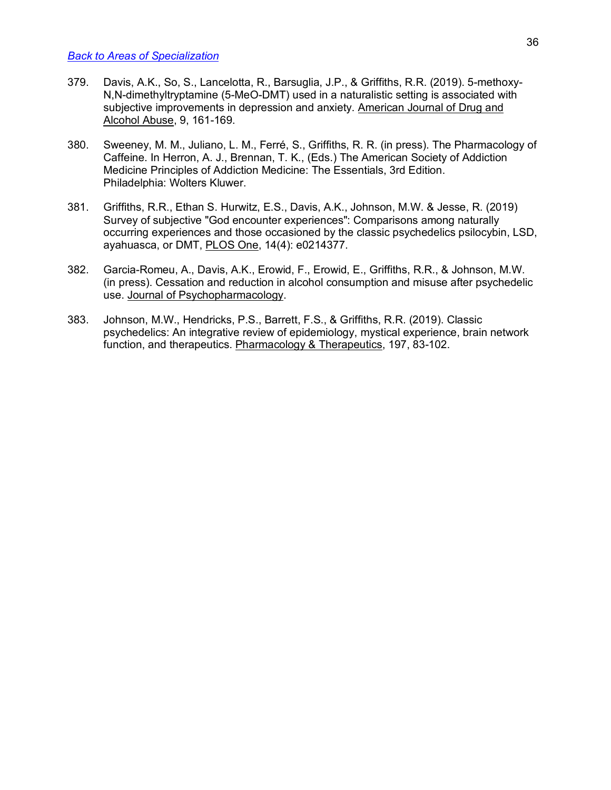- 379. Davis, A.K., So, S., Lancelotta, R., Barsuglia, J.P., & Griffiths, R.R. (2019). 5-methoxy-N,N-dimethyltryptamine (5-MeO-DMT) used in a naturalistic setting is associated with subjective improvements in depression and anxiety. American Journal of Drug and Alcohol Abuse, 9, 161-169.
- 380. Sweeney, M. M., Juliano, L. M., Ferré, S., Griffiths, R. R. (in press). The Pharmacology of Caffeine. In Herron, A. J., Brennan, T. K., (Eds.) The American Society of Addiction Medicine Principles of Addiction Medicine: The Essentials, 3rd Edition. Philadelphia: Wolters Kluwer.
- 381. Griffiths, R.R., Ethan S. Hurwitz, E.S., Davis, A.K., Johnson, M.W. & Jesse, R. (2019) Survey of subjective "God encounter experiences": Comparisons among naturally occurring experiences and those occasioned by the classic psychedelics psilocybin, LSD, ayahuasca, or DMT, PLOS One, 14(4): e0214377.
- 382. Garcia-Romeu, A., Davis, A.K., Erowid, F., Erowid, E., Griffiths, R.R., & Johnson, M.W. (in press). Cessation and reduction in alcohol consumption and misuse after psychedelic use. Journal of Psychopharmacology.
- 383. Johnson, M.W., Hendricks, P.S., Barrett, F.S., & Griffiths, R.R. (2019). Classic psychedelics: An integrative review of epidemiology, mystical experience, brain network function, and therapeutics. Pharmacology & Therapeutics, 197, 83-102.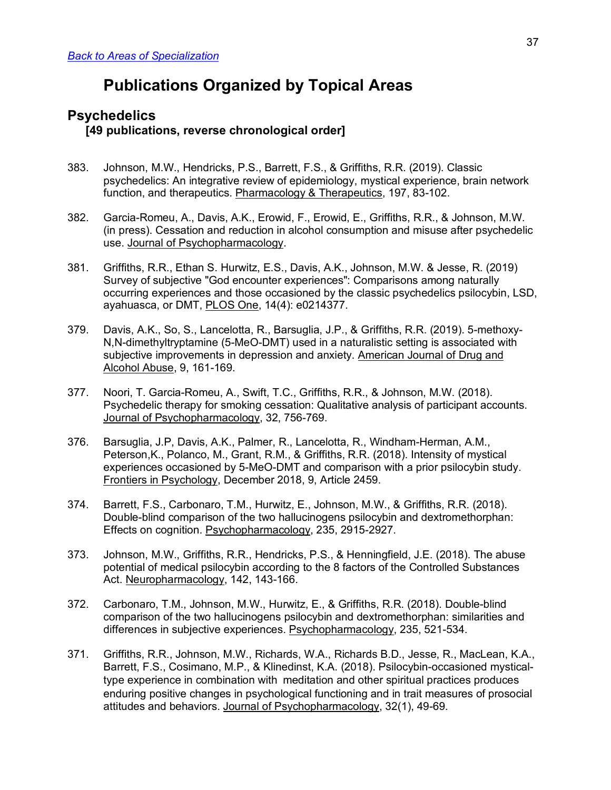# **Publications Organized by Topical Areas**

## **Psychedelics [49 publications, reverse chronological order]**

- 383. Johnson, M.W., Hendricks, P.S., Barrett, F.S., & Griffiths, R.R. (2019). Classic psychedelics: An integrative review of epidemiology, mystical experience, brain network function, and therapeutics. Pharmacology & Therapeutics, 197, 83-102.
- 382. Garcia-Romeu, A., Davis, A.K., Erowid, F., Erowid, E., Griffiths, R.R., & Johnson, M.W. (in press). Cessation and reduction in alcohol consumption and misuse after psychedelic use. Journal of Psychopharmacology.
- 381. Griffiths, R.R., Ethan S. Hurwitz, E.S., Davis, A.K., Johnson, M.W. & Jesse, R. (2019) Survey of subjective "God encounter experiences": Comparisons among naturally occurring experiences and those occasioned by the classic psychedelics psilocybin, LSD, ayahuasca, or DMT, PLOS One, 14(4): e0214377.
- 379. Davis, A.K., So, S., Lancelotta, R., Barsuglia, J.P., & Griffiths, R.R. (2019). 5-methoxy-N,N-dimethyltryptamine (5-MeO-DMT) used in a naturalistic setting is associated with subjective improvements in depression and anxiety. American Journal of Drug and Alcohol Abuse, 9, 161-169.
- 377. Noori, T. Garcia-Romeu, A., Swift, T.C., Griffiths, R.R., & Johnson, M.W. (2018). Psychedelic therapy for smoking cessation: Qualitative analysis of participant accounts. Journal of Psychopharmacology, 32, 756-769.
- 376. Barsuglia, J.P, Davis, A.K., Palmer, R., Lancelotta, R., Windham-Herman, A.M., Peterson,K., Polanco, M., Grant, R.M., & Griffiths, R.R. (2018). Intensity of mystical experiences occasioned by 5-MeO-DMT and comparison with a prior psilocybin study. Frontiers in Psychology, December 2018, 9, Article 2459.
- 374. Barrett, F.S., Carbonaro, T.M., Hurwitz, E., Johnson, M.W., & Griffiths, R.R. (2018). Double-blind comparison of the two hallucinogens psilocybin and dextromethorphan: Effects on cognition. Psychopharmacology, 235, 2915-2927.
- 373. Johnson, M.W., Griffiths, R.R., Hendricks, P.S., & Henningfield, J.E. (2018). The abuse potential of medical psilocybin according to the 8 factors of the Controlled Substances Act. Neuropharmacology, 142, 143-166.
- 372. Carbonaro, T.M., Johnson, M.W., Hurwitz, E., & Griffiths, R.R. (2018). Double-blind comparison of the two hallucinogens psilocybin and dextromethorphan: similarities and differences in subjective experiences. Psychopharmacology, 235, 521-534.
- 371. Griffiths, R.R., Johnson, M.W., Richards, W.A., Richards B.D., Jesse, R., MacLean, K.A., Barrett, F.S., Cosimano, M.P., & Klinedinst, K.A. (2018). Psilocybin-occasioned mysticaltype experience in combination with meditation and other spiritual practices produces enduring positive changes in psychological functioning and in trait measures of prosocial attitudes and behaviors. Journal of Psychopharmacology, 32(1), 49-69.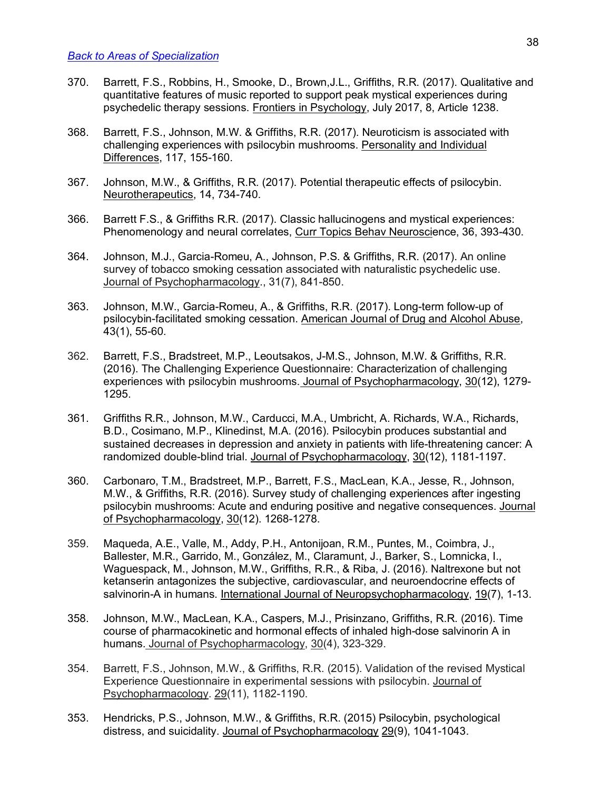- 370. Barrett, F.S., Robbins, H., Smooke, D., Brown,J.L., Griffiths, R.R. (2017). Qualitative and quantitative features of music reported to support peak mystical experiences during psychedelic therapy sessions. Frontiers in Psychology, July 2017, 8, Article 1238.
- 368. Barrett, F.S., Johnson, M.W. & Griffiths, R.R. (2017). Neuroticism is associated with challenging experiences with psilocybin mushrooms. Personality and Individual Differences, 117, 155-160.
- 367. Johnson, M.W., & Griffiths, R.R. (2017). Potential therapeutic effects of psilocybin. Neurotherapeutics, 14, 734-740.
- 366. Barrett F.S., & Griffiths R.R. (2017). Classic hallucinogens and mystical experiences: Phenomenology and neural correlates, Curr Topics Behav Neuroscience, 36, 393-430.
- 364. Johnson, M.J., Garcia-Romeu, A., Johnson, P.S. & Griffiths, R.R. (2017). An online survey of tobacco smoking cessation associated with naturalistic psychedelic use. Journal of Psychopharmacology., 31(7), 841-850.
- 363. Johnson, M.W., Garcia-Romeu, A., & Griffiths, R.R. (2017). Long-term follow-up of psilocybin-facilitated smoking cessation. American Journal of Drug and Alcohol Abuse, 43(1), 55-60.
- 362. Barrett, F.S., Bradstreet, M.P., Leoutsakos, J-M.S., Johnson, M.W. & Griffiths, R.R. (2016). The Challenging Experience Questionnaire: Characterization of challenging experiences with psilocybin mushrooms. Journal of Psychopharmacology, 30(12), 1279- 1295.
- 361. Griffiths R.R., Johnson, M.W., Carducci, M.A., Umbricht, A. Richards, W.A., Richards, B.D., Cosimano, M.P., Klinedinst, M.A. (2016). Psilocybin produces substantial and sustained decreases in depression and anxiety in patients with life-threatening cancer: A randomized double-blind trial. Journal of Psychopharmacology, 30(12), 1181-1197.
- 360. Carbonaro, T.M., Bradstreet, M.P., Barrett, F.S., MacLean, K.A., Jesse, R., Johnson, M.W., & Griffiths, R.R. (2016). Survey study of challenging experiences after ingesting psilocybin mushrooms: Acute and enduring positive and negative consequences. Journal of Psychopharmacology, 30(12). 1268-1278.
- 359. Maqueda, A.E., Valle, M., Addy, P.H., Antonijoan, R.M., Puntes, M., Coimbra, J., Ballester, M.R., Garrido, M., González, M., Claramunt, J., Barker, S., Lomnicka, I., Waguespack, M., Johnson, M.W., Griffiths, R.R., & Riba, J. (2016). Naltrexone but not ketanserin antagonizes the subjective, cardiovascular, and neuroendocrine effects of salvinorin-A in humans. International Journal of Neuropsychopharmacology, 19(7), 1-13.
- 358. Johnson, M.W., MacLean, K.A., Caspers, M.J., Prisinzano, Griffiths, R.R. (2016). Time course of pharmacokinetic and hormonal effects of inhaled high-dose salvinorin A in humans. Journal of Psychopharmacology, 30(4), 323-329.
- 354. Barrett, F.S., Johnson, M.W., & Griffiths, R.R. (2015). Validation of the revised Mystical Experience Questionnaire in experimental sessions with psilocybin. Journal of Psychopharmacology. 29(11), 1182-1190.
- 353. Hendricks, P.S., Johnson, M.W., & Griffiths, R.R. (2015) Psilocybin, psychological distress, and suicidality. Journal of Psychopharmacology 29(9), 1041-1043.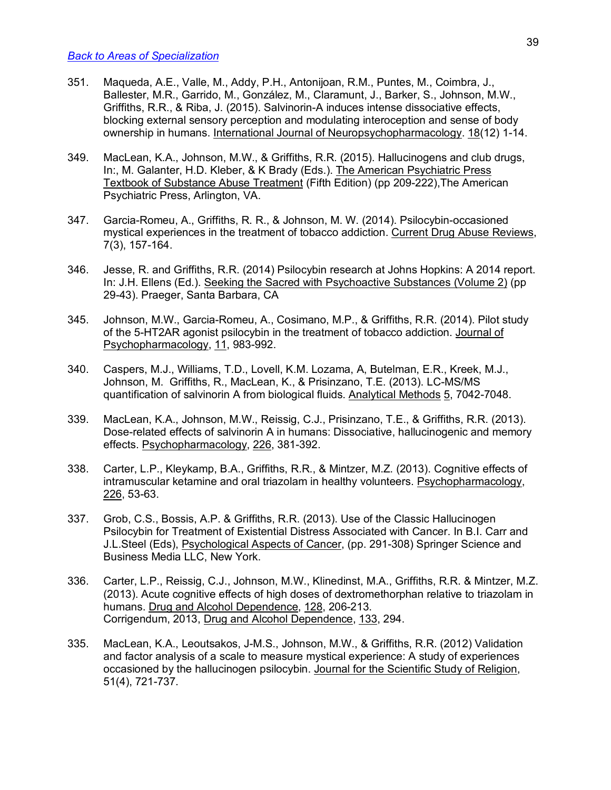- 351. Maqueda, A.E., Valle, M., Addy, P.H., Antonijoan, R.M., Puntes, M., Coimbra, J., Ballester, M.R., Garrido, M., González, M., Claramunt, J., Barker, S., Johnson, M.W., Griffiths, R.R., & Riba, J. (2015). Salvinorin-A induces intense dissociative effects, blocking external sensory perception and modulating interoception and sense of body ownership in humans. International Journal of Neuropsychopharmacology. 18(12) 1-14.
- 349. MacLean, K.A., Johnson, M.W., & Griffiths, R.R. (2015). Hallucinogens and club drugs, In:, M. Galanter, H.D. Kleber, & K Brady (Eds.). The American Psychiatric Press Textbook of Substance Abuse Treatment (Fifth Edition) (pp 209-222),The American Psychiatric Press, Arlington, VA.
- 347. Garcia-Romeu, A., Griffiths, R. R., & Johnson, M. W. (2014). Psilocybin-occasioned mystical experiences in the treatment of tobacco addiction. Current Drug Abuse Reviews, 7(3), 157-164.
- 346. Jesse, R. and Griffiths, R.R. (2014) Psilocybin research at Johns Hopkins: A 2014 report. In: J.H. Ellens (Ed.). Seeking the Sacred with Psychoactive Substances (Volume 2) (pp 29-43). Praeger, Santa Barbara, CA
- 345. Johnson, M.W., Garcia-Romeu, A., Cosimano, M.P., & Griffiths, R.R. (2014). Pilot study of the 5-HT2AR agonist psilocybin in the treatment of tobacco addiction. Journal of Psychopharmacology, 11, 983-992.
- 340. Caspers, M.J., Williams, T.D., Lovell, K.M. Lozama, A, Butelman, E.R., Kreek, M.J., Johnson, M. Griffiths, R., MacLean, K., & Prisinzano, T.E. (2013). LC-MS/MS quantification of salvinorin A from biological fluids. Analytical Methods 5, 7042-7048.
- 339. MacLean, K.A., Johnson, M.W., Reissig, C.J., Prisinzano, T.E., & Griffiths, R.R. (2013). Dose-related effects of salvinorin A in humans: Dissociative, hallucinogenic and memory effects. Psychopharmacology, 226, 381-392.
- 338. Carter, L.P., Kleykamp, B.A., Griffiths, R.R., & Mintzer, M.Z. (2013). Cognitive effects of intramuscular ketamine and oral triazolam in healthy volunteers. Psychopharmacology, 226, 53-63.
- 337. Grob, C.S., Bossis, A.P. & Griffiths, R.R. (2013). Use of the Classic Hallucinogen Psilocybin for Treatment of Existential Distress Associated with Cancer. In B.I. Carr and J.L.Steel (Eds), Psychological Aspects of Cancer, (pp. 291-308) Springer Science and Business Media LLC, New York.
- 336. Carter, L.P., Reissig, C.J., Johnson, M.W., Klinedinst, M.A., Griffiths, R.R. & Mintzer, M.Z. (2013). Acute cognitive effects of high doses of dextromethorphan relative to triazolam in humans. Drug and Alcohol Dependence, 128, 206-213. Corrigendum, 2013, Drug and Alcohol Dependence, 133, 294.
- 335. MacLean, K.A., Leoutsakos, J-M.S., Johnson, M.W., & Griffiths, R.R. (2012) Validation and factor analysis of a scale to measure mystical experience: A study of experiences occasioned by the hallucinogen psilocybin. Journal for the Scientific Study of Religion, 51(4), 721-737.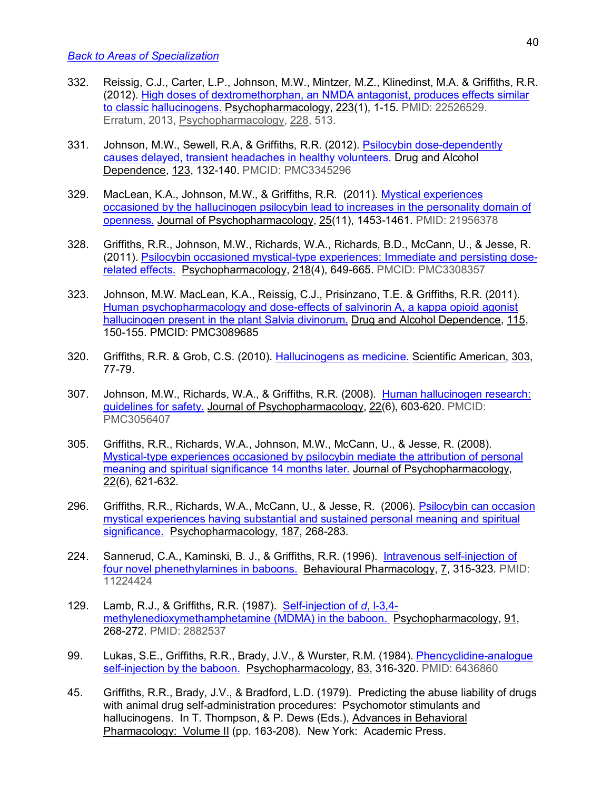- 332. Reissig, C.J., Carter, L.P., Johnson, M.W., Mintzer, M.Z., Klinedinst, M.A. & Griffiths, R.R. (2012). High doses of dextromethorphan, an NMDA antagonist, produces effects similar to classic hallucinogens. Psychopharmacology, 223(1), 1-15. PMID: 22526529. Erratum, 2013, Psychopharmacology, 228, 513.
- 331. Johnson, M.W., Sewell, R.A, & Griffiths, R.R. (2012). Psilocybin dose-dependently causes delayed, transient headaches in healthy volunteers. Drug and Alcohol Dependence, 123, 132-140. PMCID: PMC3345296
- 329. MacLean, K.A., Johnson, M.W., & Griffiths, R.R. (2011). Mystical experiences occasioned by the hallucinogen psilocybin lead to increases in the personality domain of openness. Journal of Psychopharmacology, 25(11), 1453-1461. PMID: 21956378
- 328. Griffiths, R.R., Johnson, M.W., Richards, W.A., Richards, B.D., McCann, U., & Jesse, R. (2011). Psilocybin occasioned mystical-type experiences: Immediate and persisting doserelated effects. Psychopharmacology, 218(4), 649-665. PMCID: PMC3308357
- 323. Johnson, M.W. MacLean, K.A., Reissig, C.J., Prisinzano, T.E. & Griffiths, R.R. (2011). Human psychopharmacology and dose-effects of salvinorin A, a kappa opioid agonist hallucinogen present in the plant Salvia divinorum. Drug and Alcohol Dependence, 115, 150-155. PMCID: PMC3089685
- 320. Griffiths, R.R. & Grob, C.S. (2010). Hallucinogens as medicine. Scientific American, 303, 77-79.
- 307. Johnson, M.W., Richards, W.A., & Griffiths, R.R. (2008). Human hallucinogen research: guidelines for safety. Journal of Psychopharmacology, 22(6), 603-620. PMCID: PMC3056407
- 305. Griffiths, R.R., Richards, W.A., Johnson, M.W., McCann, U., & Jesse, R. (2008). Mystical-type experiences occasioned by psilocybin mediate the attribution of personal meaning and spiritual significance 14 months later. Journal of Psychopharmacology, 22(6), 621-632.
- 296. Griffiths, R.R., Richards, W.A., McCann, U., & Jesse, R. (2006). Psilocybin can occasion mystical experiences having substantial and sustained personal meaning and spiritual significance. Psychopharmacology, 187, 268-283.
- 224. Sannerud, C.A., Kaminski, B. J., & Griffiths, R.R. (1996). Intravenous self-injection of four novel phenethylamines in baboons. Behavioural Pharmacology, 7, 315-323. PMID: 11224424
- 129. Lamb, R.J., & Griffiths, R.R. (1987). Self-injection of *d*, l-3,4 methylenedioxymethamphetamine (MDMA) in the baboon. Psychopharmacology, 91, 268-272. PMID: 2882537
- 99. Lukas, S.E., Griffiths, R.R., Brady, J.V., & Wurster, R.M. (1984). Phencyclidine-analogue self-injection by the baboon. Psychopharmacology, 83, 316-320. PMID: 6436860
- 45. Griffiths, R.R., Brady, J.V., & Bradford, L.D. (1979). Predicting the abuse liability of drugs with animal drug self-administration procedures: Psychomotor stimulants and hallucinogens. In T. Thompson, & P. Dews (Eds.), Advances in Behavioral Pharmacology: Volume II (pp. 163-208). New York: Academic Press.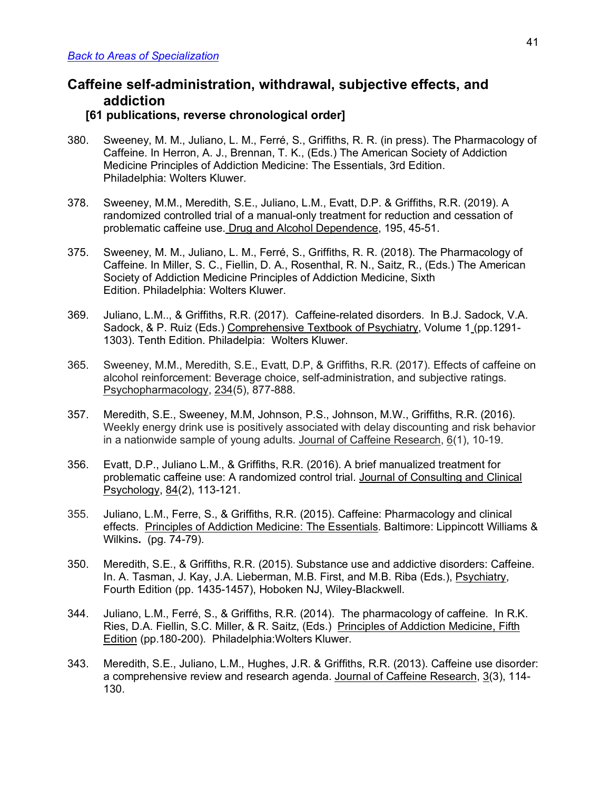## **Caffeine self-administration, withdrawal, subjective effects, and addiction**

## **[61 publications, reverse chronological order]**

- 380. Sweeney, M. M., Juliano, L. M., Ferré, S., Griffiths, R. R. (in press). The Pharmacology of Caffeine. In Herron, A. J., Brennan, T. K., (Eds.) The American Society of Addiction Medicine Principles of Addiction Medicine: The Essentials, 3rd Edition. Philadelphia: Wolters Kluwer.
- 378. Sweeney, M.M., Meredith, S.E., Juliano, L.M., Evatt, D.P. & Griffiths, R.R. (2019). A randomized controlled trial of a manual-only treatment for reduction and cessation of problematic caffeine use. Drug and Alcohol Dependence, 195, 45-51.
- 375. Sweeney, M. M., Juliano, L. M., Ferré, S., Griffiths, R. R. (2018). The Pharmacology of Caffeine. In Miller, S. C., Fiellin, D. A., Rosenthal, R. N., Saitz, R., (Eds.) The American Society of Addiction Medicine Principles of Addiction Medicine, Sixth Edition. Philadelphia: Wolters Kluwer.
- 369. Juliano, L.M.., & Griffiths, R.R. (2017). Caffeine-related disorders. In B.J. Sadock, V.A. Sadock, & P. Ruiz (Eds.) Comprehensive Textbook of Psychiatry, Volume 1 (pp.1291- 1303). Tenth Edition. Philadelpia: Wolters Kluwer.
- 365. Sweeney, M.M., Meredith, S.E., Evatt, D.P, & Griffiths, R.R. (2017). Effects of caffeine on alcohol reinforcement: Beverage choice, self-administration, and subjective ratings. Psychopharmacology, 234(5), 877-888.
- 357. Meredith, S.E., Sweeney, M.M, Johnson, P.S., Johnson, M.W., Griffiths, R.R. (2016). Weekly energy drink use is positively associated with delay discounting and risk behavior in a nationwide sample of young adults. Journal of Caffeine Research, 6(1), 10-19.
- 356. Evatt, D.P., Juliano L.M., & Griffiths, R.R. (2016). A brief manualized treatment for problematic caffeine use: A randomized control trial. Journal of Consulting and Clinical Psychology, 84(2), 113-121.
- 355. Juliano, L.M., Ferre, S., & Griffiths, R.R. (2015). Caffeine: Pharmacology and clinical effects. Principles of Addiction Medicine: The Essentials. Baltimore: Lippincott Williams & Wilkins**.** (pg. 74-79).
- 350. Meredith, S.E., & Griffiths, R.R. (2015). Substance use and addictive disorders: Caffeine. In. A. Tasman, J. Kay, J.A. Lieberman, M.B. First, and M.B. Riba (Eds.), Psychiatry, Fourth Edition (pp. 1435-1457), Hoboken NJ, Wiley-Blackwell.
- 344. Juliano, L.M., Ferré, S., & Griffiths, R.R. (2014). The pharmacology of caffeine. In R.K. Ries, D.A. Fiellin, S.C. Miller, & R. Saitz, (Eds.) Principles of Addiction Medicine, Fifth Edition (pp.180-200). Philadelphia:Wolters Kluwer.
- 343. Meredith, S.E., Juliano, L.M., Hughes, J.R. & Griffiths, R.R. (2013). Caffeine use disorder: a comprehensive review and research agenda. Journal of Caffeine Research, 3(3), 114- 130.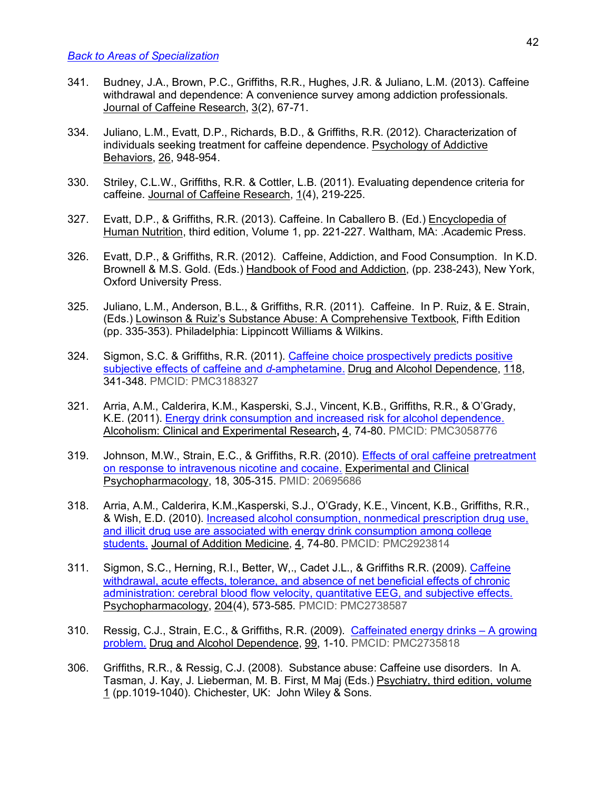- 341. Budney, J.A., Brown, P.C., Griffiths, R.R., Hughes, J.R. & Juliano, L.M. (2013). Caffeine withdrawal and dependence: A convenience survey among addiction professionals. Journal of Caffeine Research, 3(2), 67-71.
- 334. Juliano, L.M., Evatt, D.P., Richards, B.D., & Griffiths, R.R. (2012). Characterization of individuals seeking treatment for caffeine dependence. Psychology of Addictive Behaviors, 26, 948-954.
- 330. Striley, C.L.W., Griffiths, R.R. & Cottler, L.B. (2011). Evaluating dependence criteria for caffeine. Journal of Caffeine Research, 1(4), 219-225.
- 327. Evatt, D.P., & Griffiths, R.R. (2013). Caffeine. In Caballero B. (Ed.) Encyclopedia of Human Nutrition, third edition, Volume 1, pp. 221-227. Waltham, MA: .Academic Press.
- 326. Evatt, D.P., & Griffiths, R.R. (2012). Caffeine, Addiction, and Food Consumption. In K.D. Brownell & M.S. Gold. (Eds.) Handbook of Food and Addiction, (pp. 238-243), New York, Oxford University Press.
- 325. Juliano, L.M., Anderson, B.L., & Griffiths, R.R. (2011). Caffeine. In P. Ruiz, & E. Strain, (Eds.) Lowinson & Ruiz's Substance Abuse: A Comprehensive Textbook, Fifth Edition (pp. 335-353). Philadelphia: Lippincott Williams & Wilkins.
- 324. Sigmon, S.C. & Griffiths, R.R. (2011). Caffeine choice prospectively predicts positive subjective effects of caffeine and *d*-amphetamine. Drug and Alcohol Dependence, 118, 341-348. PMCID: PMC3188327
- 321. Arria, A.M., Calderira, K.M., Kasperski, S.J., Vincent, K.B., Griffiths, R.R., & O'Grady, K.E. (2011). Energy drink consumption and increased risk for alcohol dependence. Alcoholism: Clinical and Experimental Research**,** 4, 74-80. PMCID: PMC3058776
- 319. Johnson, M.W., Strain, E.C., & Griffiths, R.R. (2010). Effects of oral caffeine pretreatment on response to intravenous nicotine and cocaine. Experimental and Clinical Psychopharmacology, 18, 305-315. PMID: 20695686
- 318. Arria, A.M., Calderira, K.M.,Kasperski, S.J., O'Grady, K.E., Vincent, K.B., Griffiths, R.R., & Wish, E.D. (2010). Increased alcohol consumption, nonmedical prescription drug use, and illicit drug use are associated with energy drink consumption among college students. Journal of Addition Medicine, 4, 74-80. PMCID: PMC2923814
- 311. Sigmon, S.C., Herning, R.I., Better, W,., Cadet J.L., & Griffiths R.R. (2009). Caffeine withdrawal, acute effects, tolerance, and absence of net beneficial effects of chronic administration: cerebral blood flow velocity, quantitative EEG, and subjective effects. Psychopharmacology, 204(4), 573-585. PMCID: PMC2738587
- 310. Ressig, C.J., Strain, E.C., & Griffiths, R.R. (2009). Caffeinated energy drinks A growing problem. Drug and Alcohol Dependence, 99, 1-10. PMCID: PMC2735818
- 306. Griffiths, R.R., & Ressig, C.J. (2008). Substance abuse: Caffeine use disorders. In A. Tasman, J. Kay, J. Lieberman, M. B. First, M Maj (Eds.) Psychiatry, third edition, volume 1 (pp.1019-1040). Chichester, UK: John Wiley & Sons.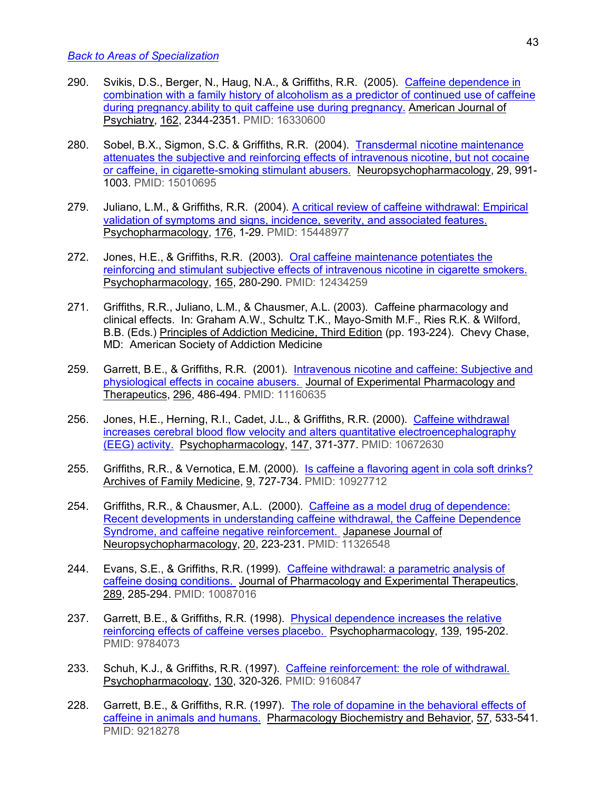- 290. Svikis, D.S., Berger, N., Haug, N.A., & Griffiths, R.R. (2005). Caffeine dependence in combination with a family history of alcoholism as a predictor of continued use of caffeine during pregnancy.ability to quit caffeine use during pregnancy. American Journal of Psychiatry, 162, 2344-2351. PMID: 16330600
- 280. Sobel, B.X., Sigmon, S.C. & Griffiths, R.R. (2004). Transdermal nicotine maintenance attenuates the subjective and reinforcing effects of intravenous nicotine, but not cocaine or caffeine, in cigarette-smoking stimulant abusers. Neuropsychopharmacology, 29, 991- 1003. PMID: 15010695
- 279. Juliano, L.M., & Griffiths, R.R. (2004). A critical review of caffeine withdrawal: Empirical validation of symptoms and signs, incidence, severity, and associated features. Psychopharmacology, 176, 1-29. PMID: 15448977
- 272. Jones, H.E., & Griffiths, R.R. (2003). Oral caffeine maintenance potentiates the reinforcing and stimulant subjective effects of intravenous nicotine in cigarette smokers. Psychopharmacology, 165, 280-290. PMID: 12434259
- 271. Griffiths, R.R., Juliano, L.M., & Chausmer, A.L. (2003). Caffeine pharmacology and clinical effects. In: Graham A.W., Schultz T.K., Mayo-Smith M.F., Ries R.K. & Wilford, B.B. (Eds.) Principles of Addiction Medicine, Third Edition (pp. 193-224). Chevy Chase, MD: American Society of Addiction Medicine
- 259. Garrett, B.E., & Griffiths, R.R. (2001). Intravenous nicotine and caffeine: Subjective and physiological effects in cocaine abusers. Journal of Experimental Pharmacology and Therapeutics, 296, 486-494. PMID: 11160635
- 256. Jones, H.E., Herning, R.I., Cadet, J.L., & Griffiths, R.R. (2000). Caffeine withdrawal increases cerebral blood flow velocity and alters quantitative electroencephalography (EEG) activity. Psychopharmacology, 147, 371-377. PMID: 10672630
- 255. Griffiths, R.R., & Vernotica, E.M. (2000). Is caffeine a flavoring agent in cola soft drinks? Archives of Family Medicine, 9, 727-734. PMID: 10927712
- 254. Griffiths, R.R., & Chausmer, A.L. (2000). Caffeine as a model drug of dependence: Recent developments in understanding caffeine withdrawal, the Caffeine Dependence Syndrome, and caffeine negative reinforcement. Japanese Journal of Neuropsychopharmacology, 20, 223-231. PMID: 11326548
- 244. Evans, S.E., & Griffiths, R.R. (1999). Caffeine withdrawal: a parametric analysis of caffeine dosing conditions. Journal of Pharmacology and Experimental Therapeutics, 289, 285-294. PMID: 10087016
- 237. Garrett, B.E., & Griffiths, R.R. (1998). Physical dependence increases the relative reinforcing effects of caffeine verses placebo. Psychopharmacology, 139, 195-202. PMID: 9784073
- 233. Schuh, K.J., & Griffiths, R.R. (1997). Caffeine reinforcement: the role of withdrawal. Psychopharmacology, 130, 320-326. PMID: 9160847
- 228. Garrett, B.E., & Griffiths, R.R. (1997). The role of dopamine in the behavioral effects of caffeine in animals and humans. Pharmacology Biochemistry and Behavior, 57, 533-541. PMID: 9218278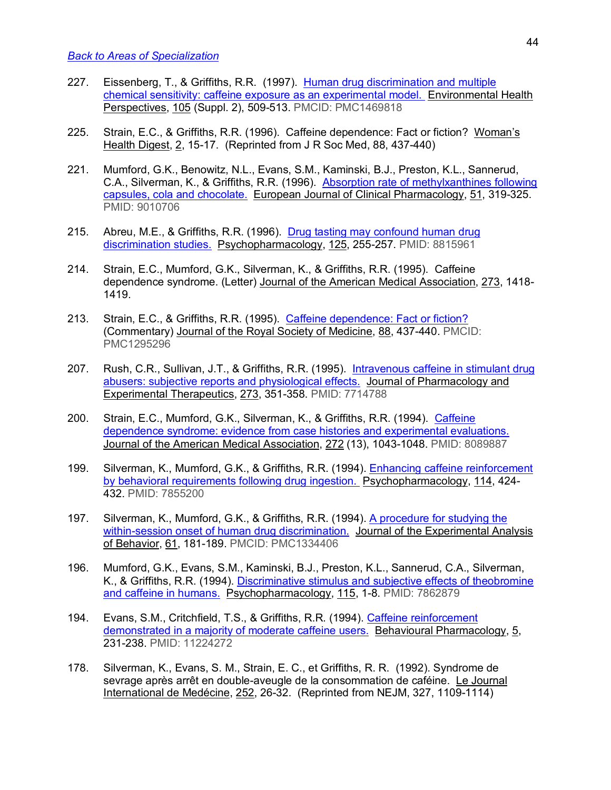- 227. Eissenberg, T., & Griffiths, R.R. (1997). Human drug discrimination and multiple chemical sensitivity: caffeine exposure as an experimental model. Environmental Health Perspectives, 105 (Suppl. 2), 509-513. PMCID: PMC1469818
- 225. Strain, E.C., & Griffiths, R.R. (1996). Caffeine dependence: Fact or fiction? Woman's Health Digest, 2, 15-17. (Reprinted from J R Soc Med, 88, 437-440)
- 221. Mumford, G.K., Benowitz, N.L., Evans, S.M., Kaminski, B.J., Preston, K.L., Sannerud, C.A., Silverman, K., & Griffiths, R.R. (1996). Absorption rate of methylxanthines following capsules, cola and chocolate. European Journal of Clinical Pharmacology, 51, 319-325. PMID: 9010706
- 215. Abreu, M.E., & Griffiths, R.R. (1996). Drug tasting may confound human drug discrimination studies. Psychopharmacology, 125, 255-257. PMID: 8815961
- 214. Strain, E.C., Mumford, G.K., Silverman, K., & Griffiths, R.R. (1995). Caffeine dependence syndrome. (Letter) Journal of the American Medical Association, 273, 1418- 1419.
- 213. Strain, E.C., & Griffiths, R.R. (1995). Caffeine dependence: Fact or fiction? (Commentary) Journal of the Royal Society of Medicine, 88, 437-440. PMCID: PMC1295296
- 207. Rush, C.R., Sullivan, J.T., & Griffiths, R.R. (1995). Intravenous caffeine in stimulant drug abusers: subjective reports and physiological effects. Journal of Pharmacology and Experimental Therapeutics, 273, 351-358. PMID: 7714788
- 200. Strain, E.C., Mumford, G.K., Silverman, K., & Griffiths, R.R. (1994). Caffeine dependence syndrome: evidence from case histories and experimental evaluations. Journal of the American Medical Association, 272 (13), 1043-1048. PMID: 8089887
- 199. Silverman, K., Mumford, G.K., & Griffiths, R.R. (1994). Enhancing caffeine reinforcement by behavioral requirements following drug ingestion. Psychopharmacology, 114, 424- 432. PMID: 7855200
- 197. Silverman, K., Mumford, G.K., & Griffiths, R.R. (1994). A procedure for studying the within-session onset of human drug discrimination. Journal of the Experimental Analysis of Behavior, 61, 181-189. PMCID: PMC1334406
- 196. Mumford, G.K., Evans, S.M., Kaminski, B.J., Preston, K.L., Sannerud, C.A., Silverman, K., & Griffiths, R.R. (1994). Discriminative stimulus and subjective effects of theobromine and caffeine in humans. Psychopharmacology, 115, 1-8. PMID: 7862879
- 194. Evans, S.M., Critchfield, T.S., & Griffiths, R.R. (1994). Caffeine reinforcement demonstrated in a majority of moderate caffeine users. Behavioural Pharmacology, 5, 231-238. PMID: 11224272
- 178. Silverman, K., Evans, S. M., Strain, E. C., et Griffiths, R. R. (1992). Syndrome de sevrage après arrêt en double-aveugle de la consommation de caféine. Le Journal International de Medécine, 252, 26-32. (Reprinted from NEJM, 327, 1109-1114)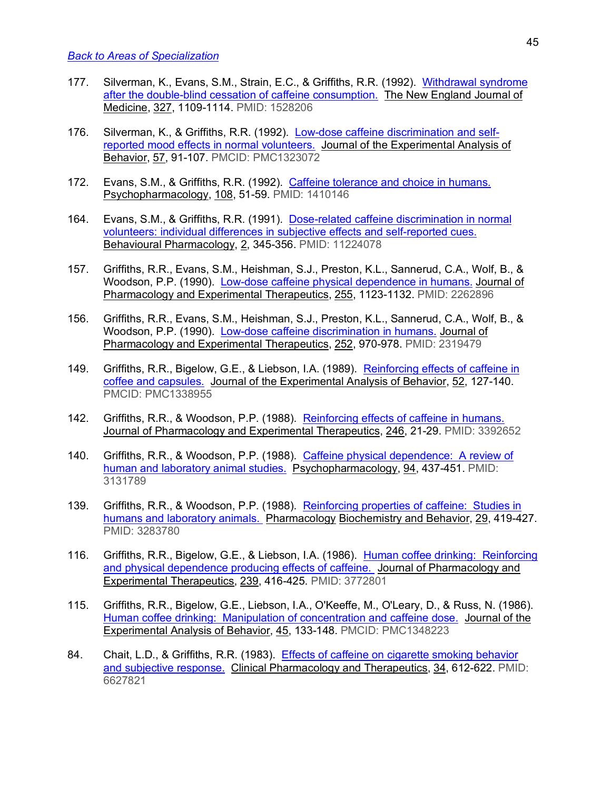- 177. Silverman, K., Evans, S.M., Strain, E.C., & Griffiths, R.R. (1992). Withdrawal syndrome after the double-blind cessation of caffeine consumption. The New England Journal of Medicine, 327, 1109-1114. PMID: 1528206
- 176. Silverman, K., & Griffiths, R.R. (1992). Low-dose caffeine discrimination and selfreported mood effects in normal volunteers. Journal of the Experimental Analysis of Behavior, 57, 91-107. PMCID: PMC1323072
- 172. Evans, S.M., & Griffiths, R.R. (1992). Caffeine tolerance and choice in humans. Psychopharmacology, 108, 51-59. PMID: 1410146
- 164. Evans, S.M., & Griffiths, R.R. (1991). Dose-related caffeine discrimination in normal volunteers: individual differences in subjective effects and self-reported cues. Behavioural Pharmacology, 2, 345-356. PMID: 11224078
- 157. Griffiths, R.R., Evans, S.M., Heishman, S.J., Preston, K.L., Sannerud, C.A., Wolf, B., & Woodson, P.P. (1990). Low-dose caffeine physical dependence in humans. Journal of Pharmacology and Experimental Therapeutics, 255, 1123-1132. PMID: 2262896
- 156. Griffiths, R.R., Evans, S.M., Heishman, S.J., Preston, K.L., Sannerud, C.A., Wolf, B., & Woodson, P.P. (1990). Low-dose caffeine discrimination in humans. Journal of Pharmacology and Experimental Therapeutics, 252, 970-978. PMID: 2319479
- 149. Griffiths, R.R., Bigelow, G.E., & Liebson, I.A. (1989). Reinforcing effects of caffeine in coffee and capsules. Journal of the Experimental Analysis of Behavior, 52, 127-140. PMCID: PMC1338955
- 142. Griffiths, R.R., & Woodson, P.P. (1988). Reinforcing effects of caffeine in humans. Journal of Pharmacology and Experimental Therapeutics, 246, 21-29. PMID: 3392652
- 140. Griffiths, R.R., & Woodson, P.P. (1988). Caffeine physical dependence: A review of human and laboratory animal studies. Psychopharmacology, 94, 437-451. PMID: 3131789
- 139. Griffiths, R.R., & Woodson, P.P. (1988). Reinforcing properties of caffeine: Studies in humans and laboratory animals. Pharmacology Biochemistry and Behavior, 29, 419-427. PMID: 3283780
- 116. Griffiths, R.R., Bigelow, G.E., & Liebson, I.A. (1986). Human coffee drinking: Reinforcing and physical dependence producing effects of caffeine. Journal of Pharmacology and Experimental Therapeutics, 239, 416-425. PMID: 3772801
- 115. Griffiths, R.R., Bigelow, G.E., Liebson, I.A., O'Keeffe, M., O'Leary, D., & Russ, N. (1986). Human coffee drinking: Manipulation of concentration and caffeine dose. Journal of the Experimental Analysis of Behavior, 45, 133-148. PMCID: PMC1348223
- 84. Chait, L.D., & Griffiths, R.R. (1983). Effects of caffeine on cigarette smoking behavior and subjective response. Clinical Pharmacology and Therapeutics, 34, 612-622. PMID: 6627821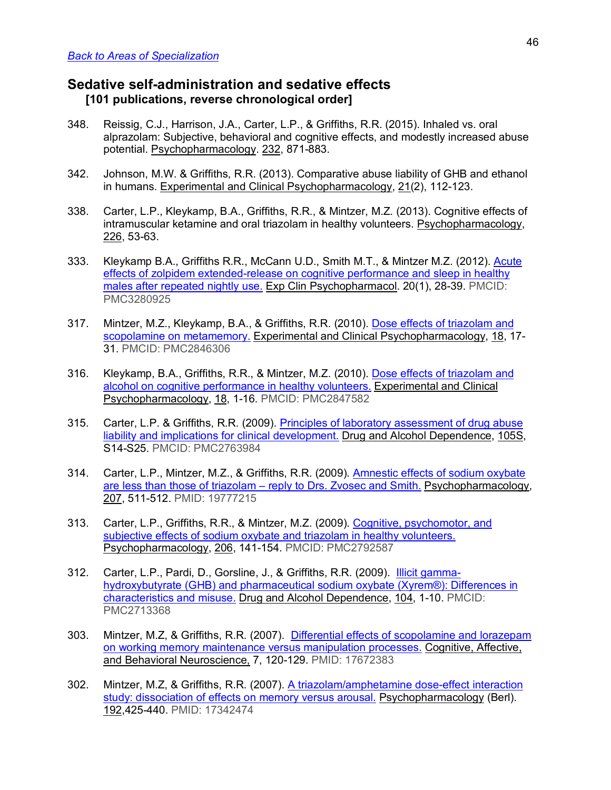## **Sedative self-administration and sedative effects [101 publications, reverse chronological order]**

- 348. Reissig, C.J., Harrison, J.A., Carter, L.P., & Griffiths, R.R. (2015). Inhaled vs. oral alprazolam: Subjective, behavioral and cognitive effects, and modestly increased abuse potential. Psychopharmacology. 232, 871-883.
- 342. Johnson, M.W. & Griffiths, R.R. (2013). Comparative abuse liability of GHB and ethanol in humans. Experimental and Clinical Psychopharmacology, 21(2), 112-123.
- 338. Carter, L.P., Kleykamp, B.A., Griffiths, R.R., & Mintzer, M.Z. (2013). Cognitive effects of intramuscular ketamine and oral triazolam in healthy volunteers. Psychopharmacology, 226, 53-63.
- 333. Kleykamp B.A., Griffiths R.R., McCann U.D., Smith M.T., & Mintzer M.Z. (2012). Acute effects of zolpidem extended-release on cognitive performance and sleep in healthy males after repeated nightly use. Exp Clin Psychopharmacol. 20(1), 28-39. PMCID: PMC3280925
- 317. Mintzer, M.Z., Kleykamp, B.A., & Griffiths, R.R. (2010). Dose effects of triazolam and scopolamine on metamemory. Experimental and Clinical Psychopharmacology, 18, 17- 31. PMCID: PMC2846306
- 316. Kleykamp, B.A., Griffiths, R.R., & Mintzer, M.Z. (2010). Dose effects of triazolam and alcohol on cognitive performance in healthy volunteers. Experimental and Clinical Psychopharmacology, 18, 1-16. PMCID: PMC2847582
- 315. Carter, L.P. & Griffiths, R.R. (2009). Principles of laboratory assessment of drug abuse liability and implications for clinical development. Drug and Alcohol Dependence, 105S, S14-S25. PMCID: PMC2763984
- 314. Carter, L.P., Mintzer, M.Z., & Griffiths, R.R. (2009). Amnestic effects of sodium oxybate are less than those of triazolam – reply to Drs. Zvosec and Smith. Psychopharmacology, 207, 511-512. PMID: 19777215
- 313. Carter, L.P., Griffiths, R.R., & Mintzer, M.Z. (2009). Cognitive, psychomotor, and subjective effects of sodium oxybate and triazolam in healthy volunteers. Psychopharmacology, 206, 141-154. PMCID: PMC2792587
- 312. Carter, L.P., Pardi, D., Gorsline, J., & Griffiths, R.R. (2009). Illicit gammahydroxybutyrate (GHB) and pharmaceutical sodium oxybate (Xyrem®): Differences in characteristics and misuse. Drug and Alcohol Dependence, 104, 1-10. PMCID: PMC2713368
- 303. Mintzer, M.Z, & Griffiths, R.R. (2007). Differential effects of scopolamine and lorazepam on working memory maintenance versus manipulation processes. Cognitive, Affective, and Behavioral Neuroscience, 7, 120-129. PMID: 17672383
- 302. Mintzer, M.Z, & Griffiths, R.R. (2007). A triazolam/amphetamine dose-effect interaction study: dissociation of effects on memory versus arousal. Psychopharmacology (Berl). 192,425-440. PMID: 17342474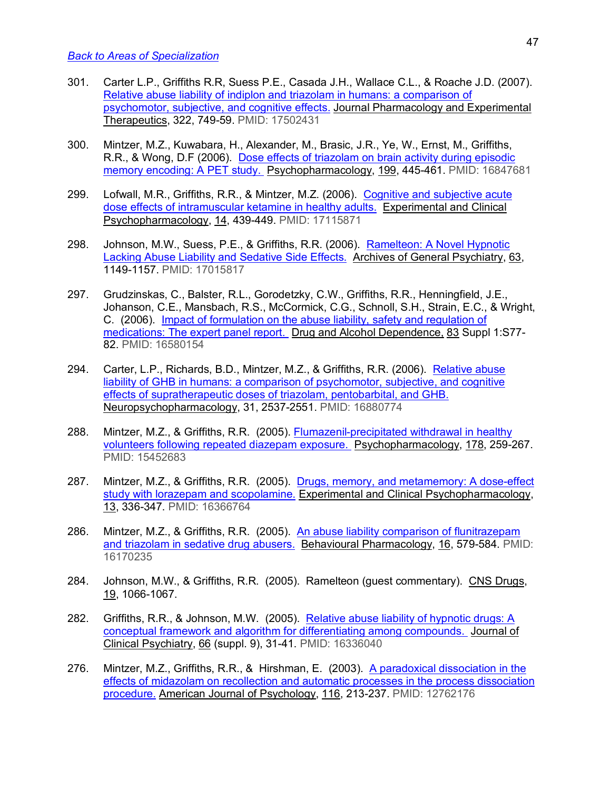- 301. Carter L.P., Griffiths R.R, Suess P.E., Casada J.H., Wallace C.L., & Roache J.D. (2007). Relative abuse liability of indiplon and triazolam in humans: a comparison of psychomotor, subjective, and cognitive effects. Journal Pharmacology and Experimental Therapeutics, 322, 749-59. PMID: 17502431
- 300. Mintzer, M.Z., Kuwabara, H., Alexander, M., Brasic, J.R., Ye, W., Ernst, M., Griffiths, R.R., & Wong, D.F (2006). Dose effects of triazolam on brain activity during episodic memory encoding: A PET study. Psychopharmacology, 199, 445-461. PMID: 16847681
- 299. Lofwall, M.R., Griffiths, R.R., & Mintzer, M.Z. (2006). Cognitive and subjective acute dose effects of intramuscular ketamine in healthy adults. Experimental and Clinical Psychopharmacology, 14, 439-449. PMID: 17115871
- 298. Johnson, M.W., Suess, P.E., & Griffiths, R.R. (2006). Ramelteon: A Novel Hypnotic Lacking Abuse Liability and Sedative Side Effects. Archives of General Psychiatry, 63, 1149-1157. PMID: 17015817
- 297. Grudzinskas, C., Balster, R.L., Gorodetzky, C.W., Griffiths, R.R., Henningfield, J.E., Johanson, C.E., Mansbach, R.S., McCormick, C.G., Schnoll, S.H., Strain, E.C., & Wright, C. (2006). Impact of formulation on the abuse liability, safety and regulation of medications: The expert panel report. Drug and Alcohol Dependence, 83 Suppl 1:S77- 82. PMID: 16580154
- 294. Carter, L.P., Richards, B.D., Mintzer, M.Z., & Griffiths, R.R. (2006). Relative abuse liability of GHB in humans: a comparison of psychomotor, subjective, and cognitive effects of supratherapeutic doses of triazolam, pentobarbital, and GHB. Neuropsychopharmacology, 31, 2537-2551. PMID: 16880774
- 288. Mintzer, M.Z., & Griffiths, R.R. (2005). Flumazenil-precipitated withdrawal in healthy volunteers following repeated diazepam exposure. Psychopharmacology, 178, 259-267. PMID: 15452683
- 287. Mintzer, M.Z., & Griffiths, R.R. (2005). Drugs, memory, and metamemory: A dose-effect study with lorazepam and scopolamine. Experimental and Clinical Psychopharmacology, 13, 336-347. PMID: 16366764
- 286. Mintzer, M.Z., & Griffiths, R.R. (2005). An abuse liability comparison of flunitrazepam and triazolam in sedative drug abusers. Behavioural Pharmacology, 16, 579-584. PMID: 16170235
- 284. Johnson, M.W., & Griffiths, R.R. (2005). Ramelteon (guest commentary). CNS Drugs, 19, 1066-1067.
- 282. Griffiths, R.R., & Johnson, M.W. (2005). Relative abuse liability of hypnotic drugs: A conceptual framework and algorithm for differentiating among compounds. Journal of Clinical Psychiatry, 66 (suppl. 9), 31-41. PMID: 16336040
- 276. Mintzer, M.Z., Griffiths, R.R., & Hirshman, E. (2003). A paradoxical dissociation in the effects of midazolam on recollection and automatic processes in the process dissociation procedure. American Journal of Psychology, 116, 213-237. PMID: 12762176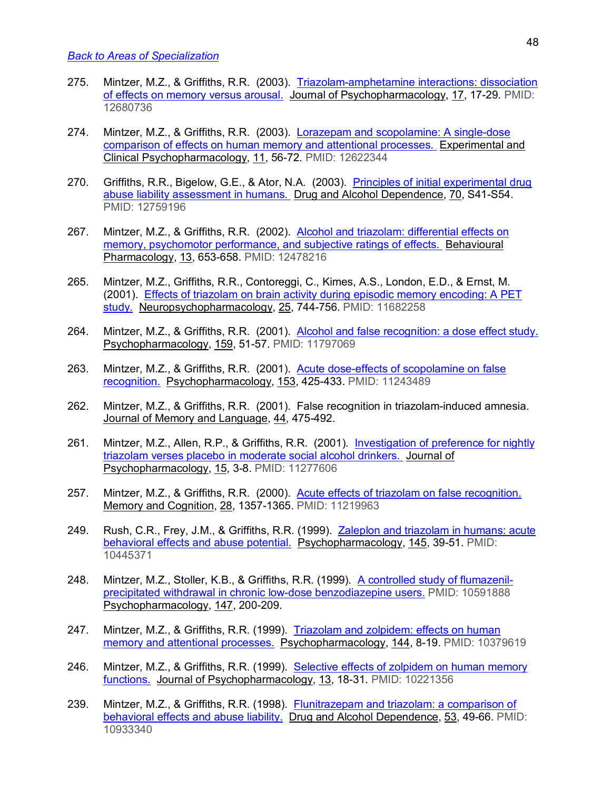- 275. Mintzer, M.Z., & Griffiths, R.R. (2003). Triazolam-amphetamine interactions: dissociation of effects on memory versus arousal. Journal of Psychopharmacology, 17, 17-29. PMID: 12680736
- 274. Mintzer, M.Z., & Griffiths, R.R. (2003). Lorazepam and scopolamine: A single-dose comparison of effects on human memory and attentional processes. Experimental and Clinical Psychopharmacology, 11, 56-72. PMID: 12622344
- 270. Griffiths, R.R., Bigelow, G.E., & Ator, N.A. (2003). Principles of initial experimental drug abuse liability assessment in humans. Drug and Alcohol Dependence, 70, S41-S54. PMID: 12759196
- 267. Mintzer, M.Z., & Griffiths, R.R. (2002). Alcohol and triazolam: differential effects on memory, psychomotor performance, and subjective ratings of effects. Behavioural Pharmacology, 13, 653-658. PMID: 12478216
- 265. Mintzer, M.Z., Griffiths, R.R., Contoreggi, C., Kimes, A.S., London, E.D., & Ernst, M. (2001). Effects of triazolam on brain activity during episodic memory encoding: A PET study. Neuropsychopharmacology, 25, 744-756. PMID: 11682258
- 264. Mintzer, M.Z., & Griffiths, R.R. (2001). Alcohol and false recognition: a dose effect study. Psychopharmacology, 159, 51-57. PMID: 11797069
- 263. Mintzer, M.Z., & Griffiths, R.R. (2001). Acute dose-effects of scopolamine on false recognition. Psychopharmacology, 153, 425-433. PMID: 11243489
- 262. Mintzer, M.Z., & Griffiths, R.R. (2001). False recognition in triazolam-induced amnesia. Journal of Memory and Language, 44, 475-492.
- 261. Mintzer, M.Z., Allen, R.P., & Griffiths, R.R. (2001). Investigation of preference for nightly triazolam verses placebo in moderate social alcohol drinkers. Journal of Psychopharmacology, 15, 3-8. PMID: 11277606
- 257. Mintzer, M.Z., & Griffiths, R.R. (2000). Acute effects of triazolam on false recognition. Memory and Cognition, 28, 1357-1365. PMID: 11219963
- 249. Rush, C.R., Frey, J.M., & Griffiths, R.R. (1999). Zaleplon and triazolam in humans: acute behavioral effects and abuse potential. Psychopharmacology, 145, 39-51. PMID: 10445371
- 248. Mintzer, M.Z., Stoller, K.B., & Griffiths, R.R. (1999). A controlled study of flumazenilprecipitated withdrawal in chronic low-dose benzodiazepine users. PMID: 10591888 Psychopharmacology, 147, 200-209.
- 247. Mintzer, M.Z., & Griffiths, R.R. (1999). Triazolam and zolpidem: effects on human memory and attentional processes. Psychopharmacology, 144, 8-19. PMID: 10379619
- 246. Mintzer, M.Z., & Griffiths, R.R. (1999). Selective effects of zolpidem on human memory functions. Journal of Psychopharmacology, 13, 18-31. PMID: 10221356
- 239. Mintzer, M.Z., & Griffiths, R.R. (1998). Flunitrazepam and triazolam: a comparison of behavioral effects and abuse liability. Drug and Alcohol Dependence, 53, 49-66. PMID: 10933340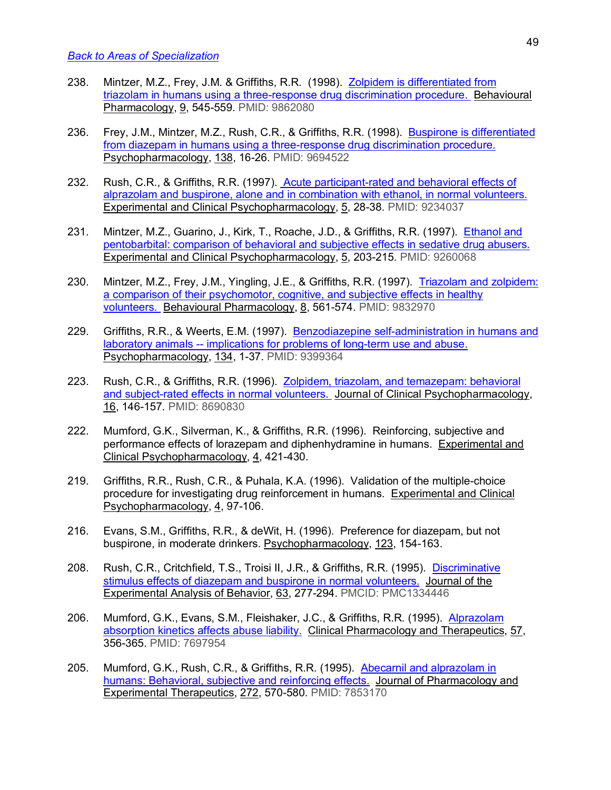- 238. Mintzer, M.Z., Frey, J.M. & Griffiths, R.R. (1998). Zolpidem is differentiated from triazolam in humans using a three-response drug discrimination procedure. Behavioural Pharmacology, 9, 545-559. PMID: 9862080
- 236. Frey, J.M., Mintzer, M.Z., Rush, C.R., & Griffiths, R.R. (1998). Buspirone is differentiated from diazepam in humans using a three-response drug discrimination procedure. Psychopharmacology, 138, 16-26. PMID: 9694522
- 232. Rush, C.R., & Griffiths, R.R. (1997). Acute participant-rated and behavioral effects of alprazolam and buspirone, alone and in combination with ethanol, in normal volunteers. Experimental and Clinical Psychopharmacology, 5, 28-38. PMID: 9234037
- 231. Mintzer, M.Z., Guarino, J., Kirk, T., Roache, J.D., & Griffiths, R.R. (1997). Ethanol and pentobarbital: comparison of behavioral and subjective effects in sedative drug abusers. Experimental and Clinical Psychopharmacology, 5, 203-215. PMID: 9260068
- 230. Mintzer, M.Z., Frey, J.M., Yingling, J.E., & Griffiths, R.R. (1997). Triazolam and zolpidem: a comparison of their psychomotor, cognitive, and subjective effects in healthy volunteers. Behavioural Pharmacology, 8, 561-574. PMID: 9832970
- 229. Griffiths, R.R., & Weerts, E.M. (1997). Benzodiazepine self-administration in humans and laboratory animals -- implications for problems of long-term use and abuse. Psychopharmacology, 134, 1-37. PMID: 9399364
- 223. Rush, C.R., & Griffiths, R.R. (1996). Zolpidem, triazolam, and temazepam: behavioral and subject-rated effects in normal volunteers. Journal of Clinical Psychopharmacology, 16, 146-157. PMID: 8690830
- 222. Mumford, G.K., Silverman, K., & Griffiths, R.R. (1996). Reinforcing, subjective and performance effects of lorazepam and diphenhydramine in humans. Experimental and Clinical Psychopharmacology, 4, 421-430.
- 219. Griffiths, R.R., Rush, C.R., & Puhala, K.A. (1996). Validation of the multiple-choice procedure for investigating drug reinforcement in humans. Experimental and Clinical Psychopharmacology, 4, 97-106.
- 216. Evans, S.M., Griffiths, R.R., & deWit, H. (1996). Preference for diazepam, but not buspirone, in moderate drinkers. Psychopharmacology, 123, 154-163.
- 208. Rush, C.R., Critchfield, T.S., Troisi II, J.R., & Griffiths, R.R. (1995). Discriminative stimulus effects of diazepam and buspirone in normal volunteers. Journal of the Experimental Analysis of Behavior, 63, 277-294. PMCID: PMC1334446
- 206. Mumford, G.K., Evans, S.M., Fleishaker, J.C., & Griffiths, R.R. (1995). Alprazolam absorption kinetics affects abuse liability. Clinical Pharmacology and Therapeutics, 57, 356-365. PMID: 7697954
- 205. Mumford, G.K., Rush, C.R., & Griffiths, R.R. (1995). Abecarnil and alprazolam in humans: Behavioral, subjective and reinforcing effects. Journal of Pharmacology and Experimental Therapeutics, 272, 570-580. PMID: 7853170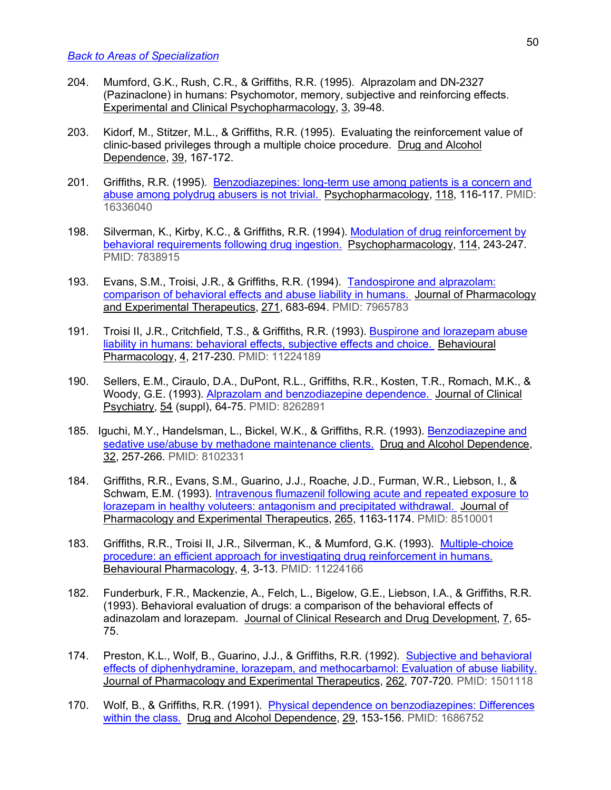- 204. Mumford, G.K., Rush, C.R., & Griffiths, R.R. (1995). Alprazolam and DN-2327 (Pazinaclone) in humans: Psychomotor, memory, subjective and reinforcing effects. Experimental and Clinical Psychopharmacology, 3, 39-48.
- 203. Kidorf, M., Stitzer, M.L., & Griffiths, R.R. (1995). Evaluating the reinforcement value of clinic-based privileges through a multiple choice procedure. Drug and Alcohol Dependence, 39, 167-172.
- 201. Griffiths, R.R. (1995). Benzodiazepines: long-term use among patients is a concern and abuse among polydrug abusers is not trivial. Psychopharmacology, 118, 116-117. PMID: 16336040
- 198. Silverman, K., Kirby, K.C., & Griffiths, R.R. (1994). Modulation of drug reinforcement by behavioral requirements following drug ingestion. Psychopharmacology, 114, 243-247. PMID: 7838915
- 193. Evans, S.M., Troisi, J.R., & Griffiths, R.R. (1994). Tandospirone and alprazolam: comparison of behavioral effects and abuse liability in humans. Journal of Pharmacology and Experimental Therapeutics, 271, 683-694. PMID: 7965783
- 191. Troisi II, J.R., Critchfield, T.S., & Griffiths, R.R. (1993). Buspirone and lorazepam abuse liability in humans: behavioral effects, subjective effects and choice. Behavioural Pharmacology, 4, 217-230. PMID: 11224189
- 190. Sellers, E.M., Ciraulo, D.A., DuPont, R.L., Griffiths, R.R., Kosten, T.R., Romach, M.K., & Woody, G.E. (1993). Alprazolam and benzodiazepine dependence. Journal of Clinical Psychiatry, 54 (suppl), 64-75. PMID: 8262891
- 185. Iguchi, M.Y., Handelsman, L., Bickel, W.K., & Griffiths, R.R. (1993). Benzodiazepine and sedative use/abuse by methadone maintenance clients. Drug and Alcohol Dependence, 32, 257-266. PMID: 8102331
- 184. Griffiths, R.R., Evans, S.M., Guarino, J.J., Roache, J.D., Furman, W.R., Liebson, I., & Schwam, E.M. (1993). Intravenous flumazenil following acute and repeated exposure to lorazepam in healthy voluteers: antagonism and precipitated withdrawal. Journal of Pharmacology and Experimental Therapeutics, 265, 1163-1174. PMID: 8510001
- 183. Griffiths, R.R., Troisi II, J.R., Silverman, K., & Mumford, G.K. (1993). Multiple-choice procedure: an efficient approach for investigating drug reinforcement in humans. Behavioural Pharmacology, 4, 3-13. PMID: 11224166
- 182. Funderburk, F.R., Mackenzie, A., Felch, L., Bigelow, G.E., Liebson, I.A., & Griffiths, R.R. (1993). Behavioral evaluation of drugs: a comparison of the behavioral effects of adinazolam and lorazepam. Journal of Clinical Research and Drug Development, 7, 65- 75.
- 174. Preston, K.L., Wolf, B., Guarino, J.J., & Griffiths, R.R. (1992). Subjective and behavioral effects of diphenhydramine, lorazepam, and methocarbamol: Evaluation of abuse liability. Journal of Pharmacology and Experimental Therapeutics, 262, 707-720. PMID: 1501118
- 170. Wolf, B., & Griffiths, R.R. (1991). Physical dependence on benzodiazepines: Differences within the class. Drug and Alcohol Dependence, 29, 153-156. PMID: 1686752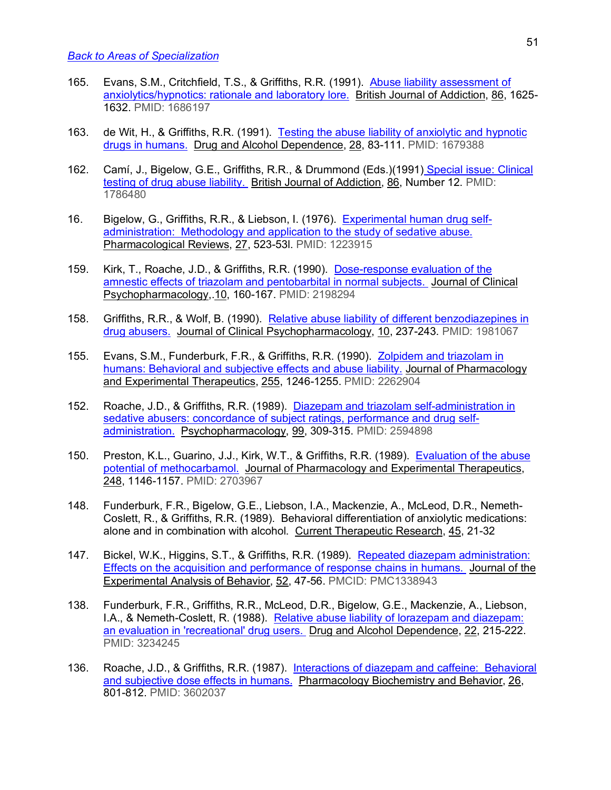- 165. Evans, S.M., Critchfield, T.S., & Griffiths, R.R. (1991). Abuse liability assessment of anxiolytics/hypnotics: rationale and laboratory lore. British Journal of Addiction, 86, 1625- 1632. PMID: 1686197
- 163. de Wit, H., & Griffiths, R.R. (1991). Testing the abuse liability of anxiolytic and hypnotic drugs in humans. Drug and Alcohol Dependence, 28, 83-111. PMID: 1679388
- 162. Camí, J., Bigelow, G.E., Griffiths, R.R., & Drummond (Eds.)(1991) Special issue: Clinical testing of drug abuse liability. British Journal of Addiction, 86, Number 12. PMID: 1786480
- 16. Bigelow, G., Griffiths, R.R., & Liebson, I. (1976). Experimental human drug selfadministration: Methodology and application to the study of sedative abuse. Pharmacological Reviews, 27, 523-53l. PMID: 1223915
- 159. Kirk, T., Roache, J.D., & Griffiths, R.R. (1990). Dose-response evaluation of the amnestic effects of triazolam and pentobarbital in normal subjects. Journal of Clinical Psychopharmacology,.10, 160-167. PMID: 2198294
- 158. Griffiths, R.R., & Wolf, B. (1990). Relative abuse liability of different benzodiazepines in drug abusers. Journal of Clinical Psychopharmacology, 10, 237-243. PMID: 1981067
- 155. Evans, S.M., Funderburk, F.R., & Griffiths, R.R. (1990). Zolpidem and triazolam in humans: Behavioral and subjective effects and abuse liability. Journal of Pharmacology and Experimental Therapeutics, 255, 1246-1255. PMID: 2262904
- 152. Roache, J.D., & Griffiths, R.R. (1989). Diazepam and triazolam self-administration in sedative abusers: concordance of subject ratings, performance and drug selfadministration. Psychopharmacology, 99, 309-315. PMID: 2594898
- 150. Preston, K.L., Guarino, J.J., Kirk, W.T., & Griffiths, R.R. (1989). Evaluation of the abuse potential of methocarbamol. Journal of Pharmacology and Experimental Therapeutics, 248, 1146-1157. PMID: 2703967
- 148. Funderburk, F.R., Bigelow, G.E., Liebson, I.A., Mackenzie, A., McLeod, D.R., Nemeth-Coslett, R., & Griffiths, R.R. (1989). Behavioral differentiation of anxiolytic medications: alone and in combination with alcohol. Current Therapeutic Research, 45, 21-32
- 147. Bickel, W.K., Higgins, S.T., & Griffiths, R.R. (1989). Repeated diazepam administration: Effects on the acquisition and performance of response chains in humans. Journal of the Experimental Analysis of Behavior, 52, 47-56. PMCID: PMC1338943
- 138. Funderburk, F.R., Griffiths, R.R., McLeod, D.R., Bigelow, G.E., Mackenzie, A., Liebson, I.A., & Nemeth-Coslett, R. (1988). Relative abuse liability of lorazepam and diazepam: an evaluation in 'recreational' drug users. Drug and Alcohol Dependence, 22, 215-222. PMID: 3234245
- 136. Roache, J.D., & Griffiths, R.R. (1987). Interactions of diazepam and caffeine: Behavioral and subjective dose effects in humans. Pharmacology Biochemistry and Behavior, 26, 801-812. PMID: 3602037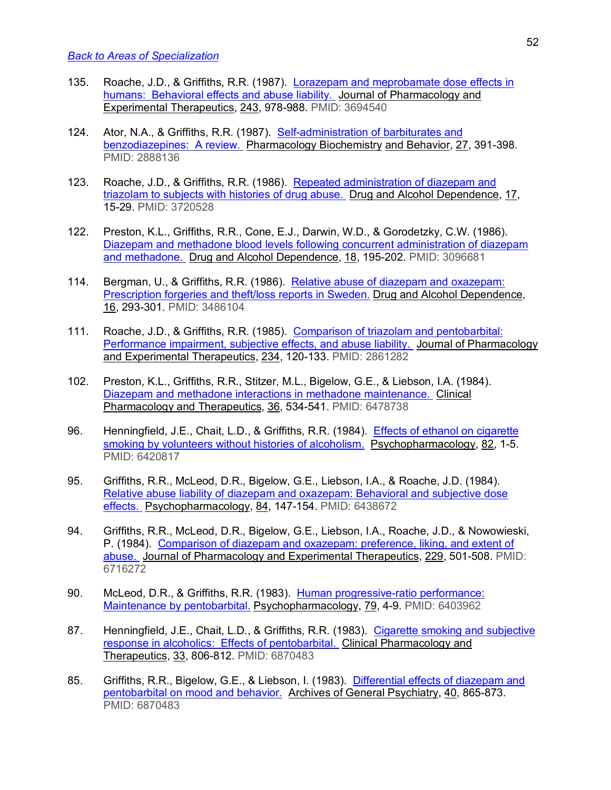- 135. Roache, J.D., & Griffiths, R.R. (1987). Lorazepam and meprobamate dose effects in humans: Behavioral effects and abuse liability. Journal of Pharmacology and Experimental Therapeutics, 243, 978-988. PMID: 3694540
- 124. Ator, N.A., & Griffiths, R.R. (1987). Self-administration of barbiturates and benzodiazepines: A review. Pharmacology Biochemistry and Behavior, 27, 391-398. PMID: 2888136
- 123. Roache, J.D., & Griffiths, R.R. (1986). Repeated administration of diazepam and triazolam to subjects with histories of drug abuse. Drug and Alcohol Dependence, 17, 15-29. PMID: 3720528
- 122. Preston, K.L., Griffiths, R.R., Cone, E.J., Darwin, W.D., & Gorodetzky, C.W. (1986). Diazepam and methadone blood levels following concurrent administration of diazepam and methadone. Drug and Alcohol Dependence, 18, 195-202. PMID: 3096681
- 114. Bergman, U., & Griffiths, R.R. (1986). Relative abuse of diazepam and oxazepam: Prescription forgeries and theft/loss reports in Sweden. Drug and Alcohol Dependence, 16, 293-301. PMID: 3486104
- 111. Roache, J.D., & Griffiths, R.R. (1985). Comparison of triazolam and pentobarbital: Performance impairment, subjective effects, and abuse liability. Journal of Pharmacology and Experimental Therapeutics, 234, 120-133. PMID: 2861282
- 102. Preston, K.L., Griffiths, R.R., Stitzer, M.L., Bigelow, G.E., & Liebson, I.A. (1984). Diazepam and methadone interactions in methadone maintenance. Clinical Pharmacology and Therapeutics, 36, 534-541. PMID: 6478738
- 96. Henningfield, J.E., Chait, L.D., & Griffiths, R.R. (1984). Effects of ethanol on cigarette smoking by volunteers without histories of alcoholism. Psychopharmacology, 82, 1-5. PMID: 6420817
- 95. Griffiths, R.R., McLeod, D.R., Bigelow, G.E., Liebson, I.A., & Roache, J.D. (1984). Relative abuse liability of diazepam and oxazepam: Behavioral and subjective dose effects. Psychopharmacology, 84, 147-154. PMID: 6438672
- 94. Griffiths, R.R., McLeod, D.R., Bigelow, G.E., Liebson, I.A., Roache, J.D., & Nowowieski, P. (1984). Comparison of diazepam and oxazepam: preference, liking, and extent of abuse. Journal of Pharmacology and Experimental Therapeutics, 229, 501-508. PMID: 6716272
- 90. McLeod, D.R., & Griffiths, R.R. (1983). Human progressive-ratio performance: Maintenance by pentobarbital. Psychopharmacology, 79, 4-9. PMID: 6403962
- 87. Henningfield, J.E., Chait, L.D., & Griffiths, R.R. (1983). Cigarette smoking and subjective response in alcoholics: Effects of pentobarbital. Clinical Pharmacology and Therapeutics, 33, 806-812. PMID: 6870483
- 85. Griffiths, R.R., Bigelow, G.E., & Liebson, I. (1983). Differential effects of diazepam and pentobarbital on mood and behavior. Archives of General Psychiatry, 40, 865-873. PMID: 6870483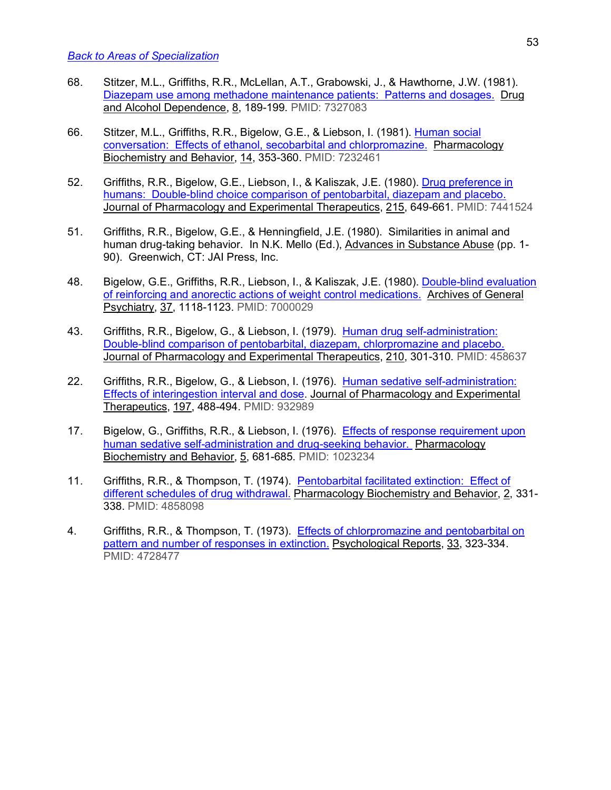- 68. Stitzer, M.L., Griffiths, R.R., McLellan, A.T., Grabowski, J., & Hawthorne, J.W. (1981). Diazepam use among methadone maintenance patients: Patterns and dosages. Drug and Alcohol Dependence, 8, 189-199. PMID: 7327083
- 66. Stitzer, M.L., Griffiths, R.R., Bigelow, G.E., & Liebson, I. (1981). Human social conversation: Effects of ethanol, secobarbital and chlorpromazine. Pharmacology Biochemistry and Behavior, 14, 353-360. PMID: 7232461
- 52. Griffiths, R.R., Bigelow, G.E., Liebson, I., & Kaliszak, J.E. (1980). Drug preference in humans: Double-blind choice comparison of pentobarbital, diazepam and placebo. Journal of Pharmacology and Experimental Therapeutics, 215, 649-661. PMID: 7441524
- 51. Griffiths, R.R., Bigelow, G.E., & Henningfield, J.E. (1980). Similarities in animal and human drug-taking behavior. In N.K. Mello (Ed.), Advances in Substance Abuse (pp. 1- 90). Greenwich, CT: JAI Press, Inc.
- 48. Bigelow, G.E., Griffiths, R.R., Liebson, I., & Kaliszak, J.E. (1980). Double-blind evaluation of reinforcing and anorectic actions of weight control medications. Archives of General Psychiatry, 37, 1118-1123. PMID: 7000029
- 43. Griffiths, R.R., Bigelow, G., & Liebson, I. (1979). Human drug self-administration: Double-blind comparison of pentobarbital, diazepam, chlorpromazine and placebo. Journal of Pharmacology and Experimental Therapeutics, 210, 301-310. PMID: 458637
- 22. Griffiths, R.R., Bigelow, G., & Liebson, I. (1976). Human sedative self-administration: Effects of interingestion interval and dose. Journal of Pharmacology and Experimental Therapeutics, 197, 488-494. PMID: 932989
- 17. Bigelow, G., Griffiths, R.R., & Liebson, I. (1976). Effects of response requirement upon human sedative self-administration and drug-seeking behavior. Pharmacology Biochemistry and Behavior, 5, 681-685. PMID: 1023234
- 11. Griffiths, R.R., & Thompson, T. (1974). Pentobarbital facilitated extinction: Effect of different schedules of drug withdrawal. Pharmacology Biochemistry and Behavior, 2, 331- 338. PMID: 4858098
- 4. Griffiths, R.R., & Thompson, T. (1973). Effects of chlorpromazine and pentobarbital on pattern and number of responses in extinction. Psychological Reports, 33, 323-334. PMID: 4728477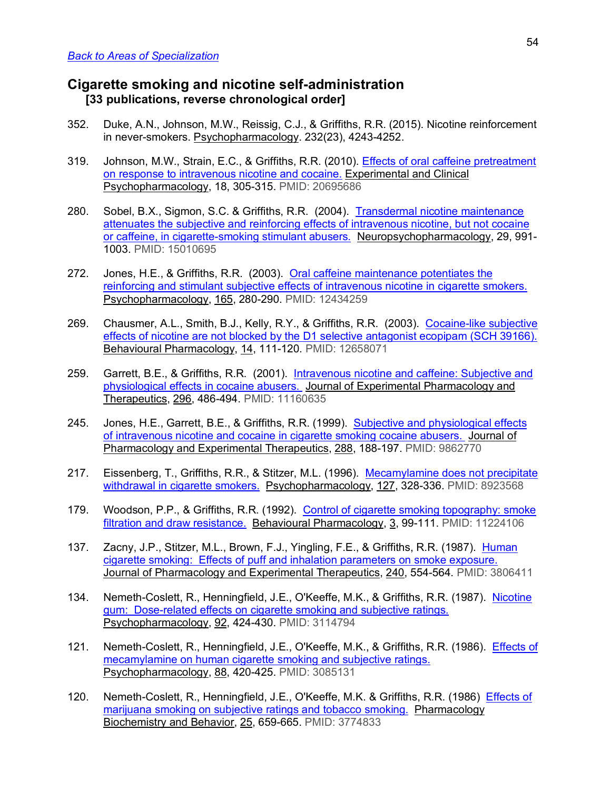## **Cigarette smoking and nicotine self-administration [33 publications, reverse chronological order]**

- 352. Duke, A.N., Johnson, M.W., Reissig, C.J., & Griffiths, R.R. (2015). Nicotine reinforcement in never-smokers. Psychopharmacology. 232(23), 4243-4252.
- 319. Johnson, M.W., Strain, E.C., & Griffiths, R.R. (2010). Effects of oral caffeine pretreatment on response to intravenous nicotine and cocaine. Experimental and Clinical Psychopharmacology, 18, 305-315. PMID: 20695686
- 280. Sobel, B.X., Sigmon, S.C. & Griffiths, R.R. (2004). Transdermal nicotine maintenance attenuates the subjective and reinforcing effects of intravenous nicotine, but not cocaine or caffeine, in cigarette-smoking stimulant abusers. Neuropsychopharmacology, 29, 991- 1003. PMID: 15010695
- 272. Jones, H.E., & Griffiths, R.R. (2003). Oral caffeine maintenance potentiates the reinforcing and stimulant subjective effects of intravenous nicotine in cigarette smokers. Psychopharmacology, 165, 280-290. PMID: 12434259
- 269. Chausmer, A.L., Smith, B.J., Kelly, R.Y., & Griffiths, R.R. (2003). Cocaine-like subjective effects of nicotine are not blocked by the D1 selective antagonist ecopipam (SCH 39166). Behavioural Pharmacology, 14, 111-120. PMID: 12658071
- 259. Garrett, B.E., & Griffiths, R.R. (2001). Intravenous nicotine and caffeine: Subjective and physiological effects in cocaine abusers. Journal of Experimental Pharmacology and Therapeutics, 296, 486-494. PMID: 11160635
- 245. Jones, H.E., Garrett, B.E., & Griffiths, R.R. (1999). Subjective and physiological effects of intravenous nicotine and cocaine in cigarette smoking cocaine abusers. Journal of Pharmacology and Experimental Therapeutics, 288, 188-197. PMID: 9862770
- 217. Eissenberg, T., Griffiths, R.R., & Stitzer, M.L. (1996). Mecamylamine does not precipitate withdrawal in cigarette smokers. Psychopharmacology, 127, 328-336. PMID: 8923568
- 179. Woodson, P.P., & Griffiths, R.R. (1992). Control of cigarette smoking topography: smoke filtration and draw resistance. Behavioural Pharmacology, 3, 99-111. PMID: 11224106
- 137. Zacny, J.P., Stitzer, M.L., Brown, F.J., Yingling, F.E., & Griffiths, R.R. (1987). Human cigarette smoking: Effects of puff and inhalation parameters on smoke exposure. Journal of Pharmacology and Experimental Therapeutics, 240, 554-564. PMID: 3806411
- 134. Nemeth-Coslett, R., Henningfield, J.E., O'Keeffe, M.K., & Griffiths, R.R. (1987). Nicotine gum: Dose-related effects on cigarette smoking and subjective ratings. Psychopharmacology, 92, 424-430. PMID: 3114794
- 121. Nemeth-Coslett, R., Henningfield, J.E., O'Keeffe, M.K., & Griffiths, R.R. (1986). Effects of mecamylamine on human cigarette smoking and subjective ratings. Psychopharmacology, 88, 420-425. PMID: 3085131
- 120. Nemeth-Coslett, R., Henningfield, J.E., O'Keeffe, M.K. & Griffiths, R.R. (1986) Effects of marijuana smoking on subjective ratings and tobacco smoking. Pharmacology Biochemistry and Behavior, 25, 659-665. PMID: 3774833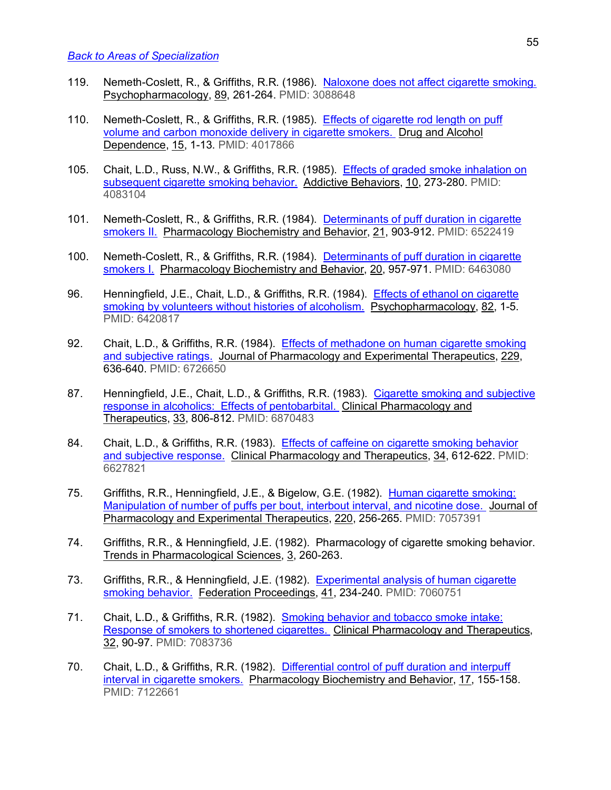- 119. Nemeth-Coslett, R., & Griffiths, R.R. (1986). Naloxone does not affect cigarette smoking. Psychopharmacology, 89, 261-264. PMID: 3088648
- 110. Nemeth-Coslett, R., & Griffiths, R.R. (1985). Effects of cigarette rod length on puff volume and carbon monoxide delivery in cigarette smokers. Drug and Alcohol Dependence, 15, 1-13. PMID: 4017866
- 105. Chait, L.D., Russ, N.W., & Griffiths, R.R. (1985). Effects of graded smoke inhalation on subsequent cigarette smoking behavior. Addictive Behaviors, 10, 273-280. PMID: 4083104
- 101. Nemeth-Coslett, R., & Griffiths, R.R. (1984). Determinants of puff duration in cigarette smokers II. Pharmacology Biochemistry and Behavior, 21, 903-912. PMID: 6522419
- 100. Nemeth-Coslett, R., & Griffiths, R.R. (1984). Determinants of puff duration in cigarette smokers I. Pharmacology Biochemistry and Behavior, 20, 957-971. PMID: 6463080
- 96. Henningfield, J.E., Chait, L.D., & Griffiths, R.R. (1984). Effects of ethanol on cigarette smoking by volunteers without histories of alcoholism. Psychopharmacology, 82, 1-5. PMID: 6420817
- 92. Chait, L.D., & Griffiths, R.R. (1984). Effects of methadone on human cigarette smoking and subjective ratings. Journal of Pharmacology and Experimental Therapeutics, 229, 636-640. PMID: 6726650
- 87. Henningfield, J.E., Chait, L.D., & Griffiths, R.R. (1983). Cigarette smoking and subjective response in alcoholics: Effects of pentobarbital. Clinical Pharmacology and Therapeutics, 33, 806-812. PMID: 6870483
- 84. Chait, L.D., & Griffiths, R.R. (1983). Effects of caffeine on cigarette smoking behavior and subjective response. Clinical Pharmacology and Therapeutics, 34, 612-622. PMID: 6627821
- 75. Griffiths, R.R., Henningfield, J.E., & Bigelow, G.E. (1982). Human cigarette smoking: Manipulation of number of puffs per bout, interbout interval, and nicotine dose. Journal of Pharmacology and Experimental Therapeutics, 220, 256-265. PMID: 7057391
- 74. Griffiths, R.R., & Henningfield, J.E. (1982). Pharmacology of cigarette smoking behavior. Trends in Pharmacological Sciences, 3, 260-263.
- 73. Griffiths, R.R., & Henningfield, J.E. (1982). Experimental analysis of human cigarette smoking behavior. Federation Proceedings, 41, 234-240. PMID: 7060751
- 71. Chait, L.D., & Griffiths, R.R. (1982). Smoking behavior and tobacco smoke intake: Response of smokers to shortened cigarettes. Clinical Pharmacology and Therapeutics, 32, 90-97. PMID: 7083736
- 70. Chait, L.D., & Griffiths, R.R. (1982). Differential control of puff duration and interpuff interval in cigarette smokers. Pharmacology Biochemistry and Behavior, 17, 155-158. PMID: 7122661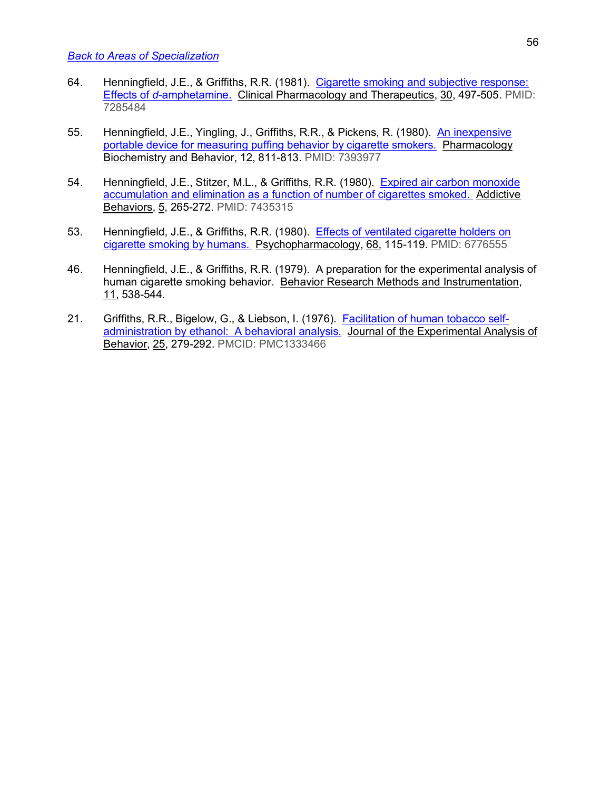- 64. Henningfield, J.E., & Griffiths, R.R. (1981). Cigarette smoking and subjective response: Effects of *d*-amphetamine. Clinical Pharmacology and Therapeutics, 30, 497-505. PMID: 7285484
- 55. Henningfield, J.E., Yingling, J., Griffiths, R.R., & Pickens, R. (1980). An inexpensive portable device for measuring puffing behavior by cigarette smokers. Pharmacology Biochemistry and Behavior, 12, 811-813. PMID: 7393977
- 54. Henningfield, J.E., Stitzer, M.L., & Griffiths, R.R. (1980). Expired air carbon monoxide accumulation and elimination as a function of number of cigarettes smoked. Addictive Behaviors, 5, 265-272. PMID: 7435315
- 53. Henningfield, J.E., & Griffiths, R.R. (1980). Effects of ventilated cigarette holders on cigarette smoking by humans. Psychopharmacology, 68, 115-119. PMID: 6776555
- 46. Henningfield, J.E., & Griffiths, R.R. (1979). A preparation for the experimental analysis of human cigarette smoking behavior. Behavior Research Methods and Instrumentation, 11, 538-544.
- 21. Griffiths, R.R., Bigelow, G., & Liebson, I. (1976). Facilitation of human tobacco selfadministration by ethanol: A behavioral analysis. Journal of the Experimental Analysis of Behavior, 25, 279-292. PMCID: PMC1333466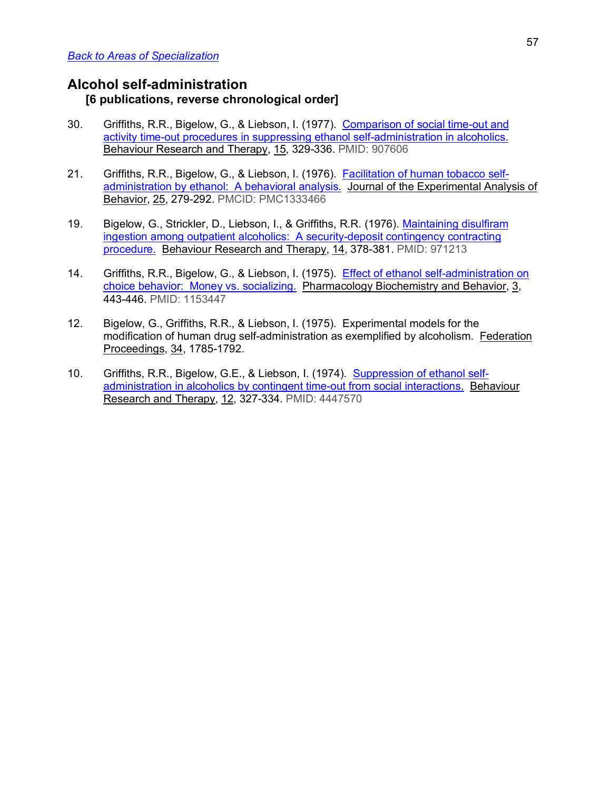## **Alcohol self-administration [6 publications, reverse chronological order]**

- 30. Griffiths, R.R., Bigelow, G., & Liebson, I. (1977). Comparison of social time-out and activity time-out procedures in suppressing ethanol self-administration in alcoholics. Behaviour Research and Therapy, 15, 329-336. PMID: 907606
- 21. Griffiths, R.R., Bigelow, G., & Liebson, I. (1976). Facilitation of human tobacco selfadministration by ethanol: A behavioral analysis. Journal of the Experimental Analysis of Behavior, 25, 279-292. PMCID: PMC1333466
- 19. Bigelow, G., Strickler, D., Liebson, I., & Griffiths, R.R. (1976). Maintaining disulfiram ingestion among outpatient alcoholics: A security-deposit contingency contracting procedure. Behaviour Research and Therapy, 14, 378-381. PMID: 971213
- 14. Griffiths, R.R., Bigelow, G., & Liebson, I. (1975). Effect of ethanol self-administration on choice behavior: Money vs. socializing. Pharmacology Biochemistry and Behavior, 3, 443-446. PMID: 1153447
- 12. Bigelow, G., Griffiths, R.R., & Liebson, I. (1975). Experimental models for the modification of human drug self-administration as exemplified by alcoholism. Federation Proceedings, 34, 1785-1792.
- 10. Griffiths, R.R., Bigelow, G.E., & Liebson, I. (1974). Suppression of ethanol selfadministration in alcoholics by contingent time-out from social interactions. Behaviour Research and Therapy, 12, 327-334. PMID: 4447570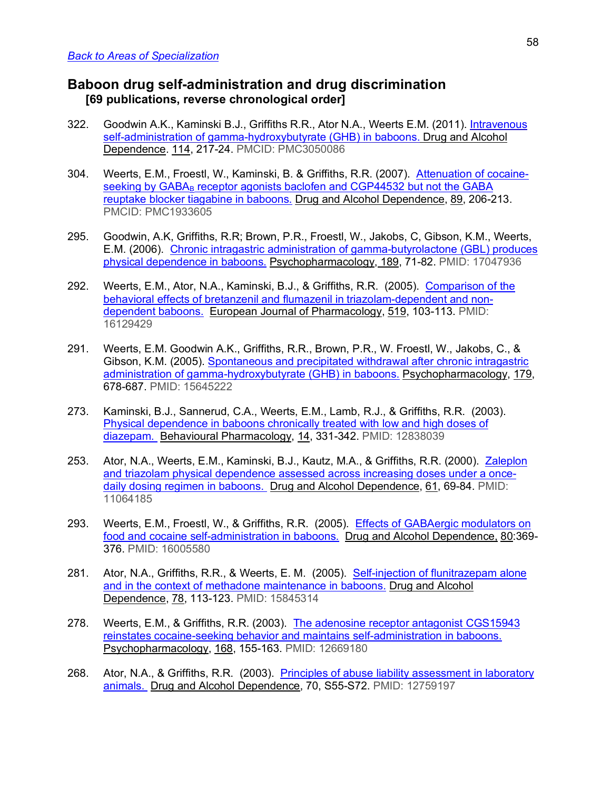## **Baboon drug self-administration and drug discrimination [69 publications, reverse chronological order]**

- 322. Goodwin A.K., Kaminski B.J., Griffiths R.R., Ator N.A., Weerts E.M. (2011). Intravenous self-administration of gamma-hydroxybutyrate (GHB) in baboons. Drug and Alcohol Dependence. 114, 217-24. PMCID: PMC3050086
- 304. Weerts, E.M., Froestl, W., Kaminski, B. & Griffiths, R.R. (2007). Attenuation of cocaineseeking by GABA<sub>B</sub> receptor agonists baclofen and CGP44532 but not the GABA reuptake blocker tiagabine in baboons. Drug and Alcohol Dependence, 89, 206-213. PMCID: PMC1933605
- 295. Goodwin, A.K, Griffiths, R.R; Brown, P.R., Froestl, W., Jakobs, C, Gibson, K.M., Weerts, E.M. (2006). Chronic intragastric administration of gamma-butyrolactone (GBL) produces physical dependence in baboons. Psychopharmacology, 189, 71-82. PMID: 17047936
- 292. Weerts, E.M., Ator, N.A., Kaminski, B.J., & Griffiths, R.R. (2005). Comparison of the behavioral effects of bretanzenil and flumazenil in triazolam-dependent and nondependent baboons. European Journal of Pharmacology, 519, 103-113. PMID: 16129429
- 291. Weerts, E.M. Goodwin A.K., Griffiths, R.R., Brown, P.R., W. Froestl, W., Jakobs, C., & Gibson, K.M. (2005). Spontaneous and precipitated withdrawal after chronic intragastric administration of gamma-hydroxybutyrate (GHB) in baboons. Psychopharmacology, 179, 678-687. PMID: 15645222
- 273. Kaminski, B.J., Sannerud, C.A., Weerts, E.M., Lamb, R.J., & Griffiths, R.R. (2003). Physical dependence in baboons chronically treated with low and high doses of diazepam. Behavioural Pharmacology, 14, 331-342. PMID: 12838039
- 253. Ator, N.A., Weerts, E.M., Kaminski, B.J., Kautz, M.A., & Griffiths, R.R. (2000). Zaleplon and triazolam physical dependence assessed across increasing doses under a oncedaily dosing regimen in baboons. Drug and Alcohol Dependence, 61, 69-84. PMID: 11064185
- 293. Weerts, E.M., Froestl, W., & Griffiths, R.R. (2005). Effects of GABAergic modulators on food and cocaine self-administration in baboons. Drug and Alcohol Dependence, 80:369- 376. PMID: 16005580
- 281. Ator, N.A., Griffiths, R.R., & Weerts, E. M. (2005). Self-injection of flunitrazepam alone and in the context of methadone maintenance in baboons. Drug and Alcohol Dependence, 78, 113-123. PMID: 15845314
- 278. Weerts, E.M., & Griffiths, R.R. (2003). The adenosine receptor antagonist CGS15943 reinstates cocaine-seeking behavior and maintains self-administration in baboons. Psychopharmacology, 168, 155-163. PMID: 12669180
- 268. Ator, N.A., & Griffiths, R.R. (2003). Principles of abuse liability assessment in laboratory animals. Drug and Alcohol Dependence, 70, S55-S72. PMID: 12759197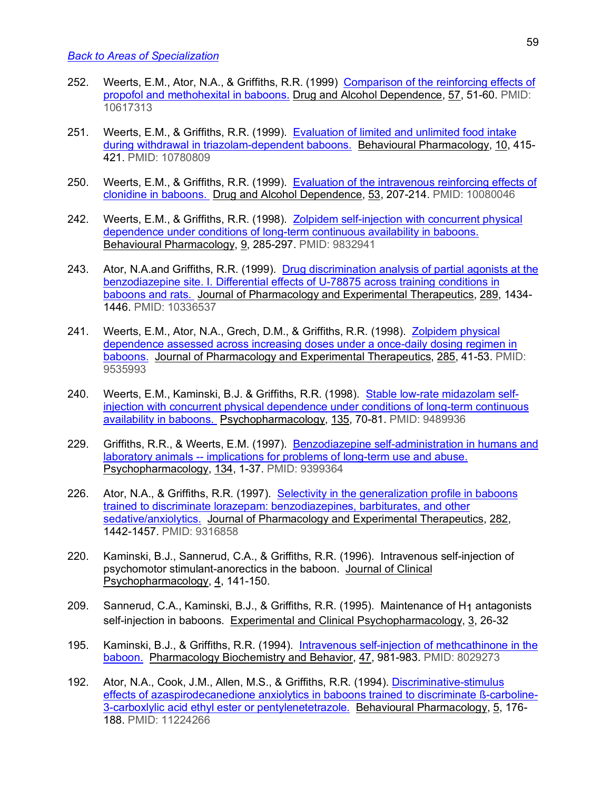- 252. Weerts, E.M., Ator, N.A., & Griffiths, R.R. (1999) Comparison of the reinforcing effects of propofol and methohexital in baboons. Drug and Alcohol Dependence, 57, 51-60. PMID: 10617313
- 251. Weerts, E.M., & Griffiths, R.R. (1999). Evaluation of limited and unlimited food intake during withdrawal in triazolam-dependent baboons. Behavioural Pharmacology, 10, 415- 421. PMID: 10780809
- 250. Weerts, E.M., & Griffiths, R.R. (1999). Evaluation of the intravenous reinforcing effects of clonidine in baboons. Drug and Alcohol Dependence, 53, 207-214. PMID: 10080046
- 242. Weerts, E.M., & Griffiths, R.R. (1998). Zolpidem self-injection with concurrent physical dependence under conditions of long-term continuous availability in baboons. Behavioural Pharmacology, 9, 285-297. PMID: 9832941
- 243. Ator, N.A.and Griffiths, R.R. (1999). Drug discrimination analysis of partial agonists at the benzodiazepine site. I. Differential effects of U-78875 across training conditions in baboons and rats. Journal of Pharmacology and Experimental Therapeutics, 289, 1434- 1446. PMID: 10336537
- 241. Weerts, E.M., Ator, N.A., Grech, D.M., & Griffiths, R.R. (1998). Zolpidem physical dependence assessed across increasing doses under a once-daily dosing regimen in baboons. Journal of Pharmacology and Experimental Therapeutics, 285, 41-53. PMID: 9535993
- 240. Weerts, E.M., Kaminski, B.J. & Griffiths, R.R. (1998). Stable low-rate midazolam selfinjection with concurrent physical dependence under conditions of long-term continuous availability in baboons. Psychopharmacology, 135, 70-81. PMID: 9489936
- 229. Griffiths, R.R., & Weerts, E.M. (1997). Benzodiazepine self-administration in humans and laboratory animals -- implications for problems of long-term use and abuse. Psychopharmacology, 134, 1-37. PMID: 9399364
- 226. Ator, N.A., & Griffiths, R.R. (1997). Selectivity in the generalization profile in baboons trained to discriminate lorazepam: benzodiazepines, barbiturates, and other sedative/anxiolytics. Journal of Pharmacology and Experimental Therapeutics, 282, 1442-1457. PMID: 9316858
- 220. Kaminski, B.J., Sannerud, C.A., & Griffiths, R.R. (1996). Intravenous self-injection of psychomotor stimulant-anorectics in the baboon. Journal of Clinical Psychopharmacology, 4, 141-150.
- 209. Sannerud, C.A., Kaminski, B.J., & Griffiths, R.R. (1995). Maintenance of H1 antagonists self-injection in baboons. Experimental and Clinical Psychopharmacology, 3, 26-32
- 195. Kaminski, B.J., & Griffiths, R.R. (1994). Intravenous self-injection of methcathinone in the baboon. Pharmacology Biochemistry and Behavior, 47, 981-983. PMID: 8029273
- 192. Ator, N.A., Cook, J.M., Allen, M.S., & Griffiths, R.R. (1994). Discriminative-stimulus effects of azaspirodecanedione anxiolytics in baboons trained to discriminate ß-carboline-3-carboxlylic acid ethyl ester or pentylenetetrazole. Behavioural Pharmacology, 5, 176- 188. PMID: 11224266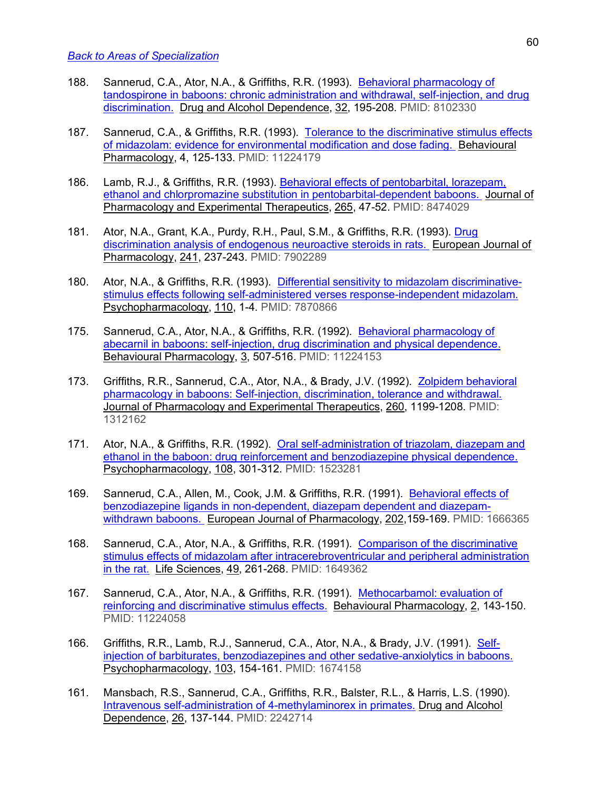- 188. Sannerud, C.A., Ator, N.A., & Griffiths, R.R. (1993). Behavioral pharmacology of tandospirone in baboons: chronic administration and withdrawal, self-injection, and drug discrimination. Drug and Alcohol Dependence, 32, 195-208. PMID: 8102330
- 187. Sannerud, C.A., & Griffiths, R.R. (1993). Tolerance to the discriminative stimulus effects of midazolam: evidence for environmental modification and dose fading. Behavioural Pharmacology, 4, 125-133. PMID: 11224179
- 186. Lamb, R.J., & Griffiths, R.R. (1993). Behavioral effects of pentobarbital, lorazepam, ethanol and chlorpromazine substitution in pentobarbital-dependent baboons. Journal of Pharmacology and Experimental Therapeutics, 265, 47-52. PMID: 8474029
- 181. Ator, N.A., Grant, K.A., Purdy, R.H., Paul, S.M., & Griffiths, R.R. (1993). Drug discrimination analysis of endogenous neuroactive steroids in rats. European Journal of Pharmacology, 241, 237-243. PMID: 7902289
- 180. Ator, N.A., & Griffiths, R.R. (1993). Differential sensitivity to midazolam discriminativestimulus effects following self-administered verses response-independent midazolam. Psychopharmacology, 110, 1-4. PMID: 7870866
- 175. Sannerud, C.A., Ator, N.A., & Griffiths, R.R. (1992). Behavioral pharmacology of abecarnil in baboons: self-injection, drug discrimination and physical dependence. Behavioural Pharmacology, 3, 507-516. PMID: 11224153
- 173. Griffiths, R.R., Sannerud, C.A., Ator, N.A., & Brady, J.V. (1992). Zolpidem behavioral pharmacology in baboons: Self-injection, discrimination, tolerance and withdrawal. Journal of Pharmacology and Experimental Therapeutics, 260, 1199-1208. PMID: 1312162
- 171. Ator, N.A., & Griffiths, R.R. (1992). Oral self-administration of triazolam, diazepam and ethanol in the baboon: drug reinforcement and benzodiazepine physical dependence. Psychopharmacology, 108, 301-312. PMID: 1523281
- 169. Sannerud, C.A., Allen, M., Cook, J.M. & Griffiths, R.R. (1991). Behavioral effects of benzodiazepine ligands in non-dependent, diazepam dependent and diazepamwithdrawn baboons. European Journal of Pharmacology, 202,159-169. PMID: 1666365
- 168. Sannerud, C.A., Ator, N.A., & Griffiths, R.R. (1991). Comparison of the discriminative stimulus effects of midazolam after intracerebroventricular and peripheral administration in the rat. Life Sciences, 49, 261-268. PMID: 1649362
- 167. Sannerud, C.A., Ator, N.A., & Griffiths, R.R. (1991). Methocarbamol: evaluation of reinforcing and discriminative stimulus effects. Behavioural Pharmacology, 2, 143-150. PMID: 11224058
- 166. Griffiths, R.R., Lamb, R.J., Sannerud, C.A., Ator, N.A., & Brady, J.V. (1991). Selfinjection of barbiturates, benzodiazepines and other sedative-anxiolytics in baboons. Psychopharmacology, 103, 154-161. PMID: 1674158
- 161. Mansbach, R.S., Sannerud, C.A., Griffiths, R.R., Balster, R.L., & Harris, L.S. (1990). Intravenous self-administration of 4-methylaminorex in primates. Drug and Alcohol Dependence, 26, 137-144. PMID: 2242714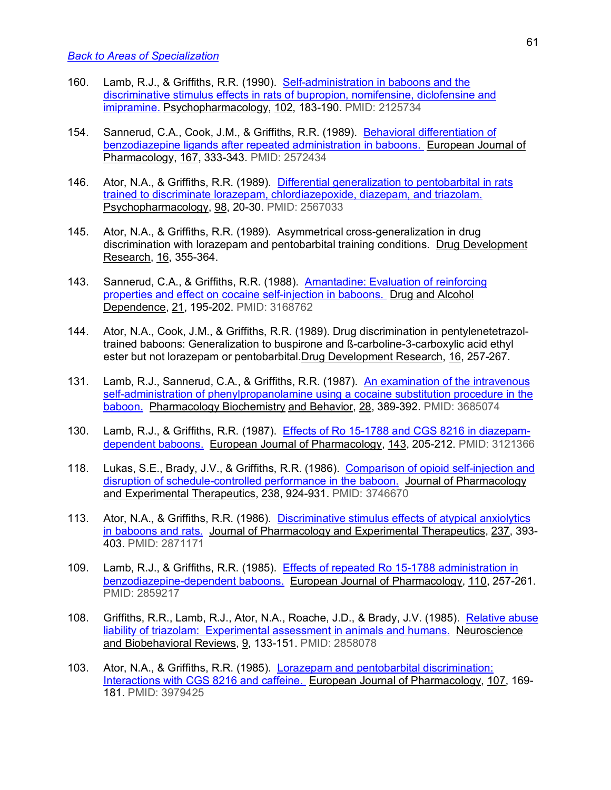- 160. Lamb, R.J., & Griffiths, R.R. (1990). Self-administration in baboons and the discriminative stimulus effects in rats of bupropion, nomifensine, diclofensine and imipramine. Psychopharmacology, 102, 183-190. PMID: 2125734
- 154. Sannerud, C.A., Cook, J.M., & Griffiths, R.R. (1989). Behavioral differentiation of benzodiazepine ligands after repeated administration in baboons. European Journal of Pharmacology, 167, 333-343. PMID: 2572434
- 146. Ator, N.A., & Griffiths, R.R. (1989). Differential generalization to pentobarbital in rats trained to discriminate lorazepam, chlordiazepoxide, diazepam, and triazolam. Psychopharmacology, 98, 20-30. PMID: 2567033
- 145. Ator, N.A., & Griffiths, R.R. (1989). Asymmetrical cross-generalization in drug discrimination with lorazepam and pentobarbital training conditions. Drug Development Research, 16, 355-364.
- 143. Sannerud, C.A., & Griffiths, R.R. (1988). Amantadine: Evaluation of reinforcing properties and effect on cocaine self-injection in baboons. Drug and Alcohol Dependence, 21, 195-202. PMID: 3168762
- 144. Ator, N.A., Cook, J.M., & Griffiths, R.R. (1989). Drug discrimination in pentylenetetrazoltrained baboons: Generalization to buspirone and ß-carboline-3-carboxylic acid ethyl ester but not lorazepam or pentobarbital.Drug Development Research, 16, 257-267.
- 131. Lamb, R.J., Sannerud, C.A., & Griffiths, R.R. (1987). An examination of the intravenous self-administration of phenylpropanolamine using a cocaine substitution procedure in the baboon. Pharmacology Biochemistry and Behavior, 28, 389-392. PMID: 3685074
- 130. Lamb, R.J., & Griffiths, R.R. (1987). Effects of Ro 15-1788 and CGS 8216 in diazepamdependent baboons. European Journal of Pharmacology, 143, 205-212. PMID: 3121366
- 118. Lukas, S.E., Brady, J.V., & Griffiths, R.R. (1986). Comparison of opioid self-injection and disruption of schedule-controlled performance in the baboon. Journal of Pharmacology and Experimental Therapeutics, 238, 924-931. PMID: 3746670
- 113. Ator, N.A., & Griffiths, R.R. (1986). Discriminative stimulus effects of atypical anxiolytics in baboons and rats. Journal of Pharmacology and Experimental Therapeutics, 237, 393- 403. PMID: 2871171
- 109. Lamb, R.J., & Griffiths, R.R. (1985). Effects of repeated Ro 15-1788 administration in benzodiazepine-dependent baboons. European Journal of Pharmacology, 110, 257-261. PMID: 2859217
- 108. Griffiths, R.R., Lamb, R.J., Ator, N.A., Roache, J.D., & Brady, J.V. (1985). Relative abuse liability of triazolam: Experimental assessment in animals and humans. Neuroscience and Biobehavioral Reviews, 9, 133-151. PMID: 2858078
- 103. Ator, N.A., & Griffiths, R.R. (1985). Lorazepam and pentobarbital discrimination: Interactions with CGS 8216 and caffeine. European Journal of Pharmacology, 107, 169- 181. PMID: 3979425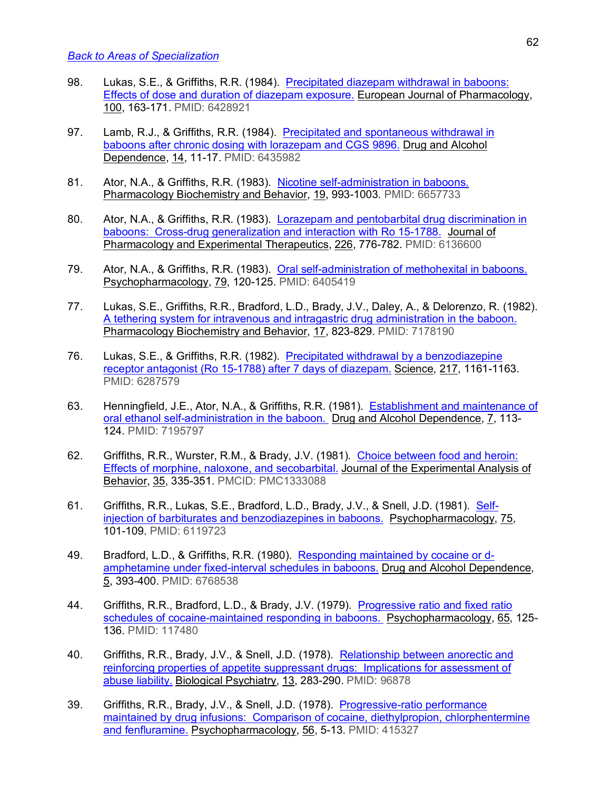- 98. Lukas, S.E., & Griffiths, R.R. (1984). Precipitated diazepam withdrawal in baboons: Effects of dose and duration of diazepam exposure. European Journal of Pharmacology, 100, 163-171. PMID: 6428921
- 97. Lamb, R.J., & Griffiths, R.R. (1984). Precipitated and spontaneous withdrawal in baboons after chronic dosing with lorazepam and CGS 9896. Drug and Alcohol Dependence, 14, 11-17. PMID: 6435982
- 81. Ator, N.A., & Griffiths, R.R. (1983). Nicotine self-administration in baboons. Pharmacology Biochemistry and Behavior, 19, 993-1003. PMID: 6657733
- 80. Ator, N.A., & Griffiths, R.R. (1983). Lorazepam and pentobarbital drug discrimination in baboons: Cross-drug generalization and interaction with Ro 15-1788. Journal of Pharmacology and Experimental Therapeutics, 226, 776-782. PMID: 6136600
- 79. Ator, N.A., & Griffiths, R.R. (1983). Oral self-administration of methohexital in baboons. Psychopharmacology, 79, 120-125. PMID: 6405419
- 77. Lukas, S.E., Griffiths, R.R., Bradford, L.D., Brady, J.V., Daley, A., & Delorenzo, R. (1982). A tethering system for intravenous and intragastric drug administration in the baboon. Pharmacology Biochemistry and Behavior, 17, 823-829. PMID: 7178190
- 76. Lukas, S.E., & Griffiths, R.R. (1982). Precipitated withdrawal by a benzodiazepine receptor antagonist (Ro 15-1788) after 7 days of diazepam. Science, 217, 1161-1163. PMID: 6287579
- 63. Henningfield, J.E., Ator, N.A., & Griffiths, R.R. (1981). Establishment and maintenance of oral ethanol self-administration in the baboon. Drug and Alcohol Dependence, 7, 113- 124. PMID: 7195797
- 62. Griffiths, R.R., Wurster, R.M., & Brady, J.V. (1981). Choice between food and heroin: Effects of morphine, naloxone, and secobarbital. Journal of the Experimental Analysis of Behavior, 35, 335-351. PMCID: PMC1333088
- 61. Griffiths, R.R., Lukas, S.E., Bradford, L.D., Brady, J.V., & Snell, J.D. (1981). Selfinjection of barbiturates and benzodiazepines in baboons. Psychopharmacology, 75, 101-109. PMID: 6119723
- 49. Bradford, L.D., & Griffiths, R.R. (1980). Responding maintained by cocaine or damphetamine under fixed-interval schedules in baboons. Drug and Alcohol Dependence, 5, 393-400. PMID: 6768538
- 44. Griffiths, R.R., Bradford, L.D., & Brady, J.V. (1979). Progressive ratio and fixed ratio schedules of cocaine-maintained responding in baboons. Psychopharmacology, 65, 125- 136. PMID: 117480
- 40. Griffiths, R.R., Brady, J.V., & Snell, J.D. (1978). Relationship between anorectic and reinforcing properties of appetite suppressant drugs: Implications for assessment of abuse liability. Biological Psychiatry, 13, 283-290. PMID: 96878
- 39. Griffiths, R.R., Brady, J.V., & Snell, J.D. (1978). Progressive-ratio performance maintained by drug infusions: Comparison of cocaine, diethylpropion, chlorphentermine and fenfluramine. Psychopharmacology, 56, 5-13. PMID: 415327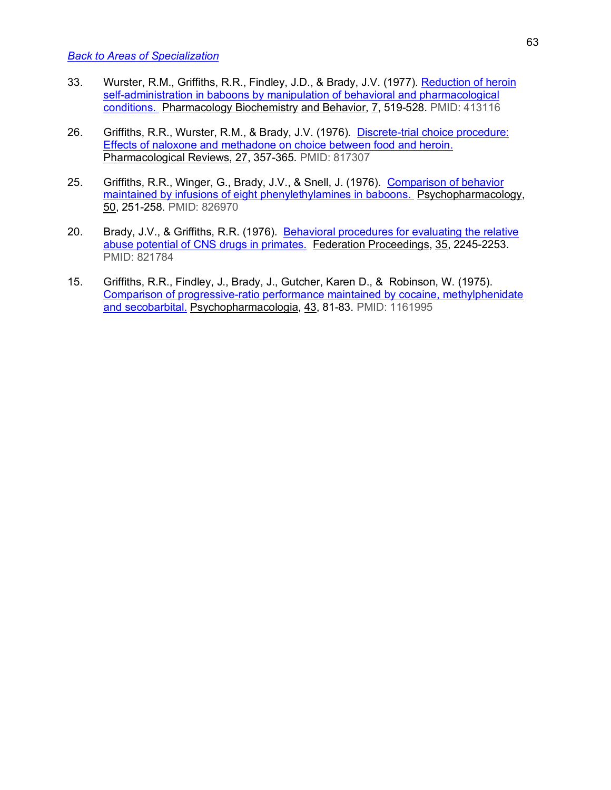- 33. Wurster, R.M., Griffiths, R.R., Findley, J.D., & Brady, J.V. (1977). Reduction of heroin self-administration in baboons by manipulation of behavioral and pharmacological conditions. Pharmacology Biochemistry and Behavior, 7, 519-528. PMID: 413116
- 26. Griffiths, R.R., Wurster, R.M., & Brady, J.V. (1976). Discrete-trial choice procedure: Effects of naloxone and methadone on choice between food and heroin. Pharmacological Reviews, 27, 357-365. PMID: 817307
- 25. Griffiths, R.R., Winger, G., Brady, J.V., & Snell, J. (1976). Comparison of behavior maintained by infusions of eight phenylethylamines in baboons. Psychopharmacology, 50, 251-258. PMID: 826970
- 20. Brady, J.V., & Griffiths, R.R. (1976). Behavioral procedures for evaluating the relative abuse potential of CNS drugs in primates. Federation Proceedings, 35, 2245-2253. PMID: 821784
- 15. Griffiths, R.R., Findley, J., Brady, J., Gutcher, Karen D., & Robinson, W. (1975). Comparison of progressive-ratio performance maintained by cocaine, methylphenidate and secobarbital. Psychopharmacologia, 43, 81-83. PMID: 1161995